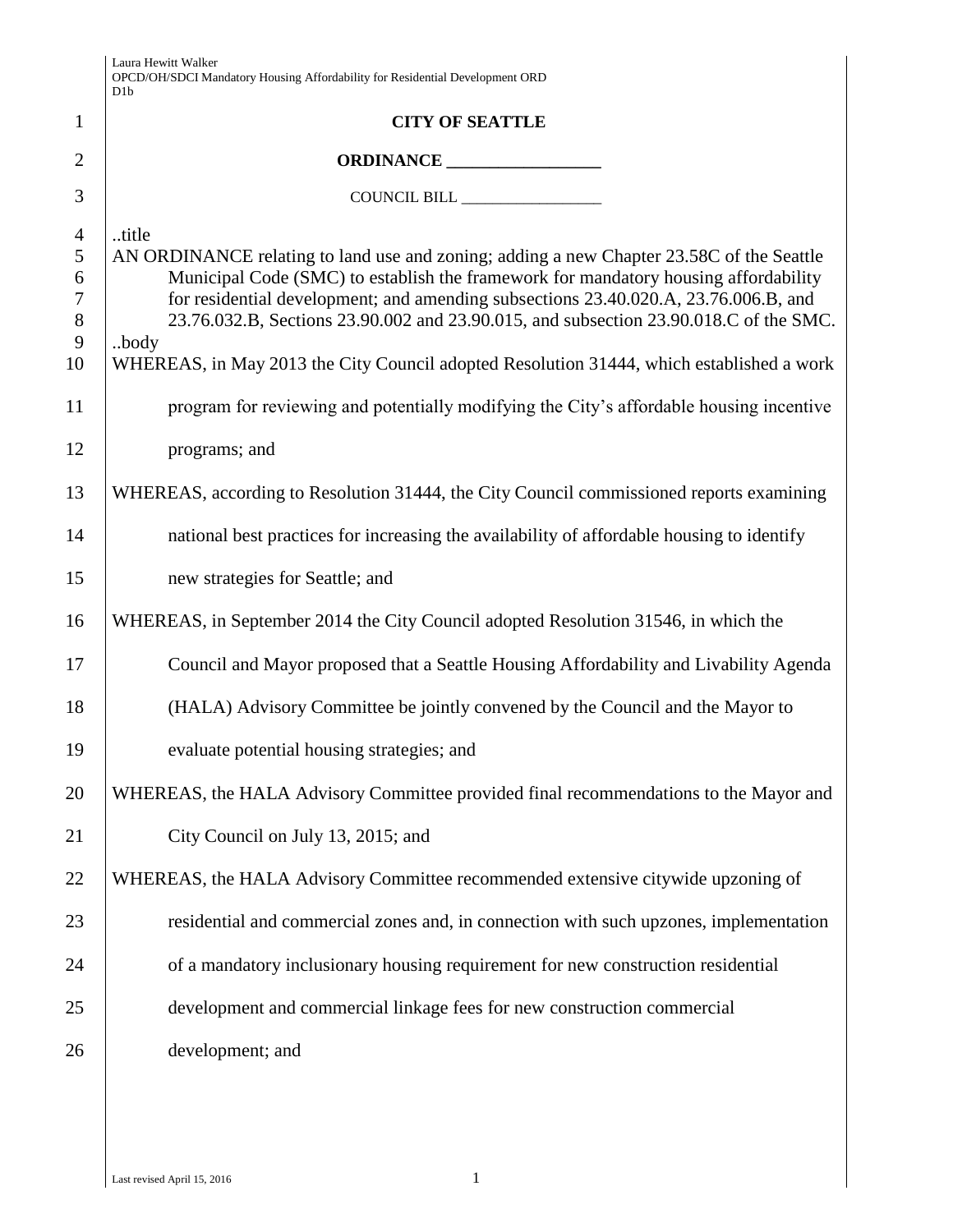|                                                        | Laura Hewitt Walker<br>OPCD/OH/SDCI Mandatory Housing Affordability for Residential Development ORD<br>D <sub>1</sub> b                                                                                                                                                                                                                                                                                                                                                      |
|--------------------------------------------------------|------------------------------------------------------------------------------------------------------------------------------------------------------------------------------------------------------------------------------------------------------------------------------------------------------------------------------------------------------------------------------------------------------------------------------------------------------------------------------|
| 1                                                      | <b>CITY OF SEATTLE</b>                                                                                                                                                                                                                                                                                                                                                                                                                                                       |
| $\overline{2}$                                         |                                                                                                                                                                                                                                                                                                                                                                                                                                                                              |
| 3                                                      |                                                                                                                                                                                                                                                                                                                                                                                                                                                                              |
| $\overline{4}$<br>5<br>6<br>$\tau$<br>$8\,$<br>9<br>10 | title<br>AN ORDINANCE relating to land use and zoning; adding a new Chapter 23.58C of the Seattle<br>Municipal Code (SMC) to establish the framework for mandatory housing affordability<br>for residential development; and amending subsections 23.40.020.A, 23.76.006.B, and<br>23.76.032.B, Sections 23.90.002 and 23.90.015, and subsection 23.90.018.C of the SMC.<br>body<br>WHEREAS, in May 2013 the City Council adopted Resolution 31444, which established a work |
| 11                                                     | program for reviewing and potentially modifying the City's affordable housing incentive                                                                                                                                                                                                                                                                                                                                                                                      |
| 12                                                     | programs; and                                                                                                                                                                                                                                                                                                                                                                                                                                                                |
| 13                                                     | WHEREAS, according to Resolution 31444, the City Council commissioned reports examining                                                                                                                                                                                                                                                                                                                                                                                      |
| 14                                                     | national best practices for increasing the availability of affordable housing to identify                                                                                                                                                                                                                                                                                                                                                                                    |
| 15                                                     | new strategies for Seattle; and                                                                                                                                                                                                                                                                                                                                                                                                                                              |
| 16                                                     | WHEREAS, in September 2014 the City Council adopted Resolution 31546, in which the                                                                                                                                                                                                                                                                                                                                                                                           |
| 17                                                     | Council and Mayor proposed that a Seattle Housing Affordability and Livability Agenda                                                                                                                                                                                                                                                                                                                                                                                        |
| 18                                                     | (HALA) Advisory Committee be jointly convened by the Council and the Mayor to                                                                                                                                                                                                                                                                                                                                                                                                |
| 19                                                     | evaluate potential housing strategies; and                                                                                                                                                                                                                                                                                                                                                                                                                                   |
| 20                                                     | WHEREAS, the HALA Advisory Committee provided final recommendations to the Mayor and                                                                                                                                                                                                                                                                                                                                                                                         |
| 21                                                     | City Council on July 13, 2015; and                                                                                                                                                                                                                                                                                                                                                                                                                                           |
| 22                                                     | WHEREAS, the HALA Advisory Committee recommended extensive citywide upzoning of                                                                                                                                                                                                                                                                                                                                                                                              |
| 23                                                     | residential and commercial zones and, in connection with such upzones, implementation                                                                                                                                                                                                                                                                                                                                                                                        |
| 24                                                     | of a mandatory inclusionary housing requirement for new construction residential                                                                                                                                                                                                                                                                                                                                                                                             |
| 25                                                     | development and commercial linkage fees for new construction commercial                                                                                                                                                                                                                                                                                                                                                                                                      |
| 26                                                     | development; and                                                                                                                                                                                                                                                                                                                                                                                                                                                             |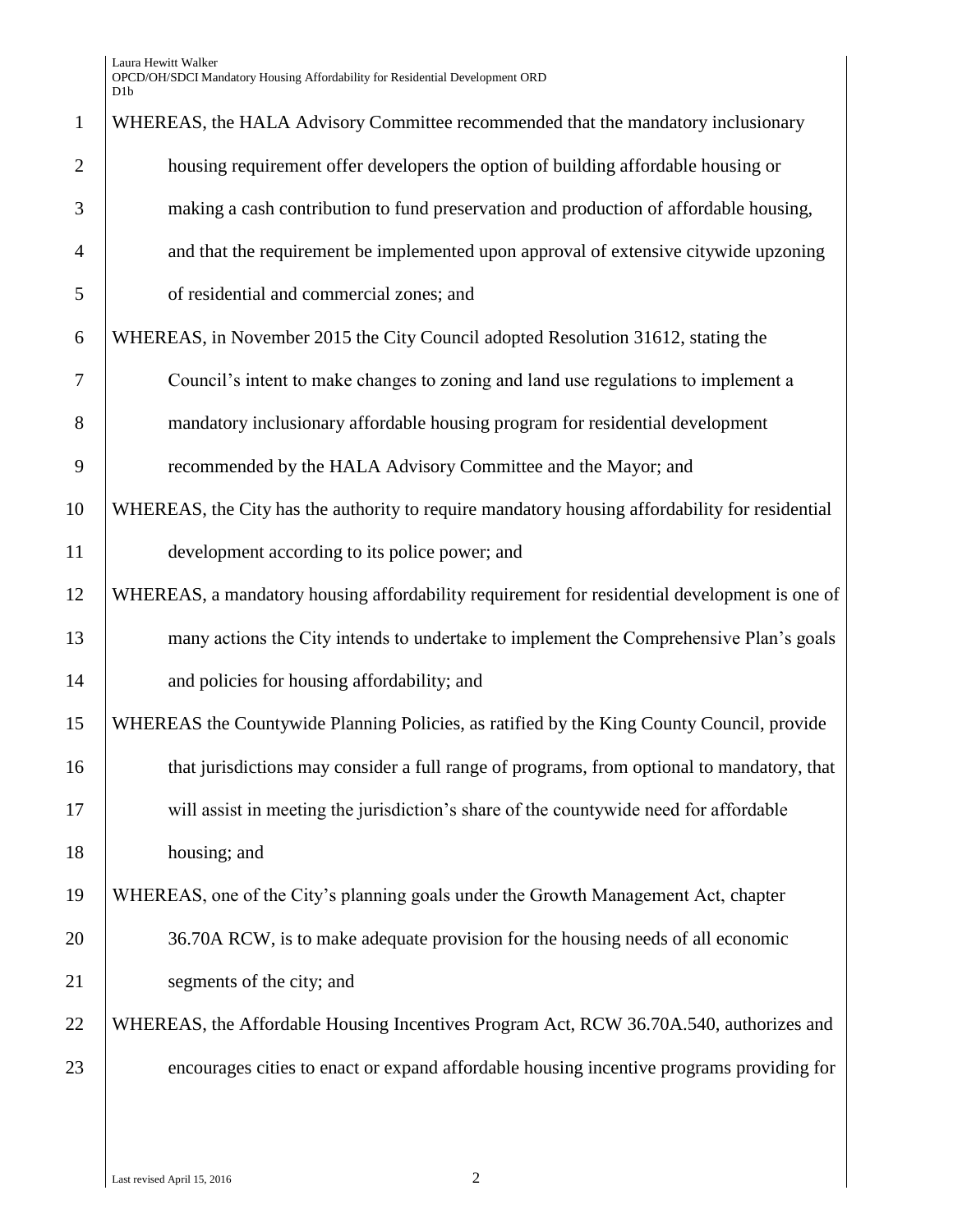Laura Hewitt Walker OPCD/OH/SDCI Mandatory Housing Affordability for Residential Development ORD D1b

| $\mathbf{1}$   | WHEREAS, the HALA Advisory Committee recommended that the mandatory inclusionary               |
|----------------|------------------------------------------------------------------------------------------------|
| $\overline{2}$ | housing requirement offer developers the option of building affordable housing or              |
| 3              | making a cash contribution to fund preservation and production of affordable housing,          |
| $\overline{4}$ | and that the requirement be implemented upon approval of extensive citywide upzoning           |
| 5              | of residential and commercial zones; and                                                       |
| 6              | WHEREAS, in November 2015 the City Council adopted Resolution 31612, stating the               |
| 7              | Council's intent to make changes to zoning and land use regulations to implement a             |
| 8              | mandatory inclusionary affordable housing program for residential development                  |
| 9              | recommended by the HALA Advisory Committee and the Mayor; and                                  |
| 10             | WHEREAS, the City has the authority to require mandatory housing affordability for residential |
| 11             | development according to its police power; and                                                 |
| 12             | WHEREAS, a mandatory housing affordability requirement for residential development is one of   |
| 13             | many actions the City intends to undertake to implement the Comprehensive Plan's goals         |
| 14             | and policies for housing affordability; and                                                    |
| 15             | WHEREAS the Countywide Planning Policies, as ratified by the King County Council, provide      |
| 16             | that jurisdictions may consider a full range of programs, from optional to mandatory, that     |
| 17             | will assist in meeting the jurisdiction's share of the countywide need for affordable          |
| 18             | housing; and                                                                                   |
| 19             | WHEREAS, one of the City's planning goals under the Growth Management Act, chapter             |
| 20             | 36.70A RCW, is to make adequate provision for the housing needs of all economic                |
| 21             | segments of the city; and                                                                      |
| 22             | WHEREAS, the Affordable Housing Incentives Program Act, RCW 36.70A.540, authorizes and         |
| 23             | encourages cities to enact or expand affordable housing incentive programs providing for       |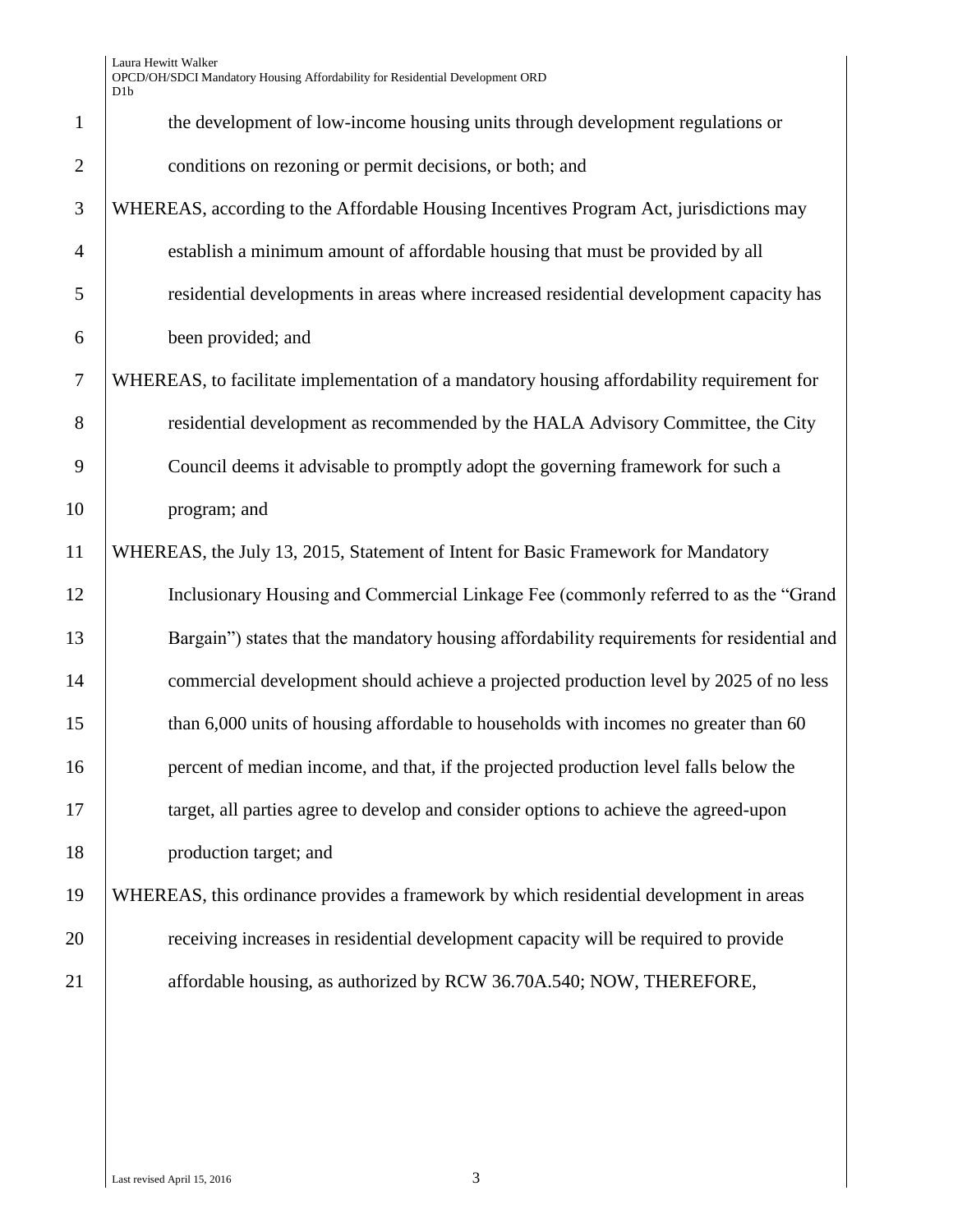| $\mathbf{1}$   | the development of low-income housing units through development regulations or             |
|----------------|--------------------------------------------------------------------------------------------|
| $\overline{2}$ | conditions on rezoning or permit decisions, or both; and                                   |
| 3              | WHEREAS, according to the Affordable Housing Incentives Program Act, jurisdictions may     |
| $\overline{4}$ | establish a minimum amount of affordable housing that must be provided by all              |
| 5              | residential developments in areas where increased residential development capacity has     |
| 6              | been provided; and                                                                         |
| $\overline{7}$ | WHEREAS, to facilitate implementation of a mandatory housing affordability requirement for |
| 8              | residential development as recommended by the HALA Advisory Committee, the City            |
| 9              | Council deems it advisable to promptly adopt the governing framework for such a            |
| 10             | program; and                                                                               |
| 11             | WHEREAS, the July 13, 2015, Statement of Intent for Basic Framework for Mandatory          |
| 12             | Inclusionary Housing and Commercial Linkage Fee (commonly referred to as the "Grand        |
| 13             | Bargain") states that the mandatory housing affordability requirements for residential and |
| 14             | commercial development should achieve a projected production level by 2025 of no less      |
| 15             | than 6,000 units of housing affordable to households with incomes no greater than 60       |
| 16             | percent of median income, and that, if the projected production level falls below the      |
| 17             | target, all parties agree to develop and consider options to achieve the agreed-upon       |
| 18             | production target; and                                                                     |
| 19             | WHEREAS, this ordinance provides a framework by which residential development in areas     |
| 20             | receiving increases in residential development capacity will be required to provide        |
| 21             | affordable housing, as authorized by RCW 36.70A.540; NOW, THEREFORE,                       |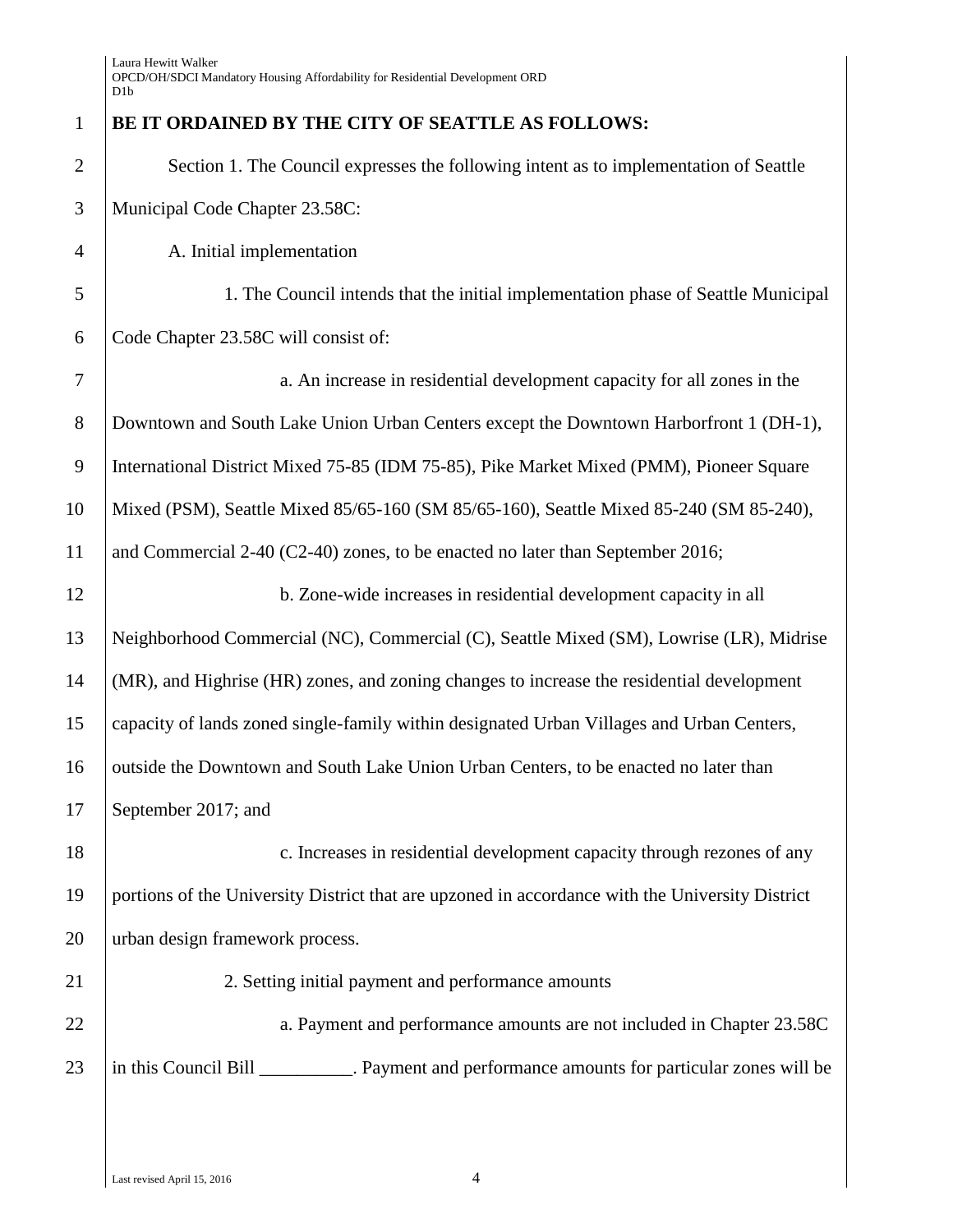| $\mathbf{1}$   | BE IT ORDAINED BY THE CITY OF SEATTLE AS FOLLOWS:                                               |
|----------------|-------------------------------------------------------------------------------------------------|
| $\overline{2}$ | Section 1. The Council expresses the following intent as to implementation of Seattle           |
| 3              | Municipal Code Chapter 23.58C:                                                                  |
| $\overline{4}$ | A. Initial implementation                                                                       |
| 5              | 1. The Council intends that the initial implementation phase of Seattle Municipal               |
| 6              | Code Chapter 23.58C will consist of:                                                            |
| $\overline{7}$ | a. An increase in residential development capacity for all zones in the                         |
| $8\,$          | Downtown and South Lake Union Urban Centers except the Downtown Harborfront 1 (DH-1),           |
| 9              | International District Mixed 75-85 (IDM 75-85), Pike Market Mixed (PMM), Pioneer Square         |
| 10             | Mixed (PSM), Seattle Mixed 85/65-160 (SM 85/65-160), Seattle Mixed 85-240 (SM 85-240),          |
| 11             | and Commercial $2-40$ (C2-40) zones, to be enacted no later than September 2016;                |
| 12             | b. Zone-wide increases in residential development capacity in all                               |
| 13             | Neighborhood Commercial (NC), Commercial (C), Seattle Mixed (SM), Lowrise (LR), Midrise         |
| 14             | (MR), and Highrise (HR) zones, and zoning changes to increase the residential development       |
| 15             | capacity of lands zoned single-family within designated Urban Villages and Urban Centers,       |
| 16             | outside the Downtown and South Lake Union Urban Centers, to be enacted no later than            |
| 17             | September 2017; and                                                                             |
| 18             | c. Increases in residential development capacity through rezones of any                         |
| 19             | portions of the University District that are upzoned in accordance with the University District |
| 20             | urban design framework process.                                                                 |
| 21             | 2. Setting initial payment and performance amounts                                              |
| 22             | a. Payment and performance amounts are not included in Chapter 23.58C                           |
| 23             | in this Council Bill __________. Payment and performance amounts for particular zones will be   |
|                |                                                                                                 |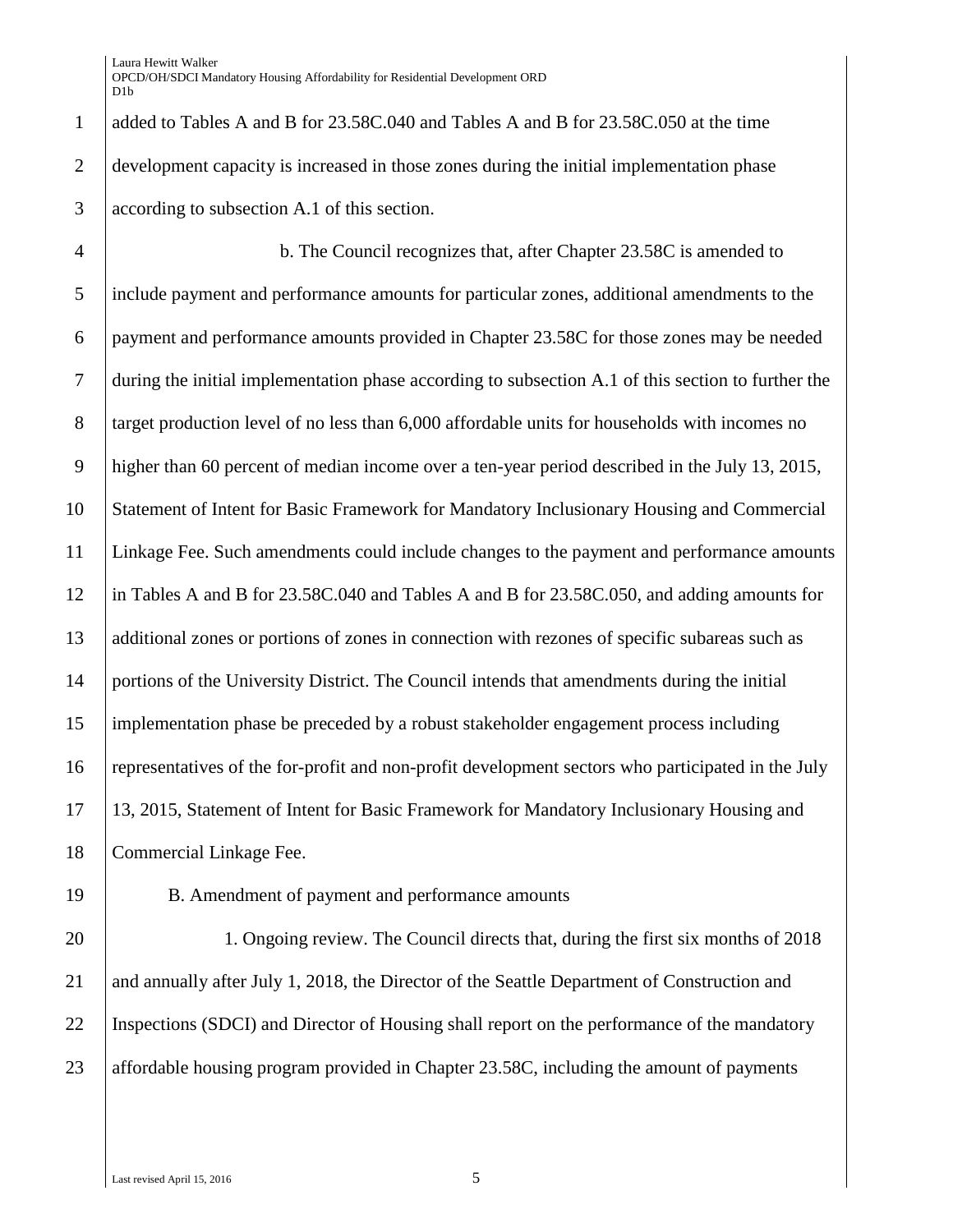added to Tables A and B for 23.58C.040 and Tables A and B for 23.58C.050 at the time development capacity is increased in those zones during the initial implementation phase according to subsection A.1 of this section.

 b. The Council recognizes that, after Chapter 23.58C is amended to include payment and performance amounts for particular zones, additional amendments to the payment and performance amounts provided in Chapter 23.58C for those zones may be needed during the initial implementation phase according to subsection A.1 of this section to further the 8 target production level of no less than 6,000 affordable units for households with incomes no higher than 60 percent of median income over a ten-year period described in the July 13, 2015, Statement of Intent for Basic Framework for Mandatory Inclusionary Housing and Commercial Linkage Fee. Such amendments could include changes to the payment and performance amounts in Tables A and B for 23.58C.040 and Tables A and B for 23.58C.050, and adding amounts for additional zones or portions of zones in connection with rezones of specific subareas such as portions of the University District. The Council intends that amendments during the initial implementation phase be preceded by a robust stakeholder engagement process including representatives of the for-profit and non-profit development sectors who participated in the July 13, 2015, Statement of Intent for Basic Framework for Mandatory Inclusionary Housing and 18 | Commercial Linkage Fee.

- 
- 

B. Amendment of payment and performance amounts

 1. Ongoing review. The Council directs that, during the first six months of 2018 21 and annually after July 1, 2018, the Director of the Seattle Department of Construction and Inspections (SDCI) and Director of Housing shall report on the performance of the mandatory 23 affordable housing program provided in Chapter 23.58C, including the amount of payments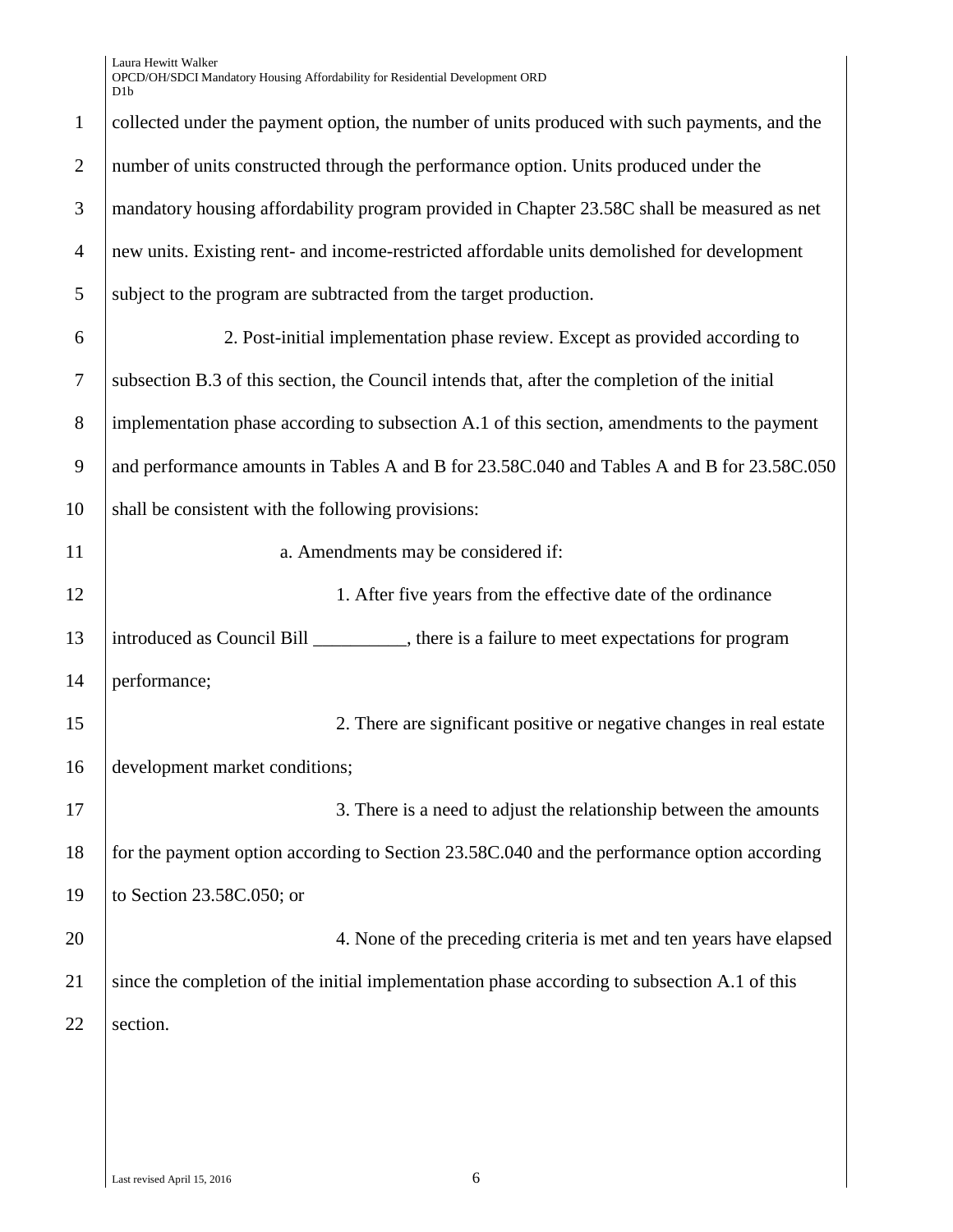Laura Hewitt Walker OPCD/OH/SDCI Mandatory Housing Affordability for Residential Development ORD D1b

| $\mathbf{1}$   | collected under the payment option, the number of units produced with such payments, and the  |
|----------------|-----------------------------------------------------------------------------------------------|
| $\overline{2}$ | number of units constructed through the performance option. Units produced under the          |
| 3              | mandatory housing affordability program provided in Chapter 23.58C shall be measured as net   |
| $\overline{4}$ | new units. Existing rent- and income-restricted affordable units demolished for development   |
| 5              | subject to the program are subtracted from the target production.                             |
| 6              | 2. Post-initial implementation phase review. Except as provided according to                  |
| $\tau$         | subsection B.3 of this section, the Council intends that, after the completion of the initial |
| $8\,$          | implementation phase according to subsection A.1 of this section, amendments to the payment   |
| 9              | and performance amounts in Tables A and B for 23.58C.040 and Tables A and B for 23.58C.050    |
| 10             | shall be consistent with the following provisions:                                            |
| 11             | a. Amendments may be considered if:                                                           |
| 12             | 1. After five years from the effective date of the ordinance                                  |
| 13             | introduced as Council Bill _________, there is a failure to meet expectations for program     |
| 14             | performance;                                                                                  |
| 15             | 2. There are significant positive or negative changes in real estate                          |
| 16             | development market conditions;                                                                |
| 17             | 3. There is a need to adjust the relationship between the amounts                             |
| 18             | for the payment option according to Section 23.58C.040 and the performance option according   |
| 19             | to Section 23.58C.050; or                                                                     |
| 20             | 4. None of the preceding criteria is met and ten years have elapsed                           |
| 21             | since the completion of the initial implementation phase according to subsection A.1 of this  |
| 22             | section.                                                                                      |
|                |                                                                                               |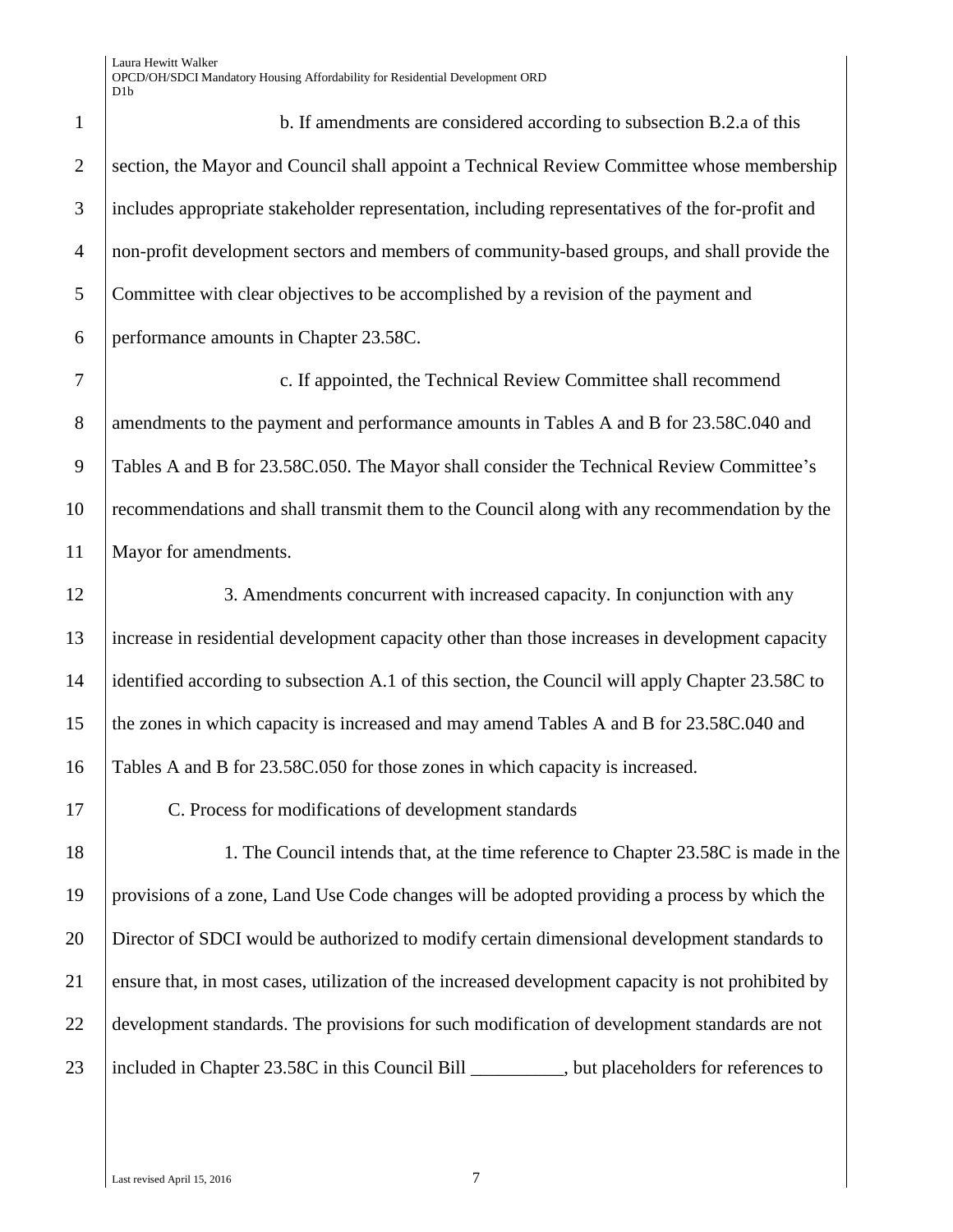1 b. If amendments are considered according to subsection B.2.a of this 2 section, the Mayor and Council shall appoint a Technical Review Committee whose membership includes appropriate stakeholder representation, including representatives of the for-profit and non-profit development sectors and members of community-based groups, and shall provide the Committee with clear objectives to be accomplished by a revision of the payment and performance amounts in Chapter 23.58C.

 c. If appointed, the Technical Review Committee shall recommend 8 amendments to the payment and performance amounts in Tables A and B for 23.58C.040 and Tables A and B for 23.58C.050. The Mayor shall consider the Technical Review Committee's recommendations and shall transmit them to the Council along with any recommendation by the Mayor for amendments.

12 3. Amendments concurrent with increased capacity. In conjunction with any increase in residential development capacity other than those increases in development capacity identified according to subsection A.1 of this section, the Council will apply Chapter 23.58C to the zones in which capacity is increased and may amend Tables A and B for 23.58C.040 and Tables A and B for 23.58C.050 for those zones in which capacity is increased.

C. Process for modifications of development standards

18 1. The Council intends that, at the time reference to Chapter 23.58C is made in the provisions of a zone, Land Use Code changes will be adopted providing a process by which the Director of SDCI would be authorized to modify certain dimensional development standards to ensure that, in most cases, utilization of the increased development capacity is not prohibited by development standards. The provisions for such modification of development standards are not 23 | included in Chapter 23.58C in this Council Bill \_\_\_\_\_\_\_\_, but placeholders for references to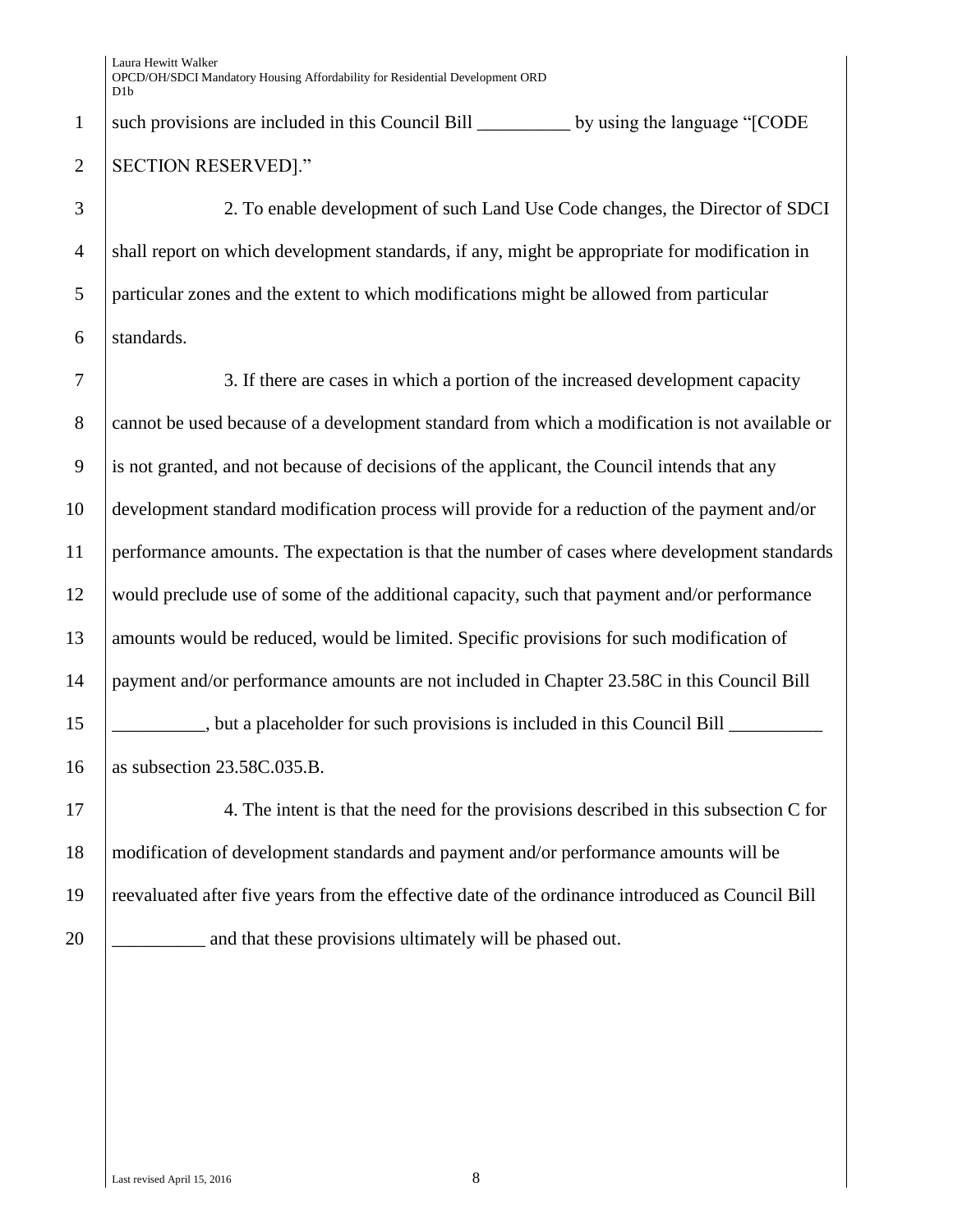1  $\vert$  such provisions are included in this Council Bill by using the language " $\vert$ CODE 2 SECTION RESERVED]."

 2. To enable development of such Land Use Code changes, the Director of SDCI 4 shall report on which development standards, if any, might be appropriate for modification in particular zones and the extent to which modifications might be allowed from particular standards.

 3. If there are cases in which a portion of the increased development capacity 8 cannot be used because of a development standard from which a modification is not available or is not granted, and not because of decisions of the applicant, the Council intends that any development standard modification process will provide for a reduction of the payment and/or performance amounts. The expectation is that the number of cases where development standards would preclude use of some of the additional capacity, such that payment and/or performance 13 amounts would be reduced, would be limited. Specific provisions for such modification of payment and/or performance amounts are not included in Chapter 23.58C in this Council Bill  $\Box$ , but a placeholder for such provisions is included in this Council Bill  $\Box$ as subsection 23.58C.035.B.

17 | 4. The intent is that the need for the provisions described in this subsection C for modification of development standards and payment and/or performance amounts will be reevaluated after five years from the effective date of the ordinance introduced as Council Bill  $\Box$  and that these provisions ultimately will be phased out.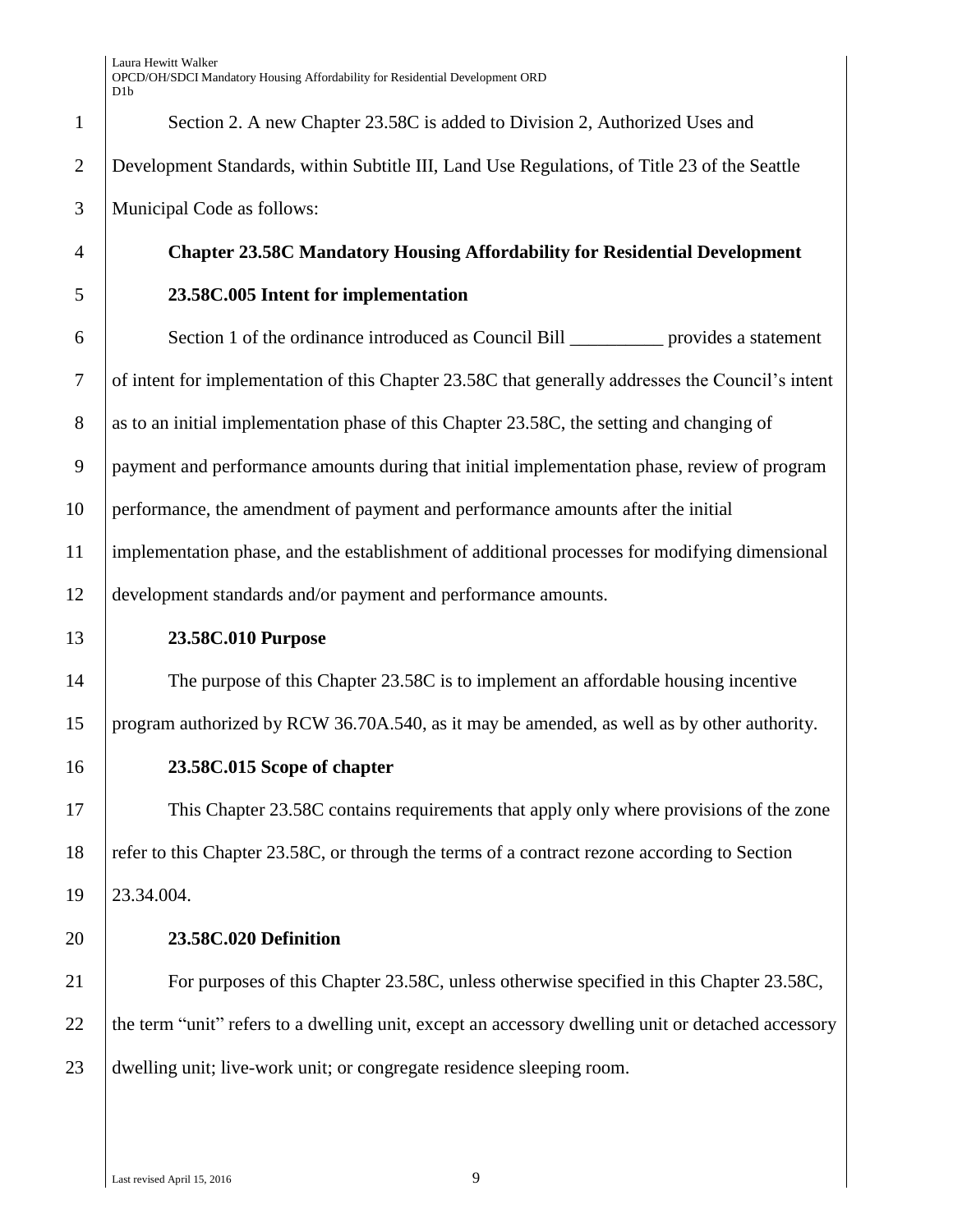| $\mathbf{1}$   | Section 2. A new Chapter 23.58C is added to Division 2, Authorized Uses and                       |
|----------------|---------------------------------------------------------------------------------------------------|
| $\overline{2}$ | Development Standards, within Subtitle III, Land Use Regulations, of Title 23 of the Seattle      |
| 3              | Municipal Code as follows:                                                                        |
| 4              | <b>Chapter 23.58C Mandatory Housing Affordability for Residential Development</b>                 |
| 5              | 23.58C.005 Intent for implementation                                                              |
| 6              | Section 1 of the ordinance introduced as Council Bill <u>contract</u> provides a statement        |
| 7              | of intent for implementation of this Chapter 23.58C that generally addresses the Council's intent |
| 8              | as to an initial implementation phase of this Chapter 23.58C, the setting and changing of         |
| 9              | payment and performance amounts during that initial implementation phase, review of program       |

performance, the amendment of payment and performance amounts after the initial

 implementation phase, and the establishment of additional processes for modifying dimensional development standards and/or payment and performance amounts.

#### **23.58C.010 Purpose**

 The purpose of this Chapter 23.58C is to implement an affordable housing incentive program authorized by RCW 36.70A.540, as it may be amended, as well as by other authority.

**23.58C.015 Scope of chapter**

 This Chapter 23.58C contains requirements that apply only where provisions of the zone refer to this Chapter 23.58C, or through the terms of a contract rezone according to Section 23.34.004.

## **23.58C.020 Definition**

 For purposes of this Chapter 23.58C, unless otherwise specified in this Chapter 23.58C, 22 the term "unit" refers to a dwelling unit, except an accessory dwelling unit or detached accessory dwelling unit; live-work unit; or congregate residence sleeping room.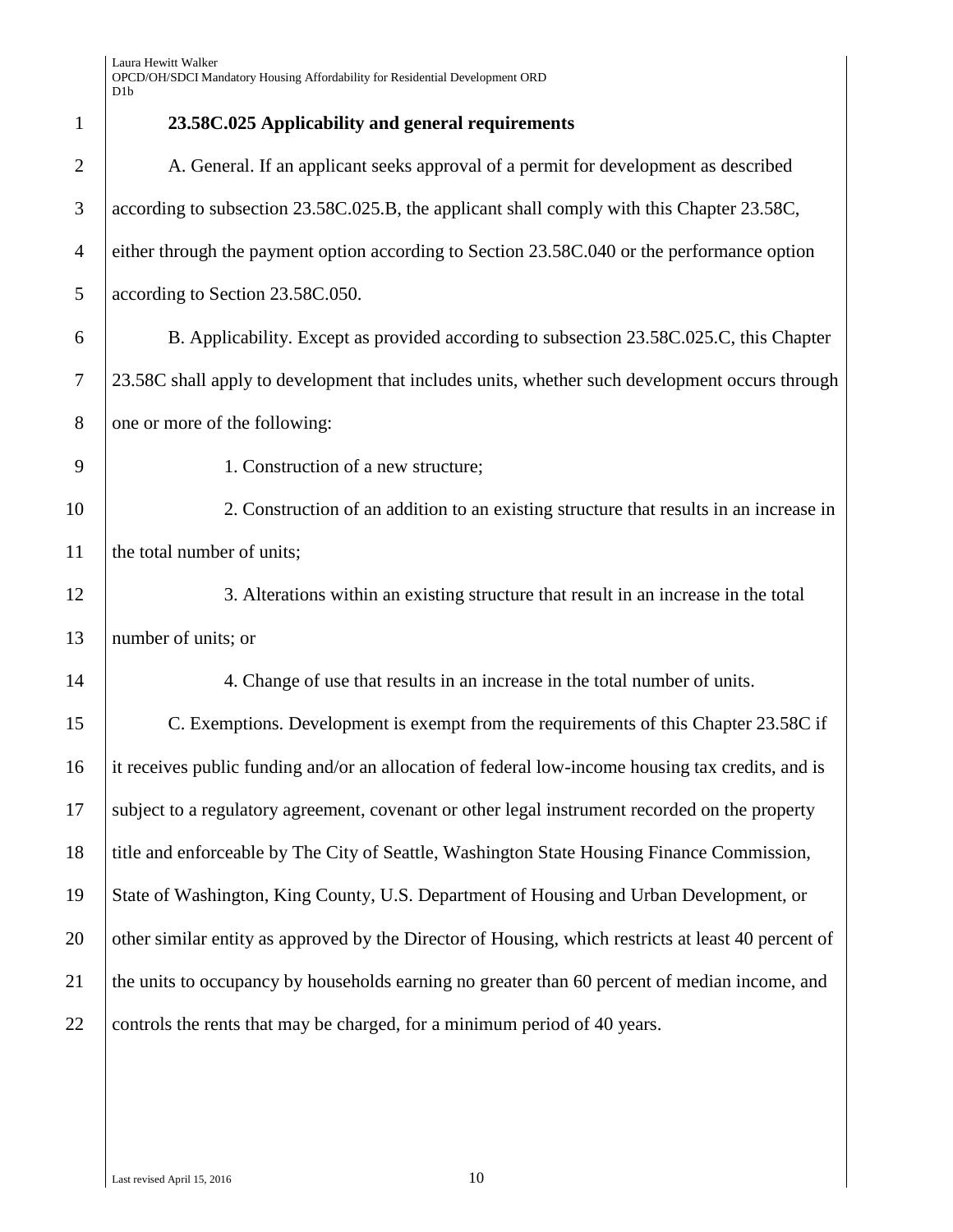| $\mathbf{1}$   | 23.58C.025 Applicability and general requirements                                                   |
|----------------|-----------------------------------------------------------------------------------------------------|
| $\overline{2}$ | A. General. If an applicant seeks approval of a permit for development as described                 |
| 3              | according to subsection 23.58C.025.B, the applicant shall comply with this Chapter 23.58C,          |
| $\overline{4}$ | either through the payment option according to Section 23.58C.040 or the performance option         |
| 5              | according to Section 23.58C.050.                                                                    |
| 6              | B. Applicability. Except as provided according to subsection 23.58C.025.C, this Chapter             |
| 7              | 23.58C shall apply to development that includes units, whether such development occurs through      |
| 8              | one or more of the following:                                                                       |
| 9              | 1. Construction of a new structure;                                                                 |
| 10             | 2. Construction of an addition to an existing structure that results in an increase in              |
| 11             | the total number of units;                                                                          |
| 12             | 3. Alterations within an existing structure that result in an increase in the total                 |
| 13             | number of units; or                                                                                 |
| 14             | 4. Change of use that results in an increase in the total number of units.                          |
| 15             | C. Exemptions. Development is exempt from the requirements of this Chapter 23.58C if                |
| 16             | it receives public funding and/or an allocation of federal low-income housing tax credits, and is   |
| 17             | subject to a regulatory agreement, covenant or other legal instrument recorded on the property      |
| 18             | title and enforceable by The City of Seattle, Washington State Housing Finance Commission,          |
| 19             | State of Washington, King County, U.S. Department of Housing and Urban Development, or              |
| 20             | other similar entity as approved by the Director of Housing, which restricts at least 40 percent of |
| 21             | the units to occupancy by households earning no greater than 60 percent of median income, and       |
| 22             | controls the rents that may be charged, for a minimum period of 40 years.                           |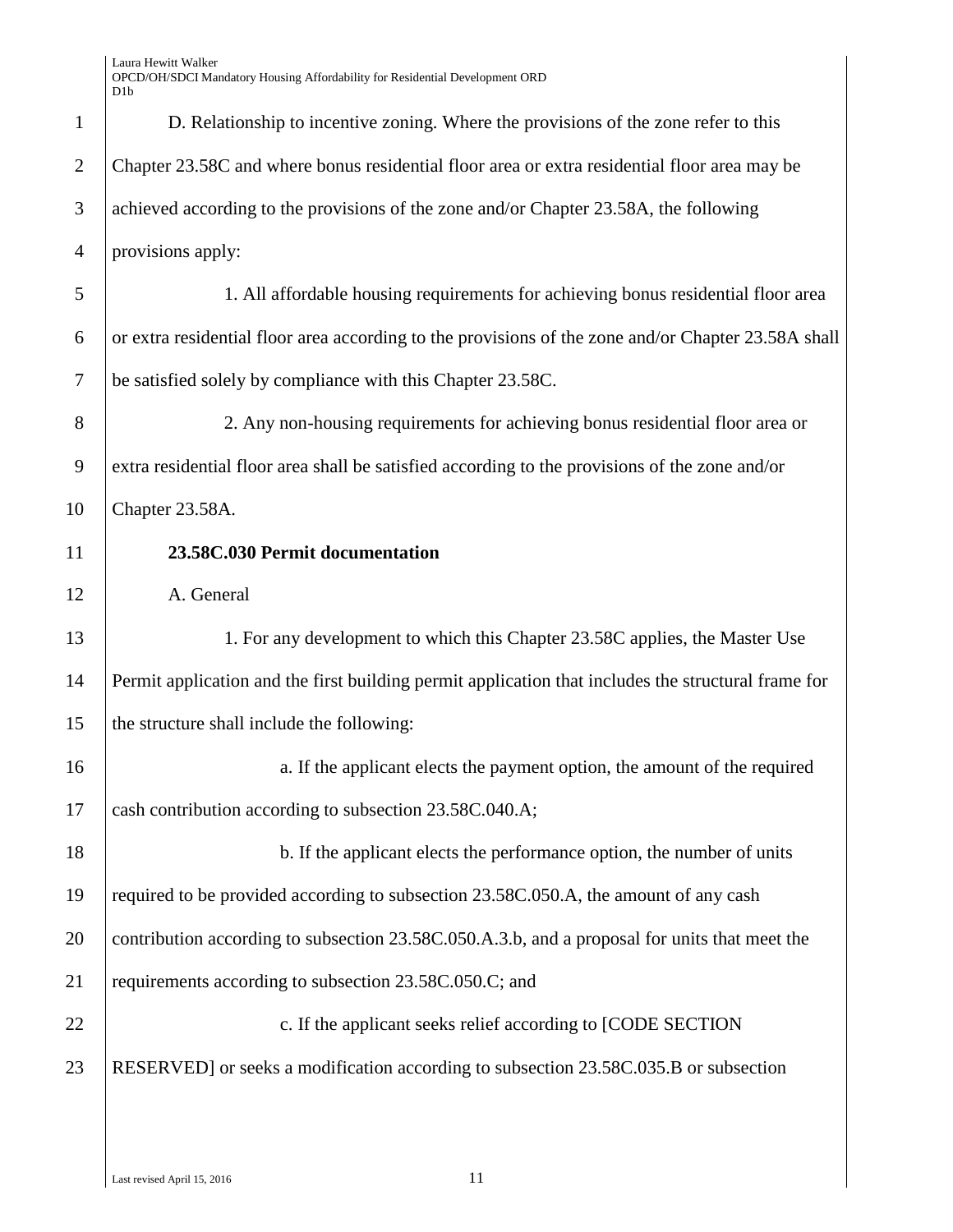| $\mathbf{1}$   | D. Relationship to incentive zoning. Where the provisions of the zone refer to this                 |
|----------------|-----------------------------------------------------------------------------------------------------|
| $\overline{2}$ | Chapter 23.58C and where bonus residential floor area or extra residential floor area may be        |
| 3              | achieved according to the provisions of the zone and/or Chapter 23.58A, the following               |
| $\overline{4}$ | provisions apply:                                                                                   |
| 5              | 1. All affordable housing requirements for achieving bonus residential floor area                   |
| 6              | or extra residential floor area according to the provisions of the zone and/or Chapter 23.58A shall |
| $\tau$         | be satisfied solely by compliance with this Chapter 23.58C.                                         |
| 8              | 2. Any non-housing requirements for achieving bonus residential floor area or                       |
| 9              | extra residential floor area shall be satisfied according to the provisions of the zone and/or      |
| 10             | Chapter 23.58A.                                                                                     |
| 11             | 23.58C.030 Permit documentation                                                                     |
| 12             | A. General                                                                                          |
| 13             | 1. For any development to which this Chapter 23.58C applies, the Master Use                         |
| 14             | Permit application and the first building permit application that includes the structural frame for |
| 15             | the structure shall include the following:                                                          |
| 16             | a. If the applicant elects the payment option, the amount of the required                           |
| 17             | cash contribution according to subsection 23.58C.040.A;                                             |
| 18             | b. If the applicant elects the performance option, the number of units                              |
| 19             | required to be provided according to subsection 23.58C.050.A, the amount of any cash                |
| 20             | contribution according to subsection 23.58C.050.A.3.b, and a proposal for units that meet the       |
| 21             | requirements according to subsection 23.58C.050.C; and                                              |
| 22             | c. If the applicant seeks relief according to [CODE SECTION                                         |
| 23             | RESERVED] or seeks a modification according to subsection 23.58C.035.B or subsection                |
|                |                                                                                                     |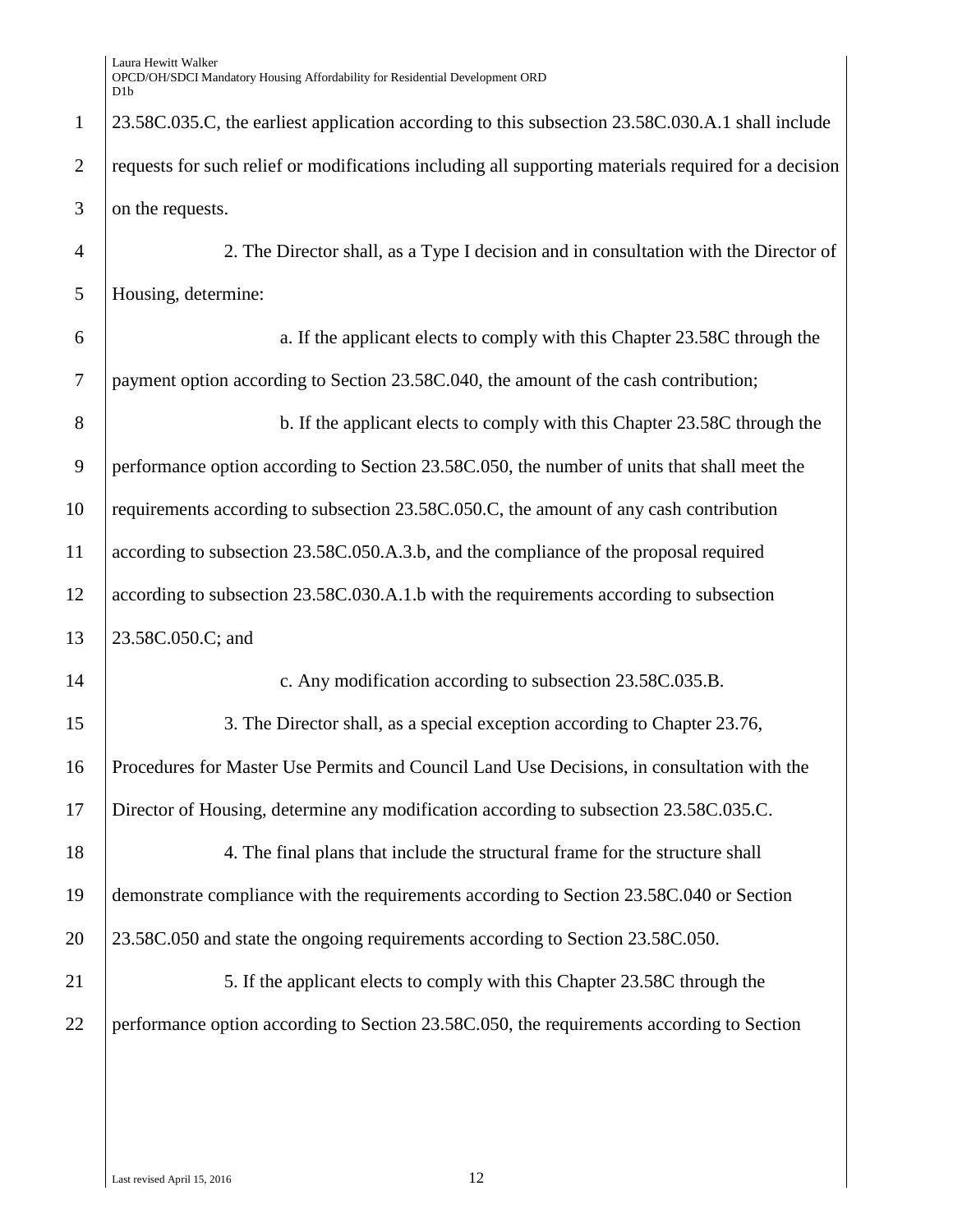23.58C.035.C, the earliest application according to this subsection 23.58C.030.A.1 shall include 2 requests for such relief or modifications including all supporting materials required for a decision on the requests.

 2. The Director shall, as a Type I decision and in consultation with the Director of Housing, determine:

 a. If the applicant elects to comply with this Chapter 23.58C through the payment option according to Section 23.58C.040, the amount of the cash contribution; 8 b. If the applicant elects to comply with this Chapter 23.58C through the performance option according to Section 23.58C.050, the number of units that shall meet the requirements according to subsection 23.58C.050.C, the amount of any cash contribution according to subsection 23.58C.050.A.3.b, and the compliance of the proposal required according to subsection 23.58C.030.A.1.b with the requirements according to subsection 13 23.58C.050.C; and 14 c. Any modification according to subsection 23.58C.035.B. 15 3. The Director shall, as a special exception according to Chapter 23.76, Procedures for Master Use Permits and Council Land Use Decisions, in consultation with the Director of Housing, determine any modification according to subsection 23.58C.035.C.

 4. The final plans that include the structural frame for the structure shall demonstrate compliance with the requirements according to Section 23.58C.040 or Section 23.58C.050 and state the ongoing requirements according to Section 23.58C.050.

21 5. If the applicant elects to comply with this Chapter 23.58C through the performance option according to Section 23.58C.050, the requirements according to Section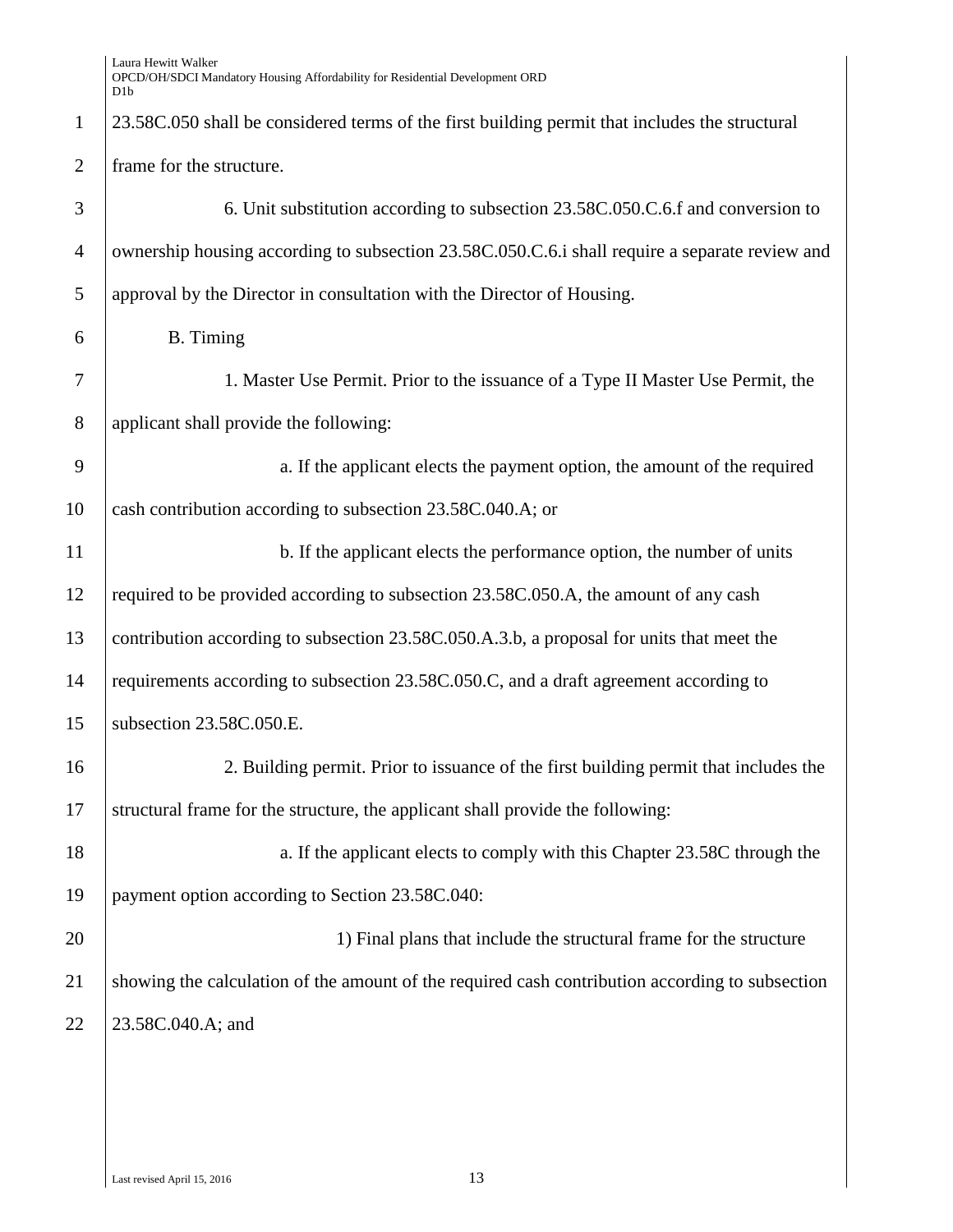|                | Laura Hewitt Walker<br>OPCD/OH/SDCI Mandatory Housing Affordability for Residential Development ORD<br>D <sub>1</sub> b |
|----------------|-------------------------------------------------------------------------------------------------------------------------|
| $\mathbf{1}$   | 23.58C.050 shall be considered terms of the first building permit that includes the structural                          |
| $\overline{2}$ | frame for the structure.                                                                                                |
| 3              | 6. Unit substitution according to subsection 23.58C.050.C.6.f and conversion to                                         |
| $\overline{4}$ | ownership housing according to subsection 23.58C.050.C.6.i shall require a separate review and                          |
| 5              | approval by the Director in consultation with the Director of Housing.                                                  |
| 6              | <b>B.</b> Timing                                                                                                        |
| 7              | 1. Master Use Permit. Prior to the issuance of a Type II Master Use Permit, the                                         |
| 8              | applicant shall provide the following:                                                                                  |
| 9              | a. If the applicant elects the payment option, the amount of the required                                               |
| 10             | cash contribution according to subsection 23.58C.040.A; or                                                              |
| 11             | b. If the applicant elects the performance option, the number of units                                                  |
| 12             | required to be provided according to subsection 23.58C.050.A, the amount of any cash                                    |
| 13             | contribution according to subsection 23.58C.050.A.3.b, a proposal for units that meet the                               |
| 14             | requirements according to subsection 23.58C.050.C, and a draft agreement according to                                   |
| 15             | subsection 23.58C.050.E.                                                                                                |
| 16             | 2. Building permit. Prior to issuance of the first building permit that includes the                                    |
| 17             | structural frame for the structure, the applicant shall provide the following:                                          |
| 18             | a. If the applicant elects to comply with this Chapter 23.58C through the                                               |
| 19             | payment option according to Section 23.58C.040:                                                                         |
| 20             | 1) Final plans that include the structural frame for the structure                                                      |
| 21             | showing the calculation of the amount of the required cash contribution according to subsection                         |
| 22             | 23.58C.040.A; and                                                                                                       |
|                |                                                                                                                         |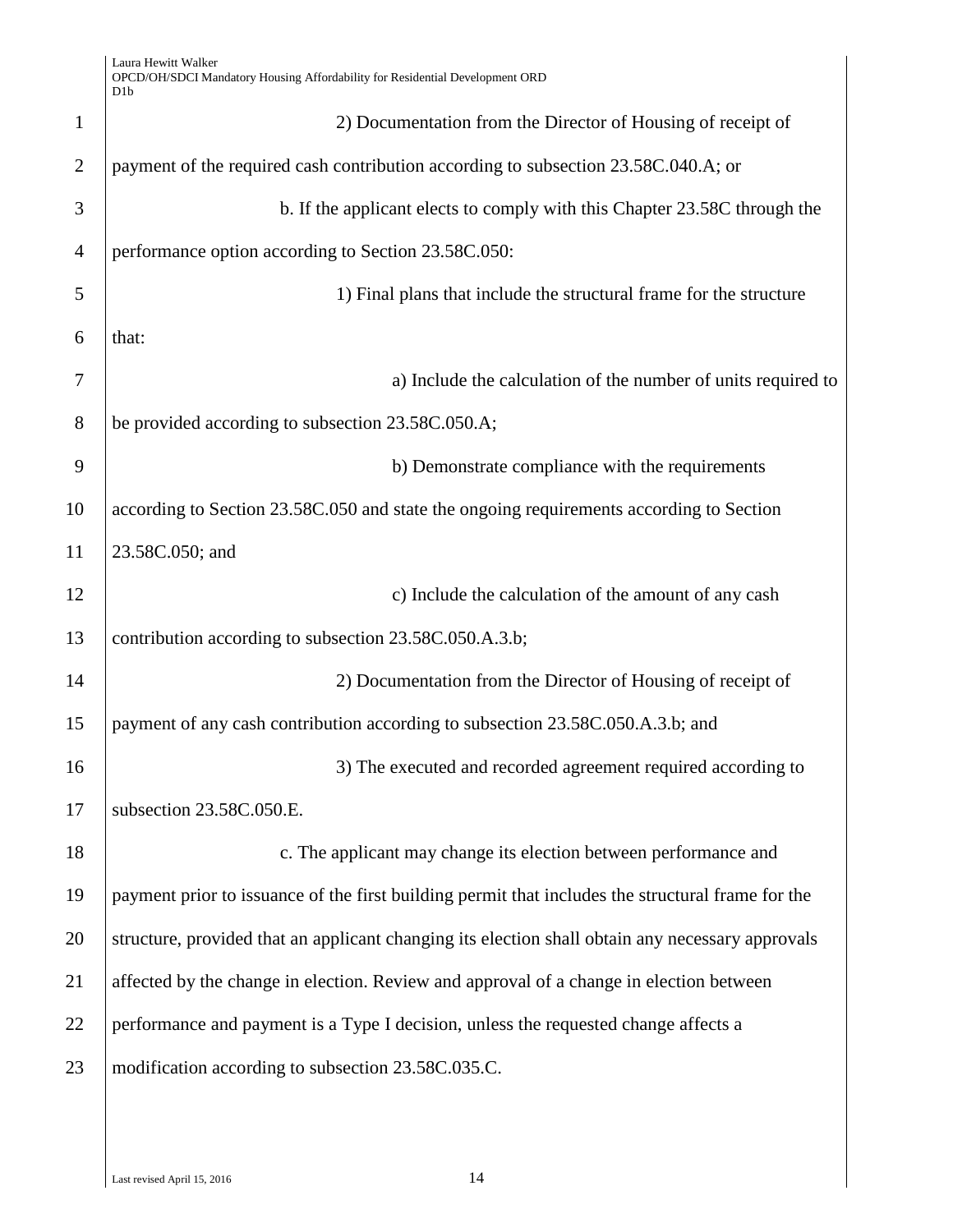| $\mathbf{1}$   | 2) Documentation from the Director of Housing of receipt of                                       |
|----------------|---------------------------------------------------------------------------------------------------|
| $\overline{2}$ | payment of the required cash contribution according to subsection 23.58C.040.A; or                |
|                |                                                                                                   |
| 3              | b. If the applicant elects to comply with this Chapter 23.58C through the                         |
| $\overline{4}$ | performance option according to Section 23.58C.050:                                               |
| 5              | 1) Final plans that include the structural frame for the structure                                |
| 6              | that:                                                                                             |
| 7              | a) Include the calculation of the number of units required to                                     |
| 8              | be provided according to subsection 23.58C.050.A;                                                 |
| 9              | b) Demonstrate compliance with the requirements                                                   |
| 10             | according to Section 23.58C.050 and state the ongoing requirements according to Section           |
| 11             | 23.58C.050; and                                                                                   |
| 12             | c) Include the calculation of the amount of any cash                                              |
| 13             | contribution according to subsection 23.58C.050.A.3.b;                                            |
| 14             | 2) Documentation from the Director of Housing of receipt of                                       |
| 15             | payment of any cash contribution according to subsection 23.58C.050.A.3.b; and                    |
| 16             | 3) The executed and recorded agreement required according to                                      |
| 17             | subsection 23.58C.050.E.                                                                          |
| 18             | c. The applicant may change its election between performance and                                  |
| 19             | payment prior to issuance of the first building permit that includes the structural frame for the |
| 20             | structure, provided that an applicant changing its election shall obtain any necessary approvals  |
| 21             | affected by the change in election. Review and approval of a change in election between           |
| 22             | performance and payment is a Type I decision, unless the requested change affects a               |
| 23             | modification according to subsection 23.58C.035.C.                                                |
|                |                                                                                                   |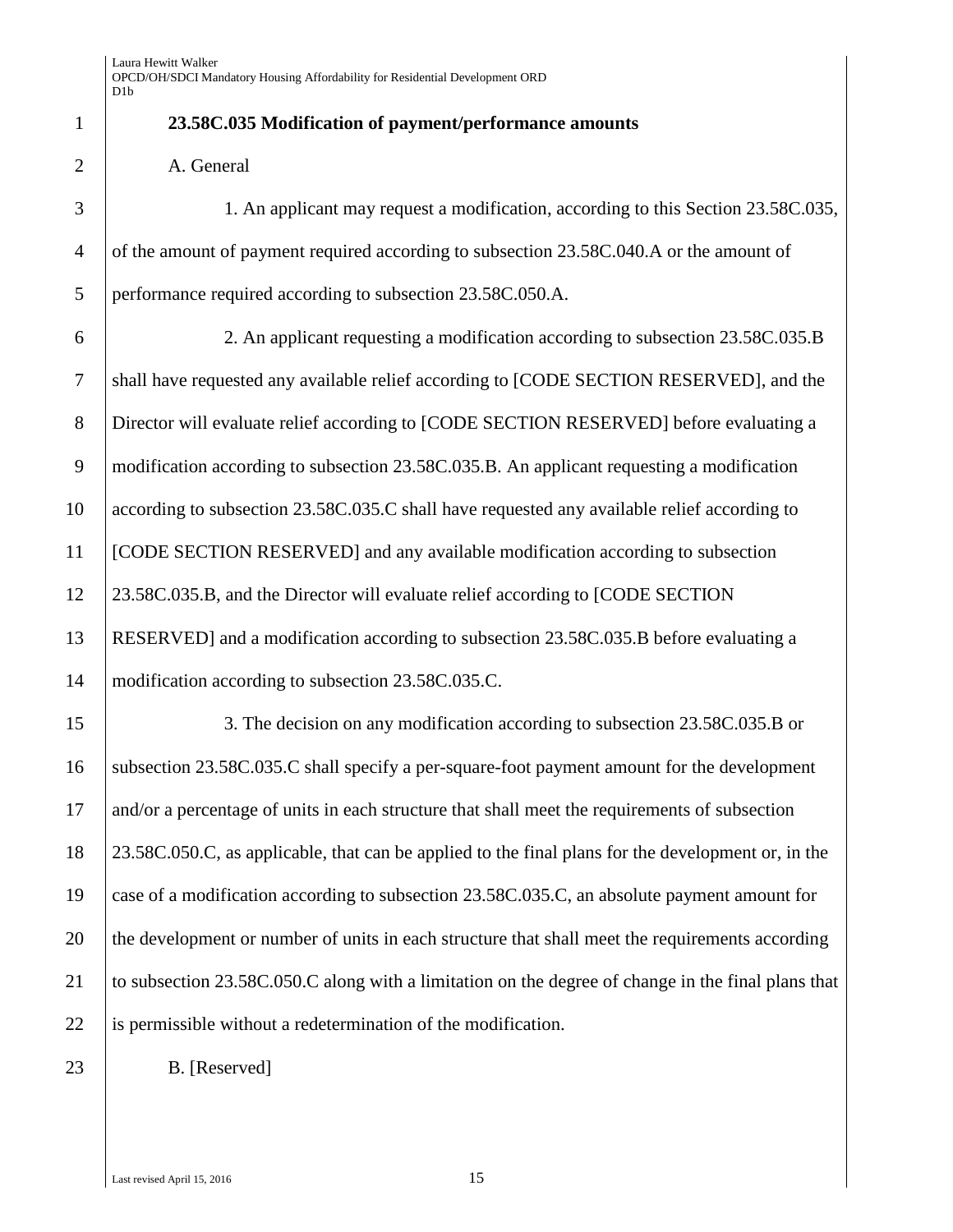| $\mathbf{1}$   | 23.58C.035 Modification of payment/performance amounts                                             |
|----------------|----------------------------------------------------------------------------------------------------|
| $\overline{2}$ | A. General                                                                                         |
| 3              | 1. An applicant may request a modification, according to this Section 23.58C.035,                  |
| $\overline{4}$ | of the amount of payment required according to subsection 23.58C.040.A or the amount of            |
| 5              | performance required according to subsection 23.58C.050.A.                                         |
| 6              | 2. An applicant requesting a modification according to subsection 23.58C.035.B                     |
| $\tau$         | shall have requested any available relief according to [CODE SECTION RESERVED], and the            |
| $8\,$          | Director will evaluate relief according to [CODE SECTION RESERVED] before evaluating a             |
| $\mathbf{9}$   | modification according to subsection 23.58C.035.B. An applicant requesting a modification          |
| 10             | according to subsection 23.58C.035.C shall have requested any available relief according to        |
| 11             | [CODE SECTION RESERVED] and any available modification according to subsection                     |
| 12             | 23.58C.035.B, and the Director will evaluate relief according to [CODE SECTION                     |
| 13             | RESERVED] and a modification according to subsection 23.58C.035.B before evaluating a              |
| 14             | modification according to subsection 23.58C.035.C.                                                 |
| 15             | 3. The decision on any modification according to subsection 23.58C.035.B or                        |
| 16             | subsection 23.58C.035.C shall specify a per-square-foot payment amount for the development         |
| 17             | and/or a percentage of units in each structure that shall meet the requirements of subsection      |
| 18             | 23.58C.050.C, as applicable, that can be applied to the final plans for the development or, in the |
| 19             | case of a modification according to subsection 23.58C.035.C, an absolute payment amount for        |
| 20             | the development or number of units in each structure that shall meet the requirements according    |
| 21             | to subsection 23.58C.050.C along with a limitation on the degree of change in the final plans that |
| 22             | is permissible without a redetermination of the modification.                                      |
| 23             | B. [Reserved]                                                                                      |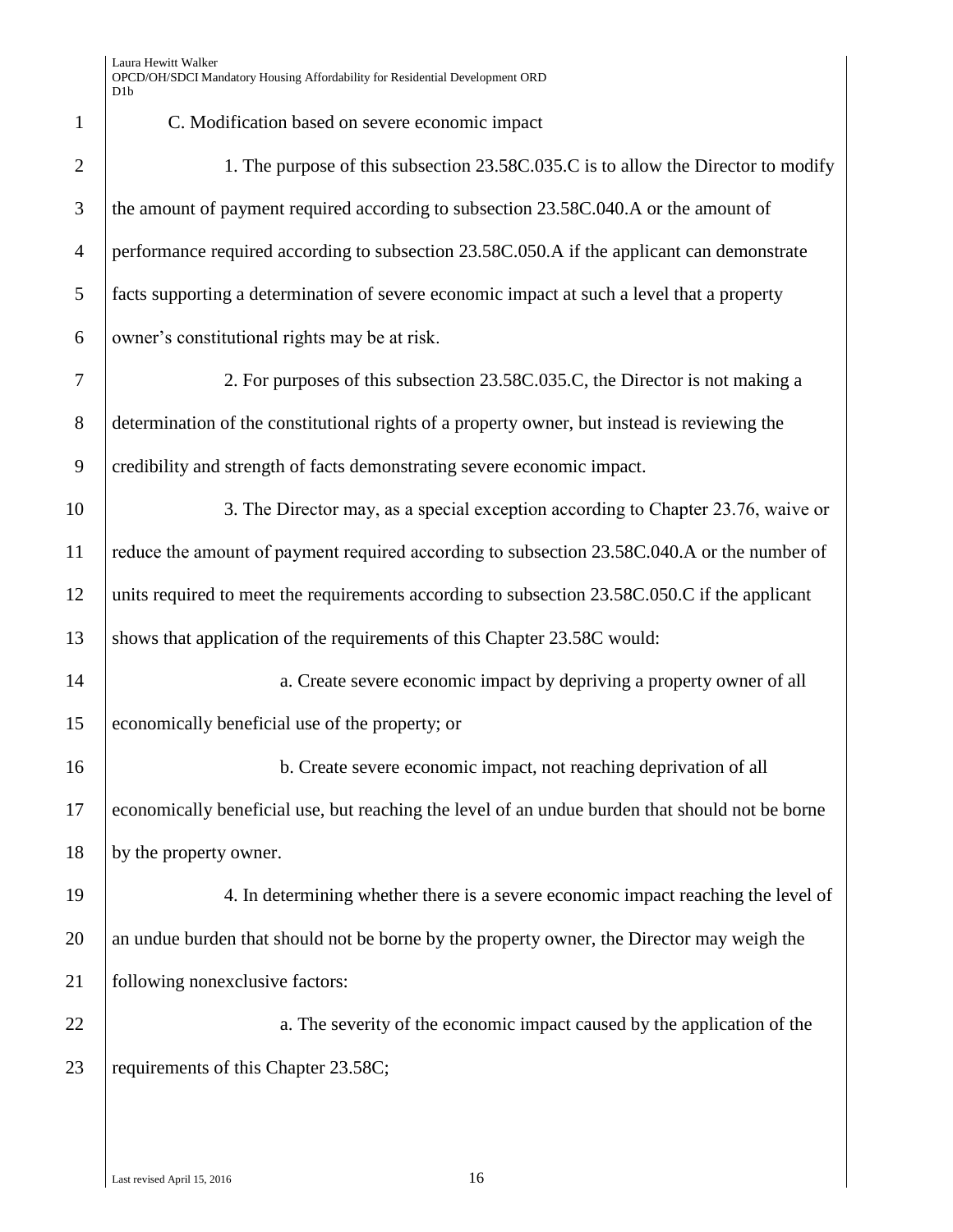| $\mathbf{1}$   | C. Modification based on severe economic impact                                                 |
|----------------|-------------------------------------------------------------------------------------------------|
| $\overline{2}$ | 1. The purpose of this subsection 23.58C.035.C is to allow the Director to modify               |
| 3              | the amount of payment required according to subsection 23.58C.040.A or the amount of            |
| $\overline{4}$ | performance required according to subsection 23.58C.050.A if the applicant can demonstrate      |
| 5              | facts supporting a determination of severe economic impact at such a level that a property      |
| 6              | owner's constitutional rights may be at risk.                                                   |
| 7              | 2. For purposes of this subsection 23.58C.035.C, the Director is not making a                   |
| $8\,$          | determination of the constitutional rights of a property owner, but instead is reviewing the    |
| 9              | credibility and strength of facts demonstrating severe economic impact.                         |
| 10             | 3. The Director may, as a special exception according to Chapter 23.76, waive or                |
| 11             | reduce the amount of payment required according to subsection 23.58C.040.A or the number of     |
| 12             | units required to meet the requirements according to subsection 23.58C.050.C if the applicant   |
| 13             | shows that application of the requirements of this Chapter 23.58C would:                        |
| 14             | a. Create severe economic impact by depriving a property owner of all                           |
| 15             | economically beneficial use of the property; or                                                 |
| 16             | b. Create severe economic impact, not reaching deprivation of all                               |
| 17             | economically beneficial use, but reaching the level of an undue burden that should not be borne |
| 18             | by the property owner.                                                                          |
| 19             | 4. In determining whether there is a severe economic impact reaching the level of               |
| 20             | an undue burden that should not be borne by the property owner, the Director may weigh the      |
| 21             | following nonexclusive factors:                                                                 |
| 22             | a. The severity of the economic impact caused by the application of the                         |
| 23             | requirements of this Chapter 23.58C;                                                            |
|                |                                                                                                 |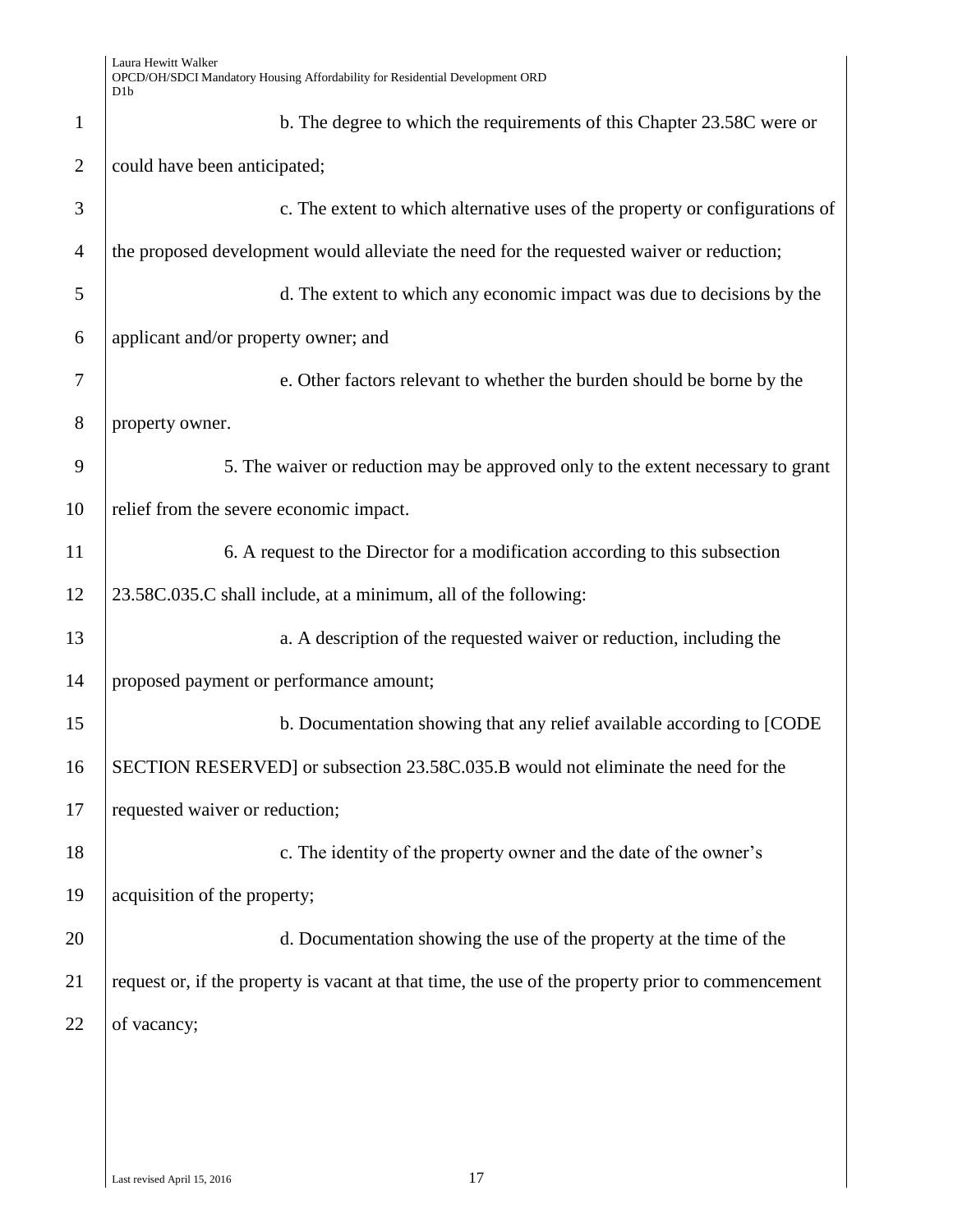| $\mathbf{1}$   | b. The degree to which the requirements of this Chapter 23.58C were or                            |
|----------------|---------------------------------------------------------------------------------------------------|
| $\overline{2}$ | could have been anticipated;                                                                      |
| 3              | c. The extent to which alternative uses of the property or configurations of                      |
| $\overline{4}$ | the proposed development would alleviate the need for the requested waiver or reduction;          |
| 5              | d. The extent to which any economic impact was due to decisions by the                            |
| 6              | applicant and/or property owner; and                                                              |
| 7              | e. Other factors relevant to whether the burden should be borne by the                            |
| 8              | property owner.                                                                                   |
| 9              | 5. The waiver or reduction may be approved only to the extent necessary to grant                  |
| 10             | relief from the severe economic impact.                                                           |
| 11             | 6. A request to the Director for a modification according to this subsection                      |
| 12             | 23.58C.035.C shall include, at a minimum, all of the following:                                   |
| 13             | a. A description of the requested waiver or reduction, including the                              |
| 14             | proposed payment or performance amount;                                                           |
| 15             | b. Documentation showing that any relief available according to [CODE]                            |
| 16             | SECTION RESERVED] or subsection 23.58C.035.B would not eliminate the need for the                 |
| 17             | requested waiver or reduction;                                                                    |
| 18             | c. The identity of the property owner and the date of the owner's                                 |
| 19             | acquisition of the property;                                                                      |
| 20             | d. Documentation showing the use of the property at the time of the                               |
| 21             | request or, if the property is vacant at that time, the use of the property prior to commencement |
| 22             | of vacancy;                                                                                       |
|                |                                                                                                   |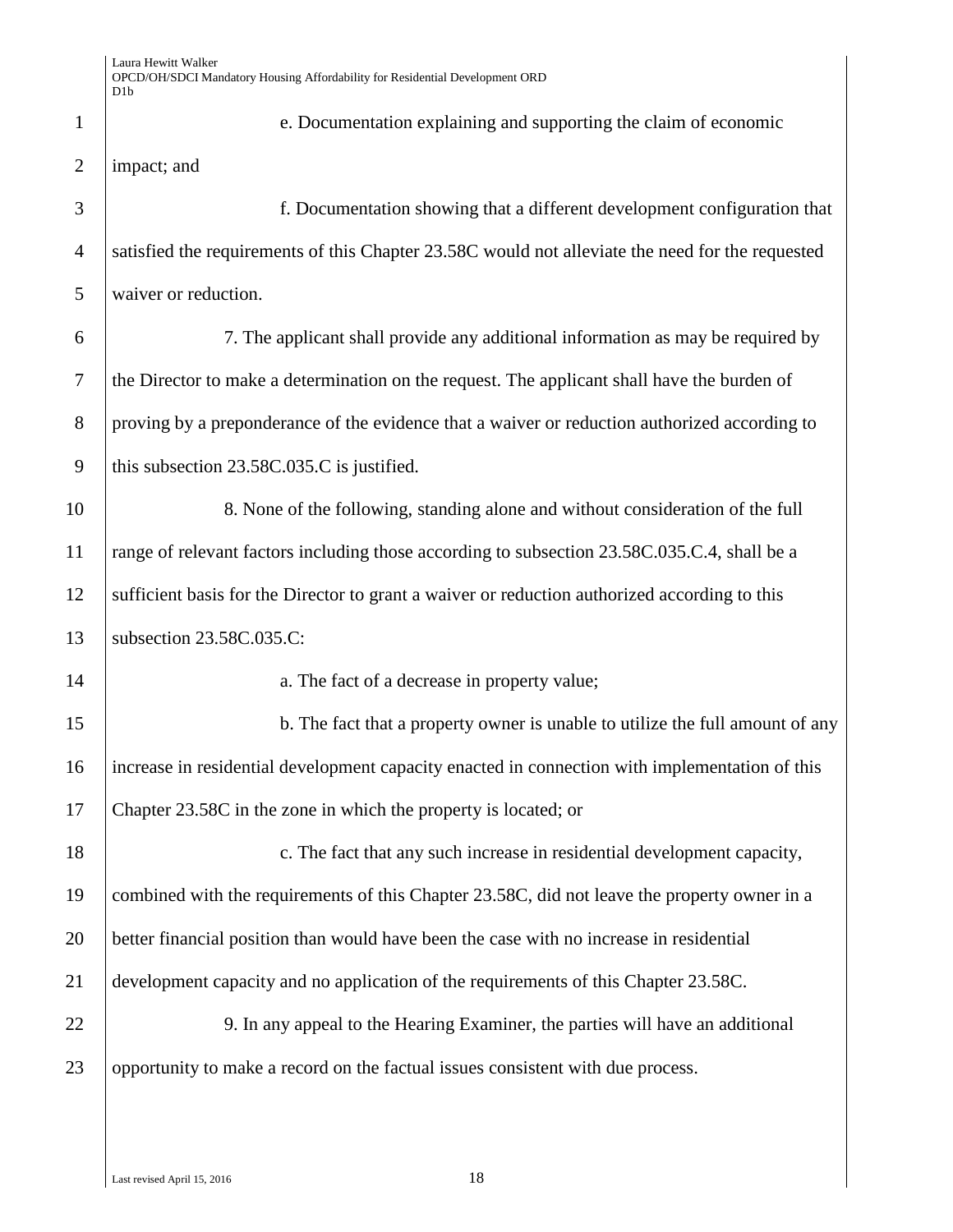| $\mathbf{1}$   | e. Documentation explaining and supporting the claim of economic                                 |
|----------------|--------------------------------------------------------------------------------------------------|
| $\overline{2}$ | impact; and                                                                                      |
| 3              | f. Documentation showing that a different development configuration that                         |
| $\overline{4}$ | satisfied the requirements of this Chapter 23.58C would not alleviate the need for the requested |
| 5              | waiver or reduction.                                                                             |
| 6              | 7. The applicant shall provide any additional information as may be required by                  |
| $\tau$         | the Director to make a determination on the request. The applicant shall have the burden of      |
| 8              | proving by a preponderance of the evidence that a waiver or reduction authorized according to    |
| 9              | this subsection 23.58C.035.C is justified.                                                       |
| 10             | 8. None of the following, standing alone and without consideration of the full                   |
| 11             | range of relevant factors including those according to subsection 23.58C.035.C.4, shall be a     |
| 12             | sufficient basis for the Director to grant a waiver or reduction authorized according to this    |
| 13             | subsection 23.58C.035.C:                                                                         |
| 14             | a. The fact of a decrease in property value;                                                     |
| 15             | b. The fact that a property owner is unable to utilize the full amount of any                    |
| 16             | increase in residential development capacity enacted in connection with implementation of this   |
| 17             | Chapter 23.58C in the zone in which the property is located; or                                  |
| 18             | c. The fact that any such increase in residential development capacity,                          |
| 19             | combined with the requirements of this Chapter 23.58C, did not leave the property owner in a     |
| 20             | better financial position than would have been the case with no increase in residential          |
| 21             | development capacity and no application of the requirements of this Chapter 23.58C.              |
| 22             | 9. In any appeal to the Hearing Examiner, the parties will have an additional                    |
| 23             | opportunity to make a record on the factual issues consistent with due process.                  |
|                |                                                                                                  |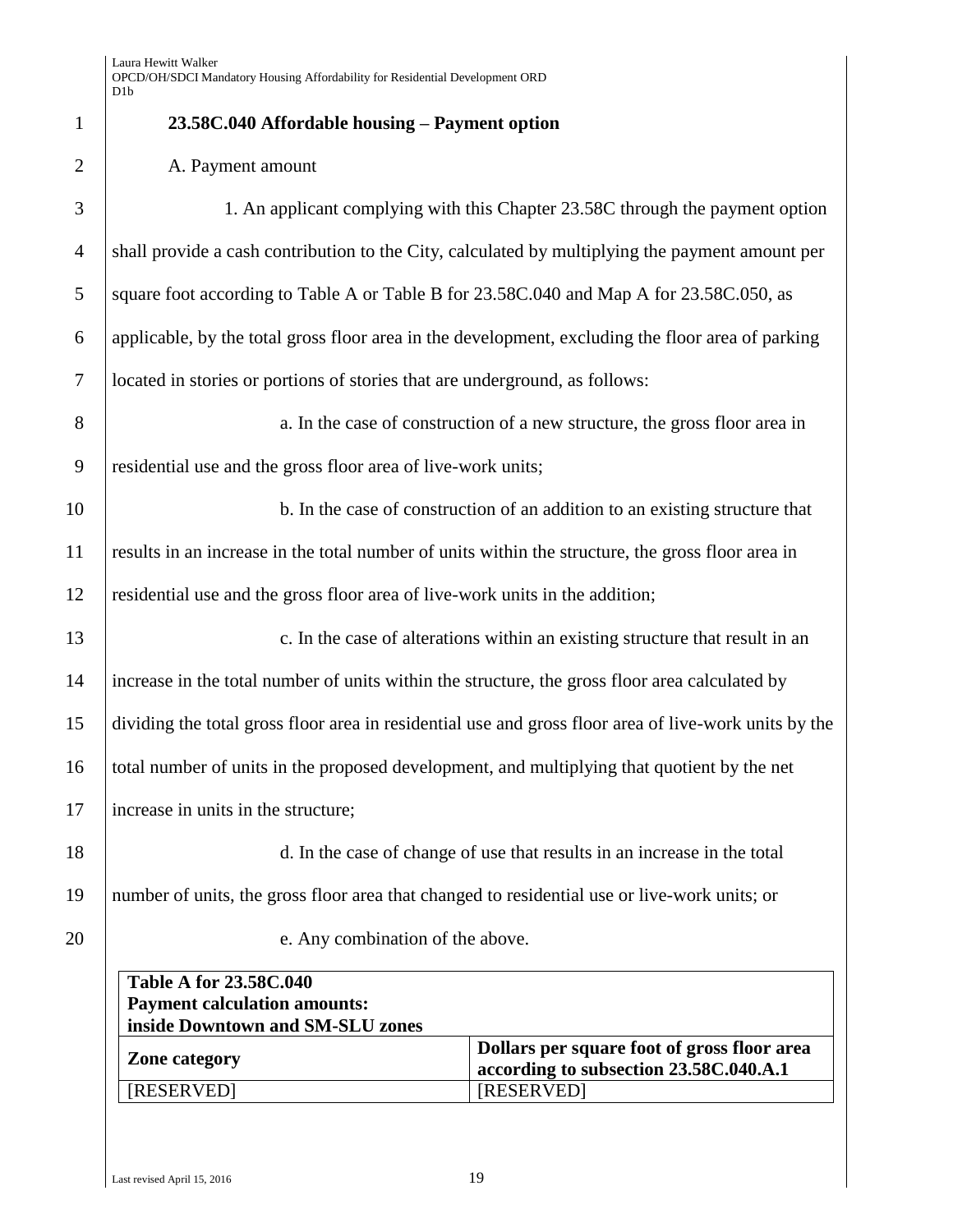|               | $\mathbf{1}$    |
|---------------|-----------------|
|               | $\overline{2}$  |
|               | 3               |
|               | $\overline{A}$  |
|               | 5               |
|               | $\epsilon$      |
|               | $\overline{7}$  |
|               | 8               |
|               | $\overline{g}$  |
| 10            |                 |
| $\frac{1}{1}$ |                 |
| $\frac{1}{2}$ |                 |
| 13            |                 |
| 14            |                 |
| 15            |                 |
| 16            |                 |
| $\mathfrak l$ | f               |
| 18            |                 |
|               | 19              |
|               | $\overline{20}$ |

# **23.58C.040 Affordable housing – Payment option**

### A. Payment amount

| 3              | 1. An applicant complying with this Chapter 23.58C through the payment option                            |
|----------------|----------------------------------------------------------------------------------------------------------|
| $\overline{4}$ | shall provide a cash contribution to the City, calculated by multiplying the payment amount per          |
| 5              | square foot according to Table A or Table B for 23.58C.040 and Map A for 23.58C.050, as                  |
| 6              | applicable, by the total gross floor area in the development, excluding the floor area of parking        |
| $\tau$         | located in stories or portions of stories that are underground, as follows:                              |
| 8              | a. In the case of construction of a new structure, the gross floor area in                               |
| 9              | residential use and the gross floor area of live-work units;                                             |
| 10             | b. In the case of construction of an addition to an existing structure that                              |
| 11             | results in an increase in the total number of units within the structure, the gross floor area in        |
| 12             | residential use and the gross floor area of live-work units in the addition;                             |
| 13             | c. In the case of alterations within an existing structure that result in an                             |
| 14             | increase in the total number of units within the structure, the gross floor area calculated by           |
| 15             | dividing the total gross floor area in residential use and gross floor area of live-work units by the    |
| 16             | total number of units in the proposed development, and multiplying that quotient by the net              |
| 17             | increase in units in the structure;                                                                      |
| 18             | d. In the case of change of use that results in an increase in the total                                 |
| 19             | number of units, the gross floor area that changed to residential use or live-work units; or             |
| 20             | e. Any combination of the above.                                                                         |
|                | <b>Table A for 23.58C.040</b><br><b>Payment calculation amounts:</b><br>inside Downtown and SM-SLU zones |
|                |                                                                                                          |

| <b>Zone category</b> | Dollars per square foot of gross floor area<br>according to subsection 23.58C.040.A.1 |
|----------------------|---------------------------------------------------------------------------------------|
| [RESERVED]           | [RESERVED]                                                                            |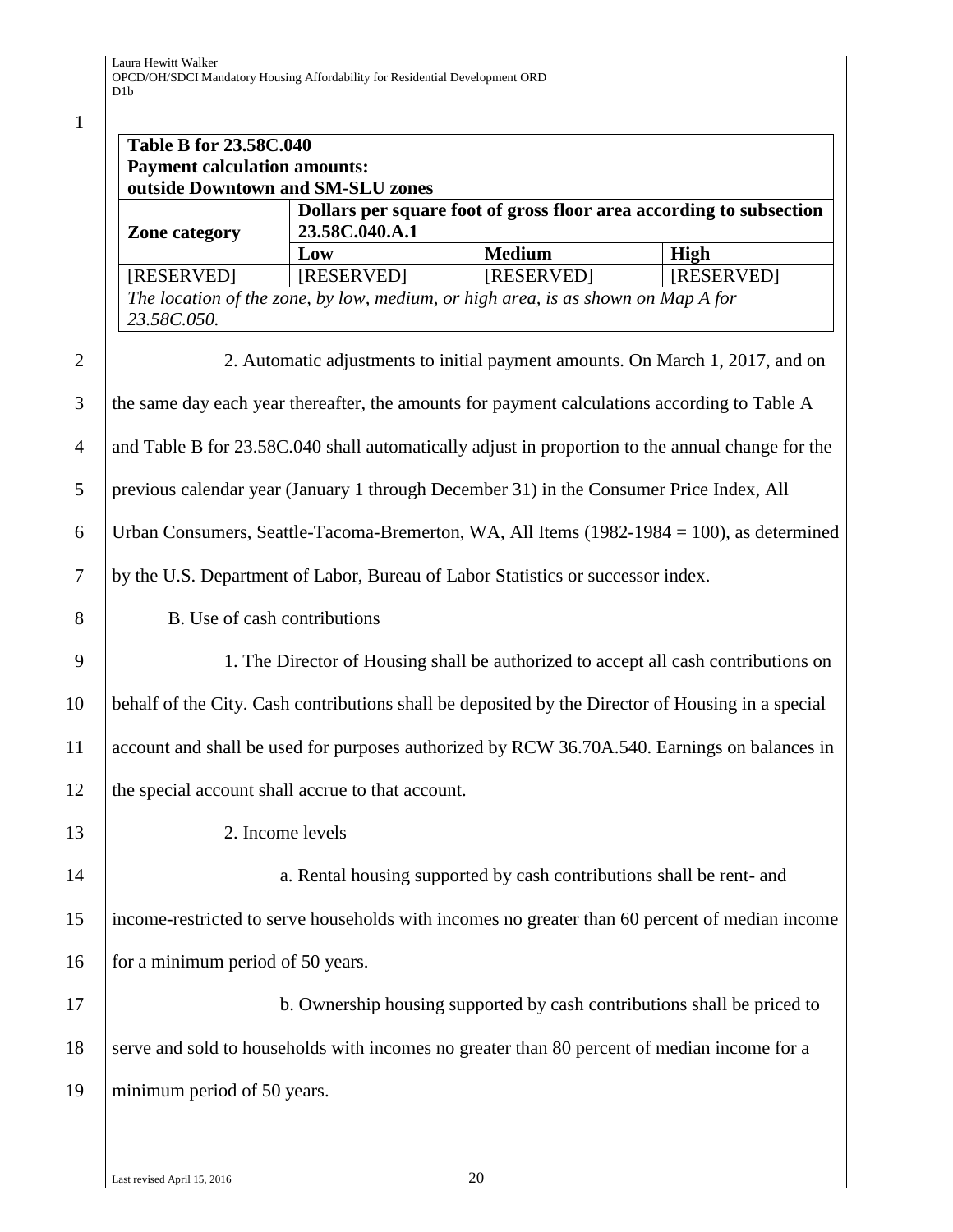1

|                | <b>Table B for 23.58C.040</b>                     |                                                                                       |                                                                                              |                                                                                                   |
|----------------|---------------------------------------------------|---------------------------------------------------------------------------------------|----------------------------------------------------------------------------------------------|---------------------------------------------------------------------------------------------------|
|                | <b>Payment calculation amounts:</b>               |                                                                                       |                                                                                              |                                                                                                   |
|                | outside Downtown and SM-SLU zones                 |                                                                                       |                                                                                              |                                                                                                   |
|                | <b>Zone category</b>                              | Dollars per square foot of gross floor area according to subsection<br>23.58C.040.A.1 |                                                                                              |                                                                                                   |
|                |                                                   | Low                                                                                   | <b>Medium</b>                                                                                | High                                                                                              |
|                | [RESERVED]                                        | [RESERVED]                                                                            | [RESERVED]                                                                                   | [RESERVED]                                                                                        |
|                | 23.58C.050.                                       |                                                                                       | The location of the zone, by low, medium, or high area, is as shown on Map A for             |                                                                                                   |
| $\overline{2}$ |                                                   |                                                                                       |                                                                                              | 2. Automatic adjustments to initial payment amounts. On March 1, 2017, and on                     |
| 3              |                                                   |                                                                                       | the same day each year thereafter, the amounts for payment calculations according to Table A |                                                                                                   |
| $\overline{4}$ |                                                   |                                                                                       |                                                                                              | and Table B for 23.58C.040 shall automatically adjust in proportion to the annual change for the  |
| 5              |                                                   |                                                                                       | previous calendar year (January 1 through December 31) in the Consumer Price Index, All      |                                                                                                   |
| 6              |                                                   |                                                                                       |                                                                                              | Urban Consumers, Seattle-Tacoma-Bremerton, WA, All Items (1982-1984 = 100), as determined         |
| 7              |                                                   |                                                                                       | by the U.S. Department of Labor, Bureau of Labor Statistics or successor index.              |                                                                                                   |
| 8              | B. Use of cash contributions                      |                                                                                       |                                                                                              |                                                                                                   |
| 9              |                                                   |                                                                                       |                                                                                              | 1. The Director of Housing shall be authorized to accept all cash contributions on                |
| 10             |                                                   |                                                                                       |                                                                                              | behalf of the City. Cash contributions shall be deposited by the Director of Housing in a special |
| 11             |                                                   |                                                                                       |                                                                                              | account and shall be used for purposes authorized by RCW 36.70A.540. Earnings on balances in      |
| 12             | the special account shall accrue to that account. |                                                                                       |                                                                                              |                                                                                                   |
| 13             |                                                   | 2. Income levels                                                                      |                                                                                              |                                                                                                   |
| 14             |                                                   |                                                                                       | a. Rental housing supported by cash contributions shall be rent- and                         |                                                                                                   |
| 15             |                                                   |                                                                                       |                                                                                              | income-restricted to serve households with incomes no greater than 60 percent of median income    |
| 16             | for a minimum period of 50 years.                 |                                                                                       |                                                                                              |                                                                                                   |
| 17             |                                                   |                                                                                       | b. Ownership housing supported by cash contributions shall be priced to                      |                                                                                                   |
| 18             |                                                   |                                                                                       | serve and sold to households with incomes no greater than 80 percent of median income for a  |                                                                                                   |
| 19             | minimum period of 50 years.                       |                                                                                       |                                                                                              |                                                                                                   |
|                |                                                   |                                                                                       |                                                                                              |                                                                                                   |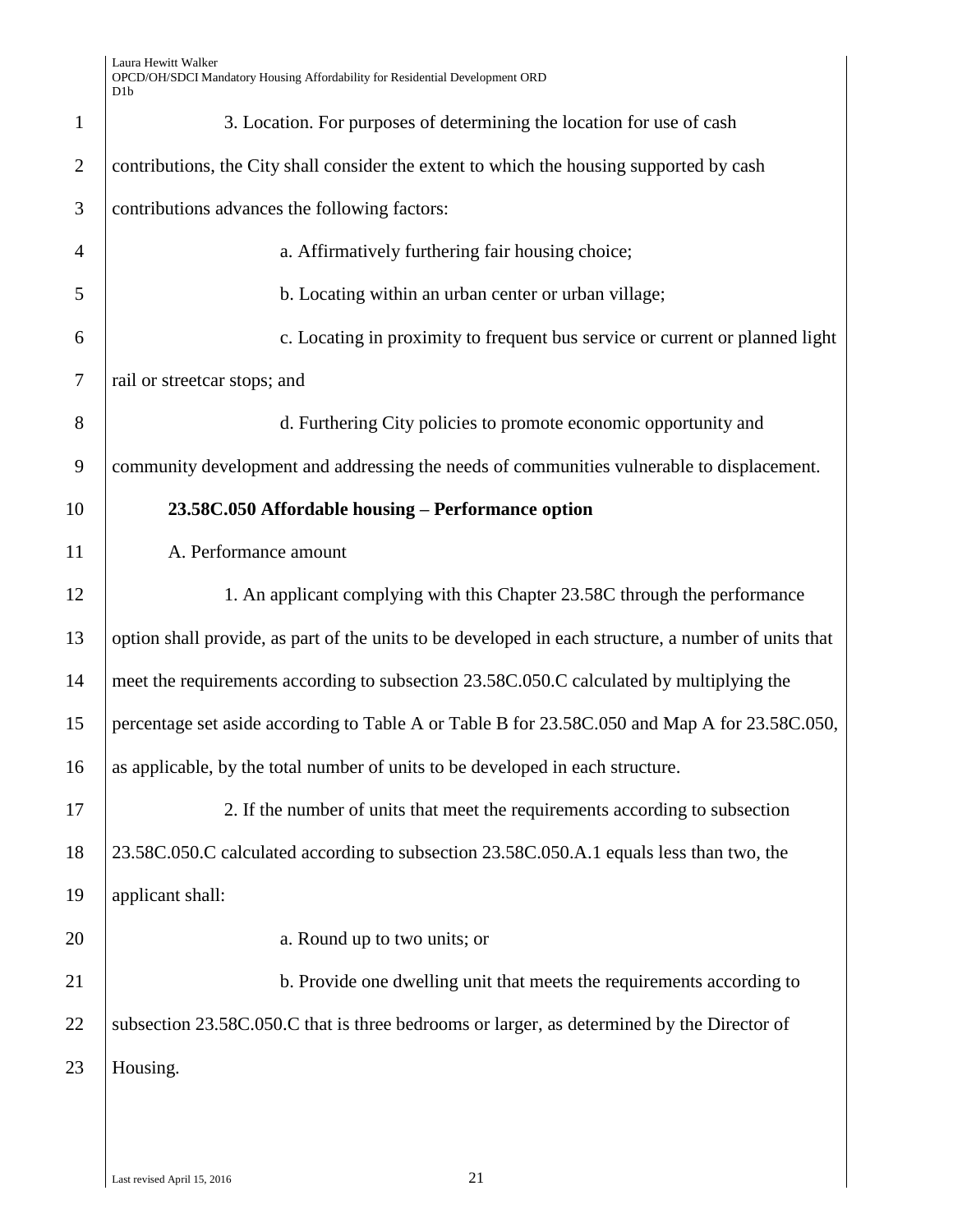| $\mathbf{1}$   | 3. Location. For purposes of determining the location for use of cash                                |
|----------------|------------------------------------------------------------------------------------------------------|
| $\overline{2}$ | contributions, the City shall consider the extent to which the housing supported by cash             |
| 3              | contributions advances the following factors:                                                        |
| $\overline{4}$ | a. Affirmatively furthering fair housing choice;                                                     |
| 5              | b. Locating within an urban center or urban village;                                                 |
| 6              | c. Locating in proximity to frequent bus service or current or planned light                         |
| $\tau$         | rail or streetcar stops; and                                                                         |
| 8              | d. Furthering City policies to promote economic opportunity and                                      |
| 9              | community development and addressing the needs of communities vulnerable to displacement.            |
| 10             | 23.58C.050 Affordable housing – Performance option                                                   |
| 11             | A. Performance amount                                                                                |
| 12             | 1. An applicant complying with this Chapter 23.58C through the performance                           |
| 13             | option shall provide, as part of the units to be developed in each structure, a number of units that |
| 14             | meet the requirements according to subsection 23.58C.050.C calculated by multiplying the             |
| 15             | percentage set aside according to Table A or Table B for 23.58C.050 and Map A for 23.58C.050,        |
| 16             | as applicable, by the total number of units to be developed in each structure.                       |
| 17             | 2. If the number of units that meet the requirements according to subsection                         |
| 18             | 23.58C.050.C calculated according to subsection 23.58C.050.A.1 equals less than two, the             |
| 19             | applicant shall:                                                                                     |
| 20             | a. Round up to two units; or                                                                         |
| 21             | b. Provide one dwelling unit that meets the requirements according to                                |
| 22             | subsection 23.58C.050.C that is three bedrooms or larger, as determined by the Director of           |
| 23             | Housing.                                                                                             |
|                |                                                                                                      |
|                |                                                                                                      |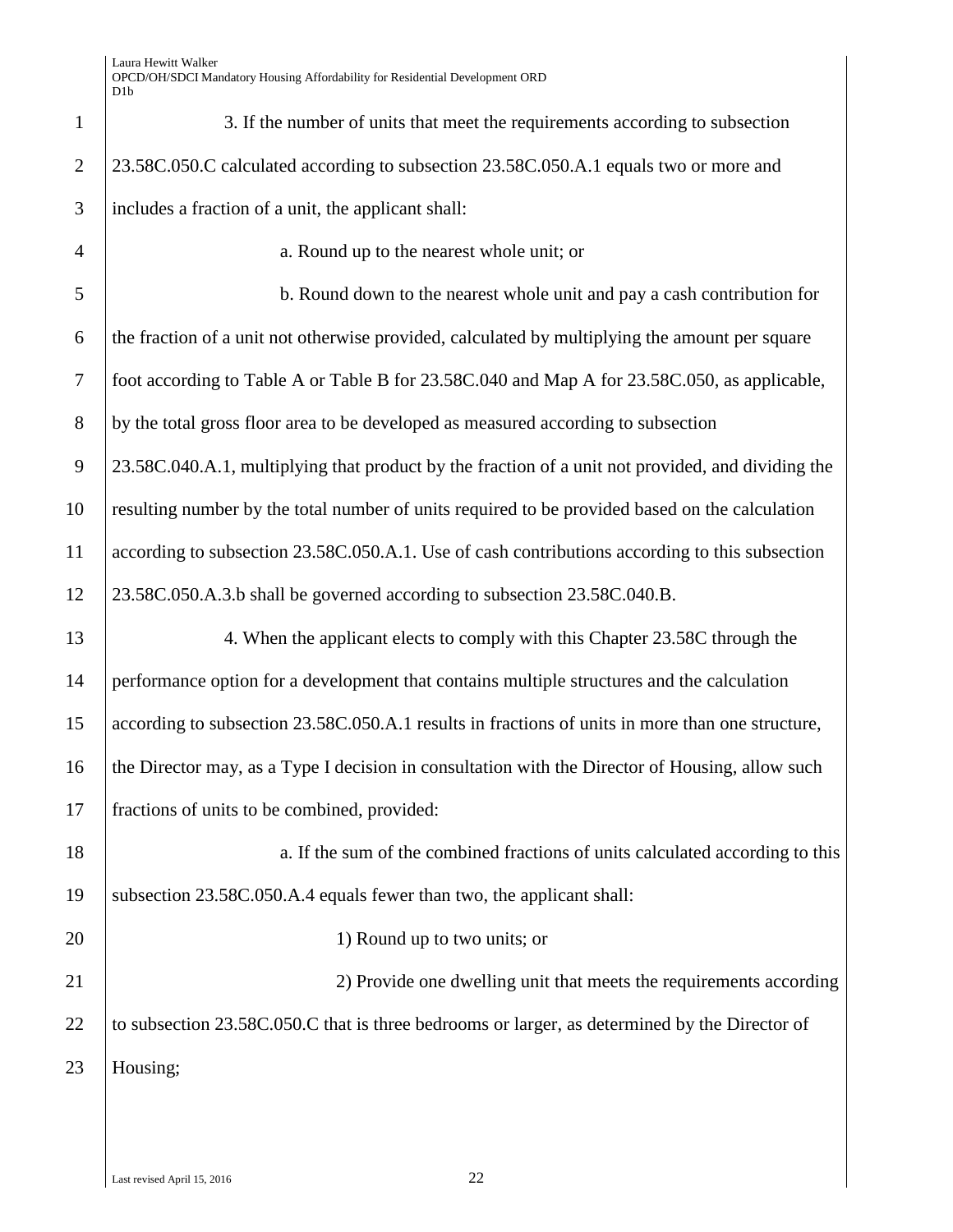| $\mathbf{1}$   | 3. If the number of units that meet the requirements according to subsection                      |
|----------------|---------------------------------------------------------------------------------------------------|
| $\overline{2}$ | 23.58C.050.C calculated according to subsection 23.58C.050.A.1 equals two or more and             |
| 3              | includes a fraction of a unit, the applicant shall:                                               |
| $\overline{4}$ | a. Round up to the nearest whole unit; or                                                         |
| 5              | b. Round down to the nearest whole unit and pay a cash contribution for                           |
| 6              | the fraction of a unit not otherwise provided, calculated by multiplying the amount per square    |
| $\tau$         | foot according to Table A or Table B for 23.58C.040 and Map A for 23.58C.050, as applicable,      |
| 8              | by the total gross floor area to be developed as measured according to subsection                 |
| 9              | 23.58C.040.A.1, multiplying that product by the fraction of a unit not provided, and dividing the |
| 10             | resulting number by the total number of units required to be provided based on the calculation    |
| 11             | according to subsection 23.58C.050.A.1. Use of cash contributions according to this subsection    |
| 12             | 23.58C.050.A.3.b shall be governed according to subsection 23.58C.040.B.                          |
| 13             | 4. When the applicant elects to comply with this Chapter 23.58C through the                       |
| 14             | performance option for a development that contains multiple structures and the calculation        |
| 15             | according to subsection 23.58C.050.A.1 results in fractions of units in more than one structure,  |
| 16             | the Director may, as a Type I decision in consultation with the Director of Housing, allow such   |
| 17             | fractions of units to be combined, provided:                                                      |
| 18             | a. If the sum of the combined fractions of units calculated according to this                     |
| 19             | subsection 23.58C.050.A.4 equals fewer than two, the applicant shall:                             |
| 20             | 1) Round up to two units; or                                                                      |
| 21             | 2) Provide one dwelling unit that meets the requirements according                                |
| 22             | to subsection 23.58C.050.C that is three bedrooms or larger, as determined by the Director of     |
| 23             | Housing;                                                                                          |
|                |                                                                                                   |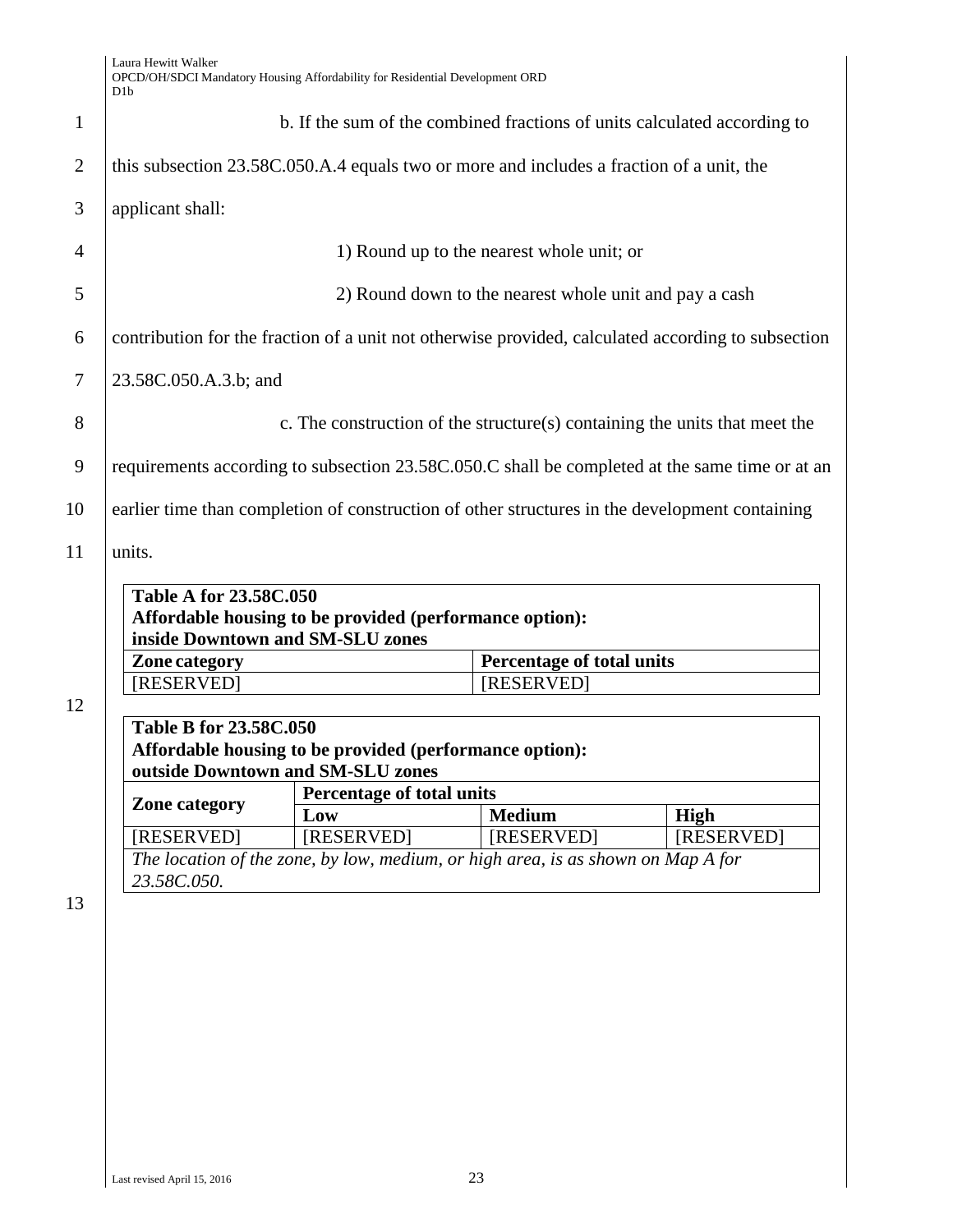| b. If the sum of the combined fractions of units calculated according to                           |                                                                                  |                                                                                                                                                                                                                                                                                                                                                                                                                    |  |
|----------------------------------------------------------------------------------------------------|----------------------------------------------------------------------------------|--------------------------------------------------------------------------------------------------------------------------------------------------------------------------------------------------------------------------------------------------------------------------------------------------------------------------------------------------------------------------------------------------------------------|--|
| this subsection 23.58C.050.A.4 equals two or more and includes a fraction of a unit, the           |                                                                                  |                                                                                                                                                                                                                                                                                                                                                                                                                    |  |
|                                                                                                    |                                                                                  |                                                                                                                                                                                                                                                                                                                                                                                                                    |  |
|                                                                                                    |                                                                                  |                                                                                                                                                                                                                                                                                                                                                                                                                    |  |
|                                                                                                    |                                                                                  |                                                                                                                                                                                                                                                                                                                                                                                                                    |  |
| contribution for the fraction of a unit not otherwise provided, calculated according to subsection |                                                                                  |                                                                                                                                                                                                                                                                                                                                                                                                                    |  |
|                                                                                                    |                                                                                  |                                                                                                                                                                                                                                                                                                                                                                                                                    |  |
|                                                                                                    |                                                                                  |                                                                                                                                                                                                                                                                                                                                                                                                                    |  |
|                                                                                                    |                                                                                  |                                                                                                                                                                                                                                                                                                                                                                                                                    |  |
|                                                                                                    |                                                                                  |                                                                                                                                                                                                                                                                                                                                                                                                                    |  |
|                                                                                                    |                                                                                  |                                                                                                                                                                                                                                                                                                                                                                                                                    |  |
|                                                                                                    |                                                                                  |                                                                                                                                                                                                                                                                                                                                                                                                                    |  |
|                                                                                                    |                                                                                  |                                                                                                                                                                                                                                                                                                                                                                                                                    |  |
| Affordable housing to be provided (performance option):                                            |                                                                                  |                                                                                                                                                                                                                                                                                                                                                                                                                    |  |
| inside Downtown and SM-SLU zones<br>Zone category                                                  |                                                                                  |                                                                                                                                                                                                                                                                                                                                                                                                                    |  |
|                                                                                                    |                                                                                  |                                                                                                                                                                                                                                                                                                                                                                                                                    |  |
|                                                                                                    |                                                                                  |                                                                                                                                                                                                                                                                                                                                                                                                                    |  |
|                                                                                                    | [RESERVED]                                                                       |                                                                                                                                                                                                                                                                                                                                                                                                                    |  |
| Table B for 23.58C.050                                                                             |                                                                                  |                                                                                                                                                                                                                                                                                                                                                                                                                    |  |
| Affordable housing to be provided (performance option):                                            |                                                                                  |                                                                                                                                                                                                                                                                                                                                                                                                                    |  |
| outside Downtown and SM-SLU zones                                                                  |                                                                                  |                                                                                                                                                                                                                                                                                                                                                                                                                    |  |
| <b>Percentage of total units</b>                                                                   |                                                                                  |                                                                                                                                                                                                                                                                                                                                                                                                                    |  |
| Low                                                                                                | <b>Medium</b>                                                                    | <b>High</b>                                                                                                                                                                                                                                                                                                                                                                                                        |  |
| [RESERVED]                                                                                         | [RESERVED]                                                                       | [RESERVED]                                                                                                                                                                                                                                                                                                                                                                                                         |  |
|                                                                                                    | The location of the zone, by low, medium, or high area, is as shown on Map A for |                                                                                                                                                                                                                                                                                                                                                                                                                    |  |
|                                                                                                    |                                                                                  |                                                                                                                                                                                                                                                                                                                                                                                                                    |  |
| 23.58C.050.A.3.b; and                                                                              | <b>Table A for 23.58C.050</b>                                                    | 1) Round up to the nearest whole unit; or<br>2) Round down to the nearest whole unit and pay a cash<br>c. The construction of the structure(s) containing the units that meet the<br>requirements according to subsection 23.58C.050.C shall be completed at the same time or at an<br>earlier time than completion of construction of other structures in the development containing<br>Percentage of total units |  |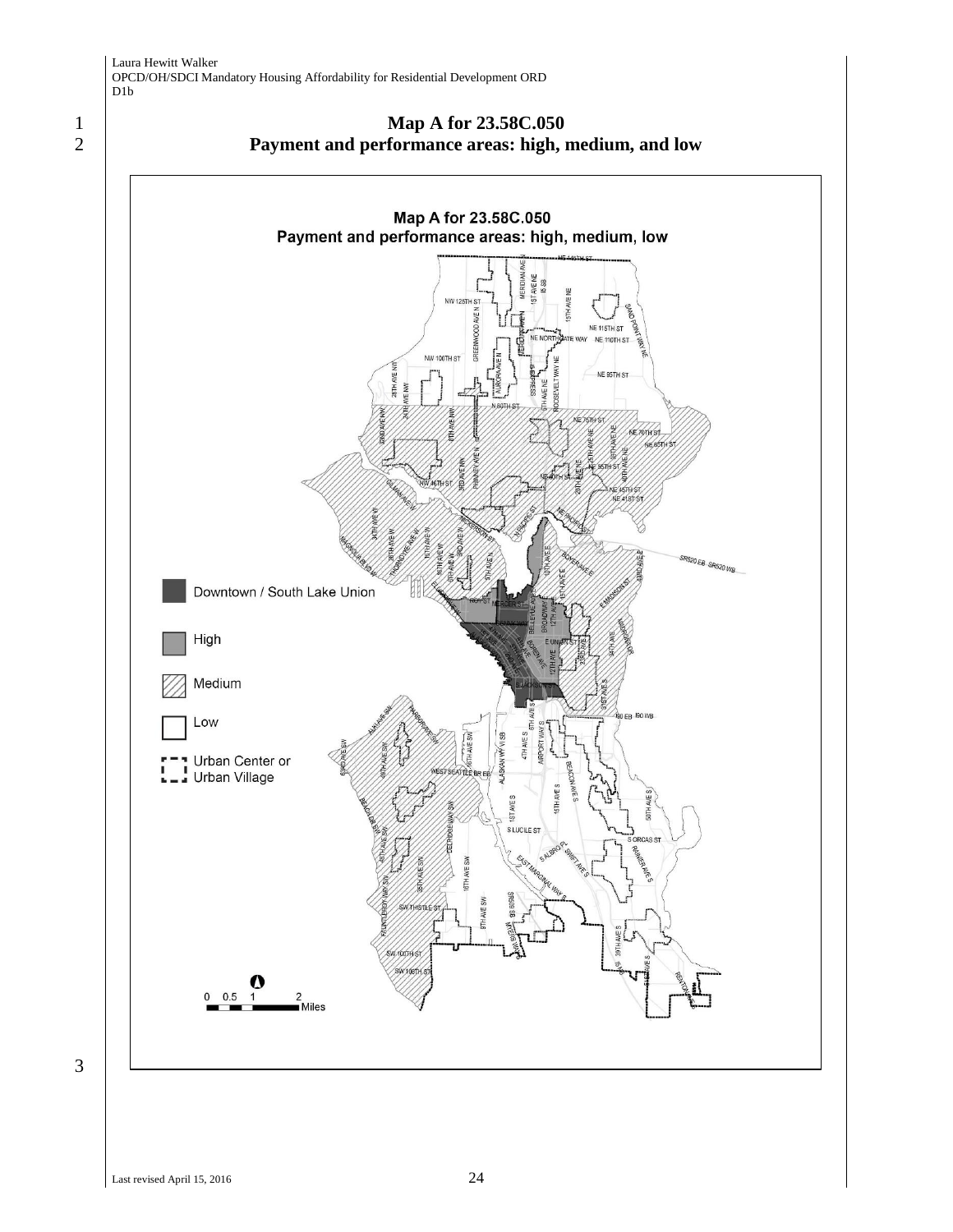





3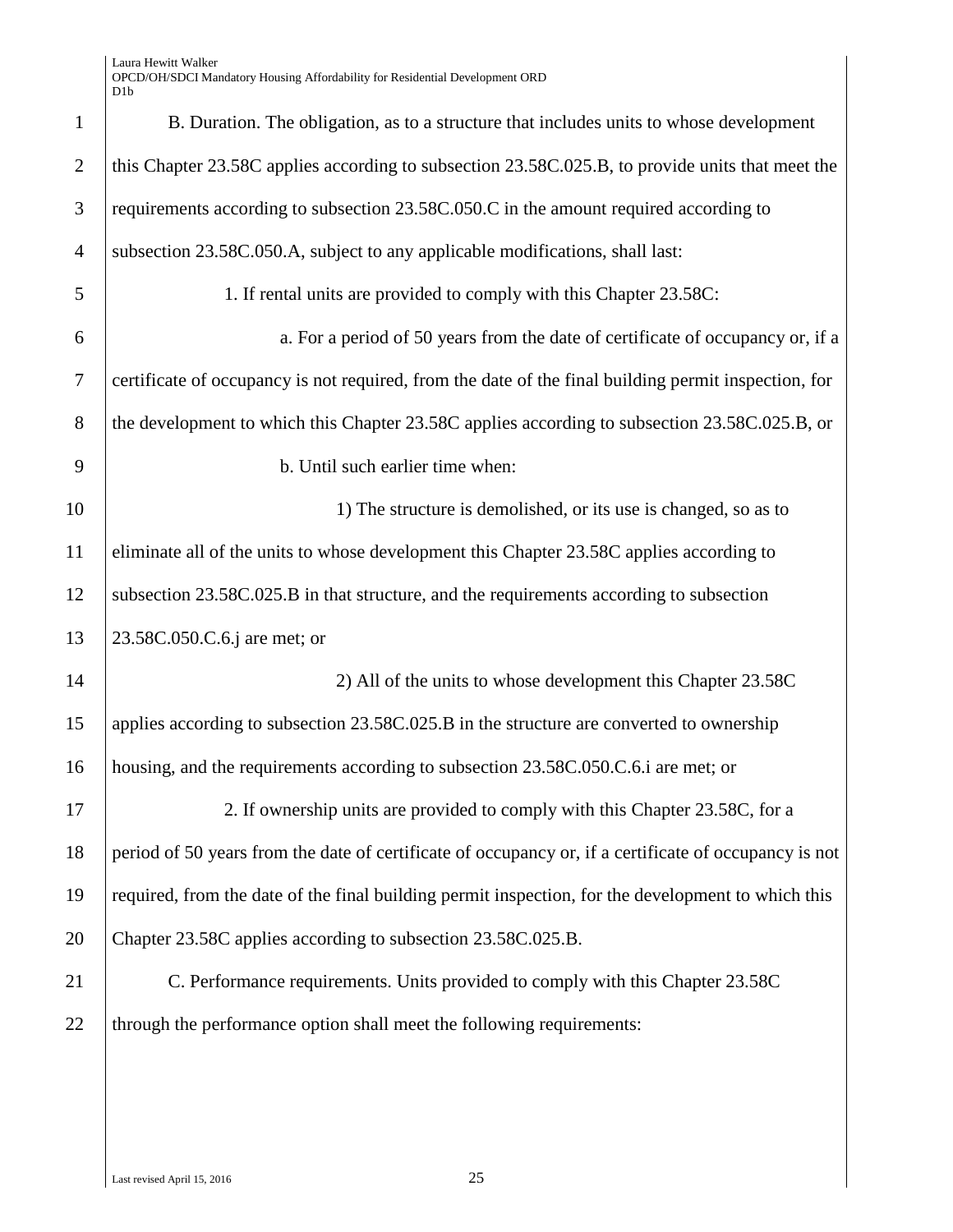Laura Hewitt Walker OPCD/OH/SDCI Mandatory Housing Affordability for Residential Development ORD D1b

| $\mathbf{1}$   | B. Duration. The obligation, as to a structure that includes units to whose development               |
|----------------|-------------------------------------------------------------------------------------------------------|
| $\overline{2}$ | this Chapter 23.58C applies according to subsection 23.58C.025.B, to provide units that meet the      |
| 3              | requirements according to subsection 23.58C.050.C in the amount required according to                 |
| $\overline{4}$ | subsection 23.58C.050.A, subject to any applicable modifications, shall last:                         |
| 5              | 1. If rental units are provided to comply with this Chapter 23.58C:                                   |
| 6              | a. For a period of 50 years from the date of certificate of occupancy or, if a                        |
| 7              | certificate of occupancy is not required, from the date of the final building permit inspection, for  |
| 8              | the development to which this Chapter 23.58C applies according to subsection 23.58C.025.B, or         |
| 9              | b. Until such earlier time when:                                                                      |
| 10             | 1) The structure is demolished, or its use is changed, so as to                                       |
| 11             | eliminate all of the units to whose development this Chapter 23.58C applies according to              |
| 12             | subsection 23.58C.025.B in that structure, and the requirements according to subsection               |
| 13             | 23.58C.050.C.6.j are met; or                                                                          |
| 14             | 2) All of the units to whose development this Chapter 23.58C                                          |
| 15             | applies according to subsection 23.58C.025.B in the structure are converted to ownership              |
| 16             | housing, and the requirements according to subsection 23.58C.050.C.6.i are met; or                    |
| 17             | 2. If ownership units are provided to comply with this Chapter 23.58C, for a                          |
| 18             | period of 50 years from the date of certificate of occupancy or, if a certificate of occupancy is not |
| 19             | required, from the date of the final building permit inspection, for the development to which this    |
| 20             | Chapter 23.58C applies according to subsection 23.58C.025.B.                                          |
| 21             | C. Performance requirements. Units provided to comply with this Chapter 23.58C                        |
| 22             | through the performance option shall meet the following requirements:                                 |
|                |                                                                                                       |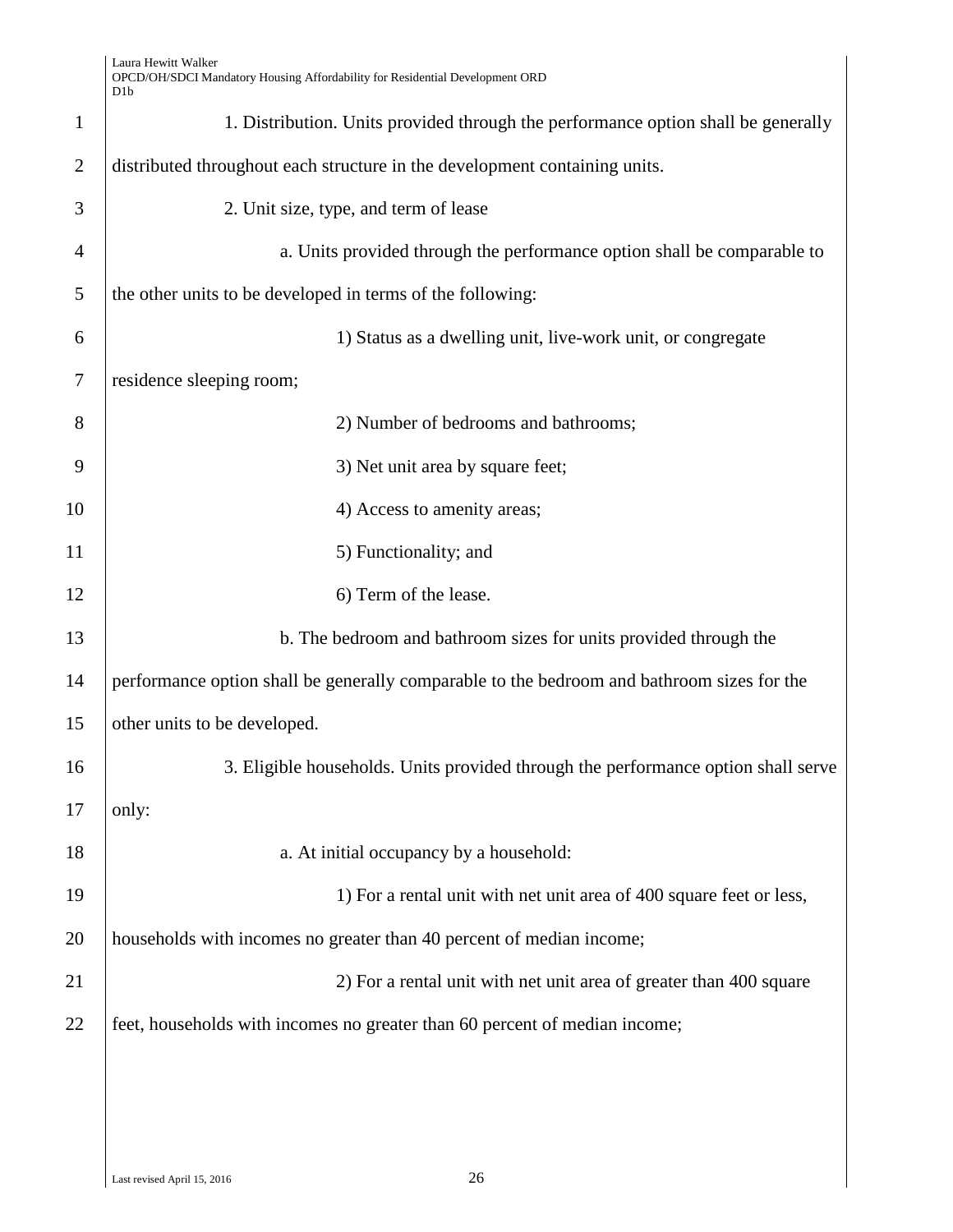| Laura Hewitt Walker                                                          |
|------------------------------------------------------------------------------|
| OPCD/OH/SDCI Mandatory Housing Affordability for Residential Development ORD |
| D <sub>1</sub> b                                                             |

|                | ט גע                                                                                       |
|----------------|--------------------------------------------------------------------------------------------|
| $\mathbf{1}$   | 1. Distribution. Units provided through the performance option shall be generally          |
| $\overline{2}$ | distributed throughout each structure in the development containing units.                 |
| 3              | 2. Unit size, type, and term of lease                                                      |
| $\overline{4}$ | a. Units provided through the performance option shall be comparable to                    |
| 5              | the other units to be developed in terms of the following:                                 |
| 6              | 1) Status as a dwelling unit, live-work unit, or congregate                                |
| $\tau$         | residence sleeping room;                                                                   |
| 8              | 2) Number of bedrooms and bathrooms;                                                       |
| 9              | 3) Net unit area by square feet;                                                           |
| 10             | 4) Access to amenity areas;                                                                |
| 11             | 5) Functionality; and                                                                      |
| 12             | 6) Term of the lease.                                                                      |
| 13             | b. The bedroom and bathroom sizes for units provided through the                           |
| 14             | performance option shall be generally comparable to the bedroom and bathroom sizes for the |
| 15             | other units to be developed.                                                               |
| 16             | 3. Eligible households. Units provided through the performance option shall serve          |
| 17             | only:                                                                                      |
| 18             | a. At initial occupancy by a household:                                                    |
| 19             | 1) For a rental unit with net unit area of 400 square feet or less,                        |
| 20             | households with incomes no greater than 40 percent of median income;                       |
| 21             | 2) For a rental unit with net unit area of greater than 400 square                         |
| 22             | feet, households with incomes no greater than 60 percent of median income;                 |
|                |                                                                                            |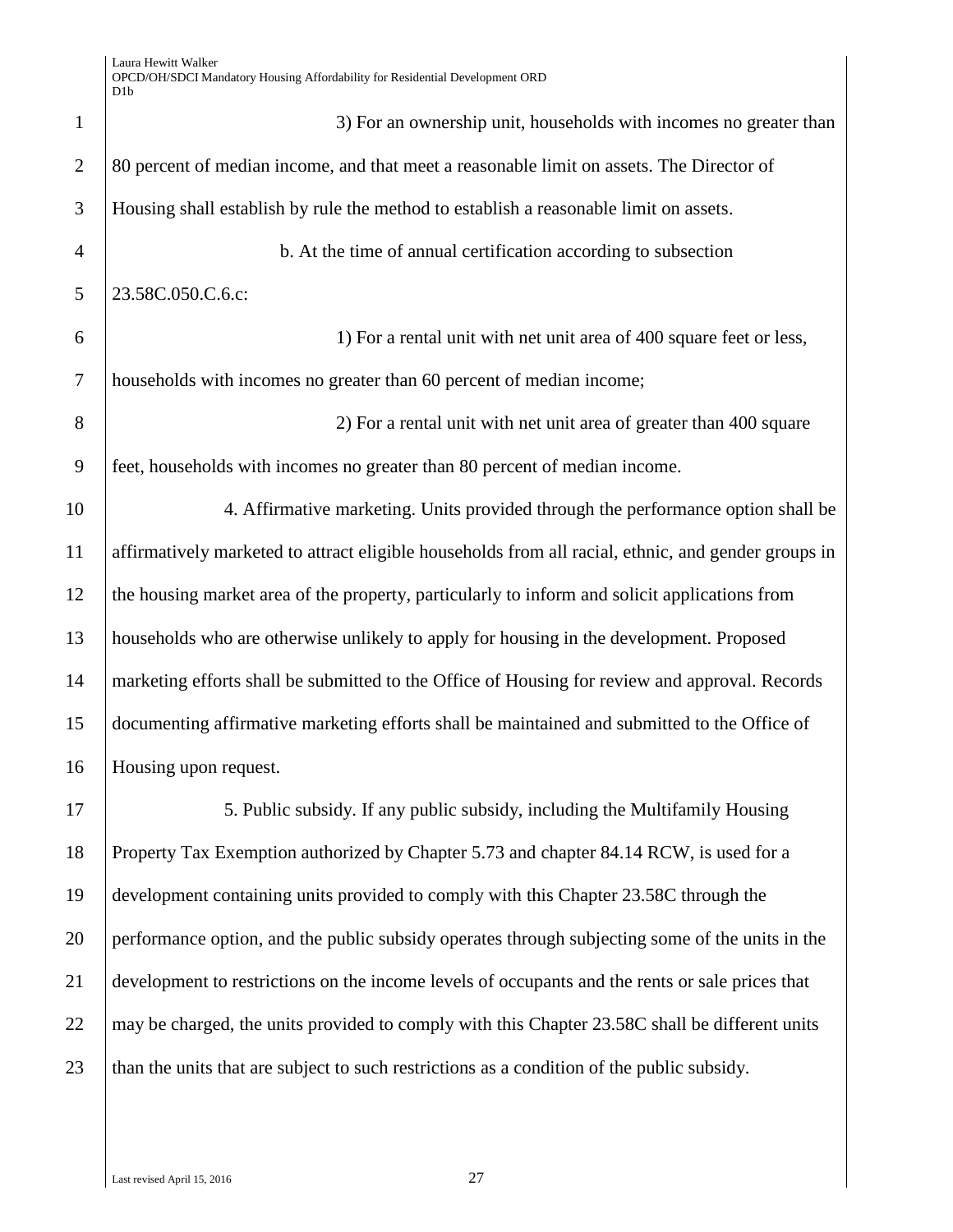3) For an ownership unit, households with incomes no greater than 2 80 percent of median income, and that meet a reasonable limit on assets. The Director of Housing shall establish by rule the method to establish a reasonable limit on assets. b. At the time of annual certification according to subsection 5 | 23.58C.050.C.6.c: 1) For a rental unit with net unit area of 400 square feet or less, households with incomes no greater than 60 percent of median income; 2) For a rental unit with net unit area of greater than 400 square feet, households with incomes no greater than 80 percent of median income. 4. Affirmative marketing. Units provided through the performance option shall be affirmatively marketed to attract eligible households from all racial, ethnic, and gender groups in the housing market area of the property, particularly to inform and solicit applications from households who are otherwise unlikely to apply for housing in the development. Proposed marketing efforts shall be submitted to the Office of Housing for review and approval. Records documenting affirmative marketing efforts shall be maintained and submitted to the Office of Housing upon request. 5. Public subsidy. If any public subsidy, including the Multifamily Housing Property Tax Exemption authorized by Chapter 5.73 and chapter 84.14 RCW, is used for a development containing units provided to comply with this Chapter 23.58C through the performance option, and the public subsidy operates through subjecting some of the units in the development to restrictions on the income levels of occupants and the rents or sale prices that 22 may be charged, the units provided to comply with this Chapter  $23.58C$  shall be different units 23 than the units that are subject to such restrictions as a condition of the public subsidy.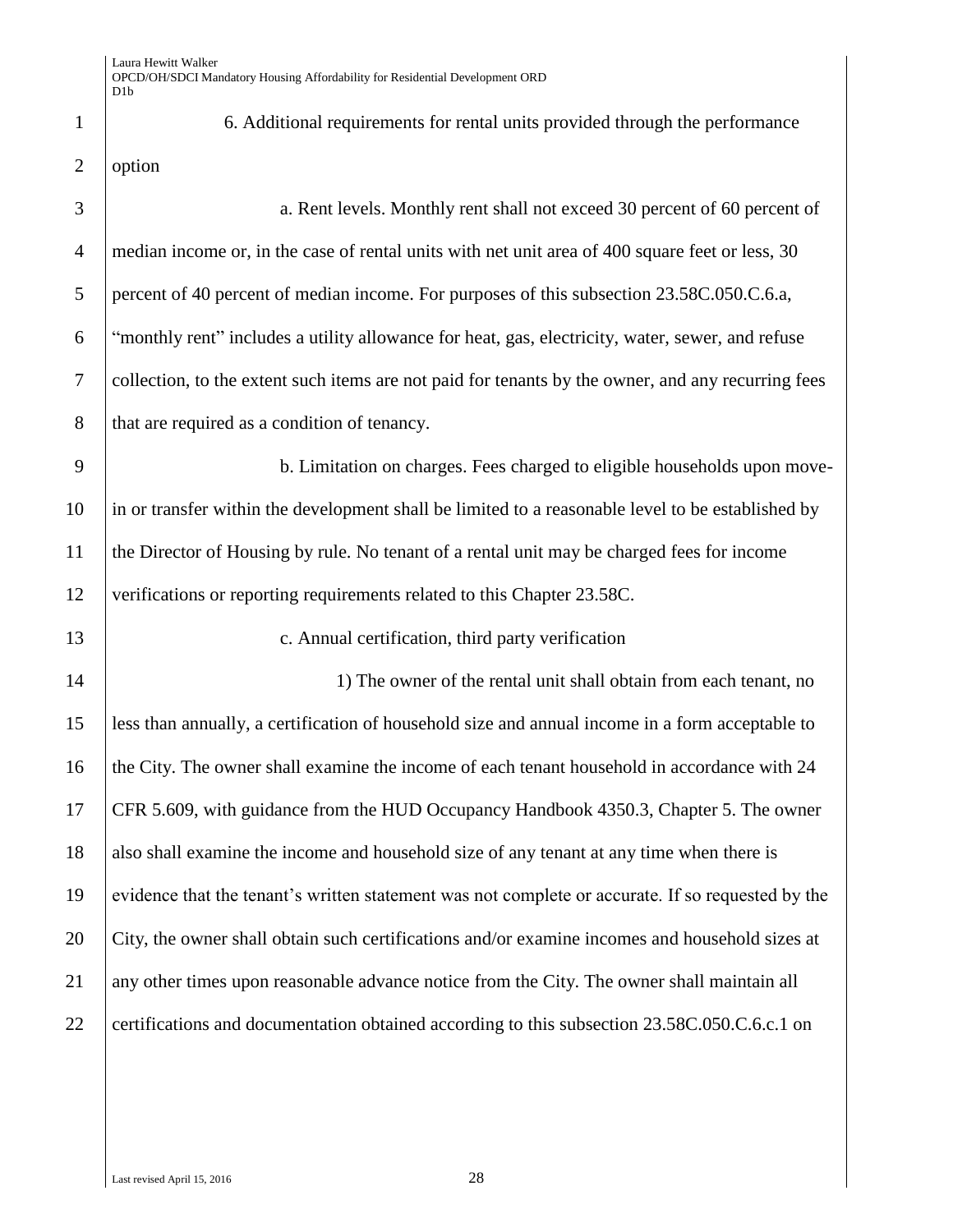1 6. Additional requirements for rental units provided through the performance 2 option 3 a. Rent levels. Monthly rent shall not exceed 30 percent of 60 percent of 4 median income or, in the case of rental units with net unit area of 400 square feet or less, 30 5 percent of 40 percent of median income. For purposes of this subsection 23.58C.050.C.6.a, 6 "monthly rent" includes a utility allowance for heat, gas, electricity, water, sewer, and refuse 7 collection, to the extent such items are not paid for tenants by the owner, and any recurring fees 8 that are required as a condition of tenancy. 9 b. Limitation on charges. Fees charged to eligible households upon move-10 in or transfer within the development shall be limited to a reasonable level to be established by 11 the Director of Housing by rule. No tenant of a rental unit may be charged fees for income 12 verifications or reporting requirements related to this Chapter 23.58C. 13 **c.** Annual certification, third party verification 14 14 14 10 1) The owner of the rental unit shall obtain from each tenant, no 15 less than annually, a certification of household size and annual income in a form acceptable to 16 the City. The owner shall examine the income of each tenant household in accordance with 24 17 CFR 5.609, with guidance from the HUD Occupancy Handbook 4350.3, Chapter 5. The owner 18 also shall examine the income and household size of any tenant at any time when there is 19 evidence that the tenant's written statement was not complete or accurate. If so requested by the 20 City, the owner shall obtain such certifications and/or examine incomes and household sizes at 21 any other times upon reasonable advance notice from the City. The owner shall maintain all 22 certifications and documentation obtained according to this subsection 23.58C.050.C.6.c.1 on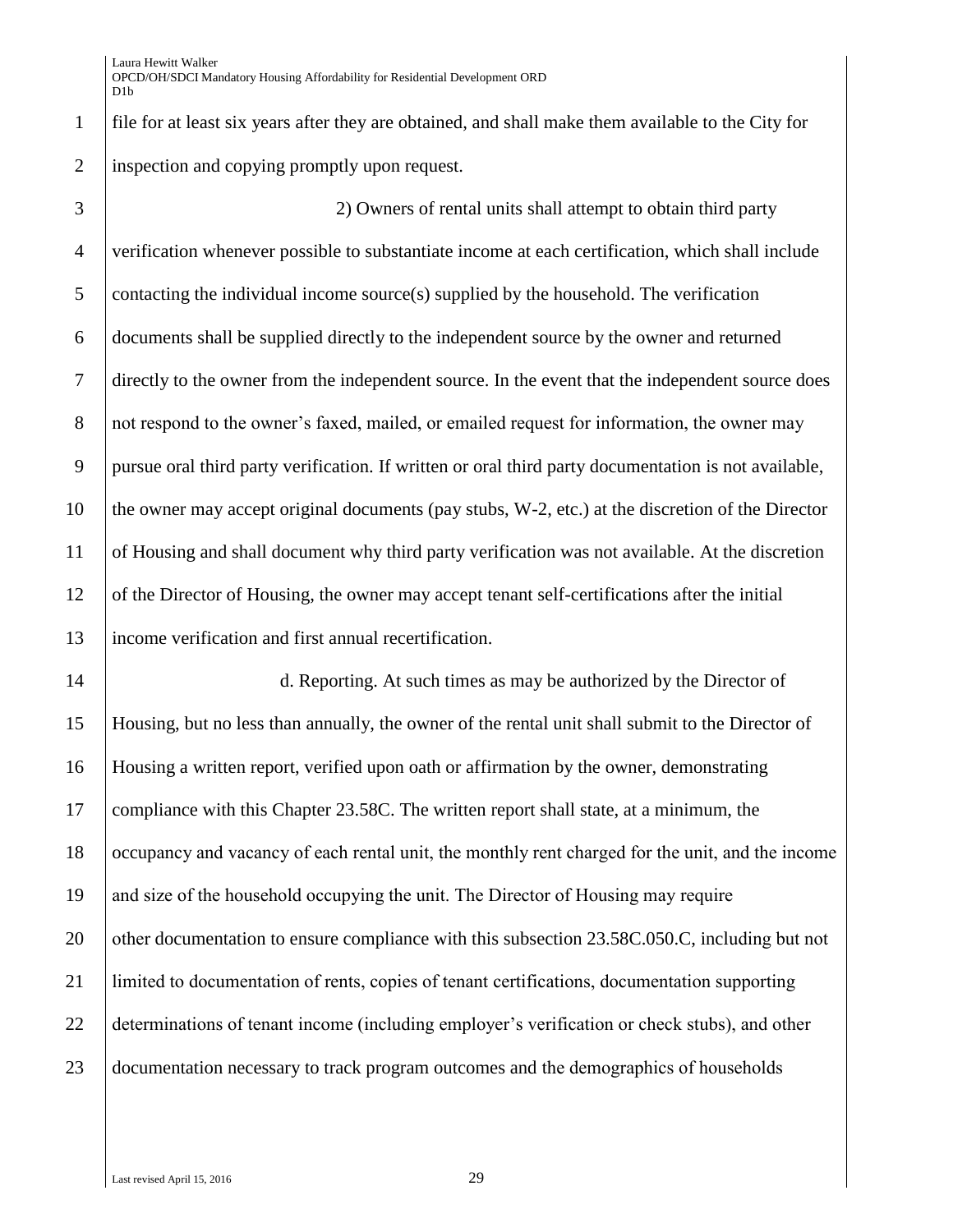file for at least six years after they are obtained, and shall make them available to the City for inspection and copying promptly upon request.

 2) Owners of rental units shall attempt to obtain third party verification whenever possible to substantiate income at each certification, which shall include contacting the individual income source(s) supplied by the household. The verification documents shall be supplied directly to the independent source by the owner and returned directly to the owner from the independent source. In the event that the independent source does 8 not respond to the owner's faxed, mailed, or emailed request for information, the owner may pursue oral third party verification. If written or oral third party documentation is not available, 10 the owner may accept original documents (pay stubs, W-2, etc.) at the discretion of the Director of Housing and shall document why third party verification was not available. At the discretion of the Director of Housing, the owner may accept tenant self-certifications after the initial income verification and first annual recertification.

14 d. Reporting. At such times as may be authorized by the Director of Housing, but no less than annually, the owner of the rental unit shall submit to the Director of Housing a written report, verified upon oath or affirmation by the owner, demonstrating compliance with this Chapter 23.58C. The written report shall state, at a minimum, the occupancy and vacancy of each rental unit, the monthly rent charged for the unit, and the income and size of the household occupying the unit. The Director of Housing may require 20 other documentation to ensure compliance with this subsection 23.58C.050.C, including but not limited to documentation of rents, copies of tenant certifications, documentation supporting determinations of tenant income (including employer's verification or check stubs), and other 23 documentation necessary to track program outcomes and the demographics of households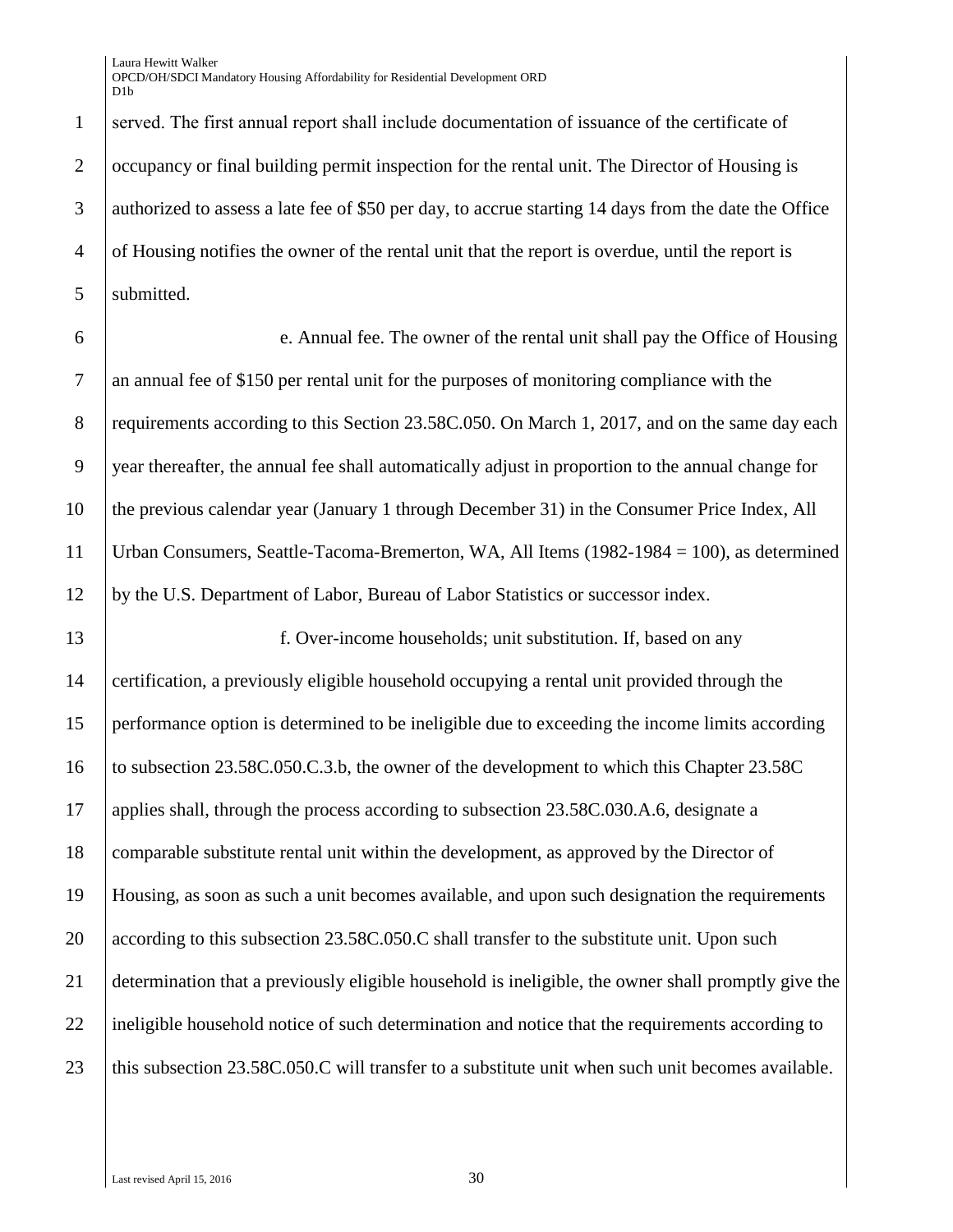Laura Hewitt Walker OPCD/OH/SDCI Mandatory Housing Affordability for Residential Development ORD D<sub>1</sub>h

1 served. The first annual report shall include documentation of issuance of the certificate of 2 Cocupancy or final building permit inspection for the rental unit. The Director of Housing is 3 authorized to assess a late fee of \$50 per day, to accrue starting 14 days from the date the Office 4 of Housing notifies the owner of the rental unit that the report is overdue, until the report is 5 | submitted.

 e. Annual fee. The owner of the rental unit shall pay the Office of Housing an annual fee of \$150 per rental unit for the purposes of monitoring compliance with the 8 requirements according to this Section 23.58C.050. On March 1, 2017, and on the same day each 9 year thereafter, the annual fee shall automatically adjust in proportion to the annual change for the previous calendar year (January 1 through December 31) in the Consumer Price Index, All Urban Consumers, Seattle-Tacoma-Bremerton, WA, All Items (1982-1984 = 100), as determined by the U.S. Department of Labor, Bureau of Labor Statistics or successor index.

 f. Over-income households; unit substitution. If, based on any certification, a previously eligible household occupying a rental unit provided through the performance option is determined to be ineligible due to exceeding the income limits according 16 to subsection 23.58C.050.C.3.b, the owner of the development to which this Chapter 23.58C applies shall, through the process according to subsection 23.58C.030.A.6, designate a comparable substitute rental unit within the development, as approved by the Director of Housing, as soon as such a unit becomes available, and upon such designation the requirements 20 according to this subsection 23.58C.050.C shall transfer to the substitute unit. Upon such determination that a previously eligible household is ineligible, the owner shall promptly give the 22 ineligible household notice of such determination and notice that the requirements according to 23 this subsection 23.58C.050.C will transfer to a substitute unit when such unit becomes available.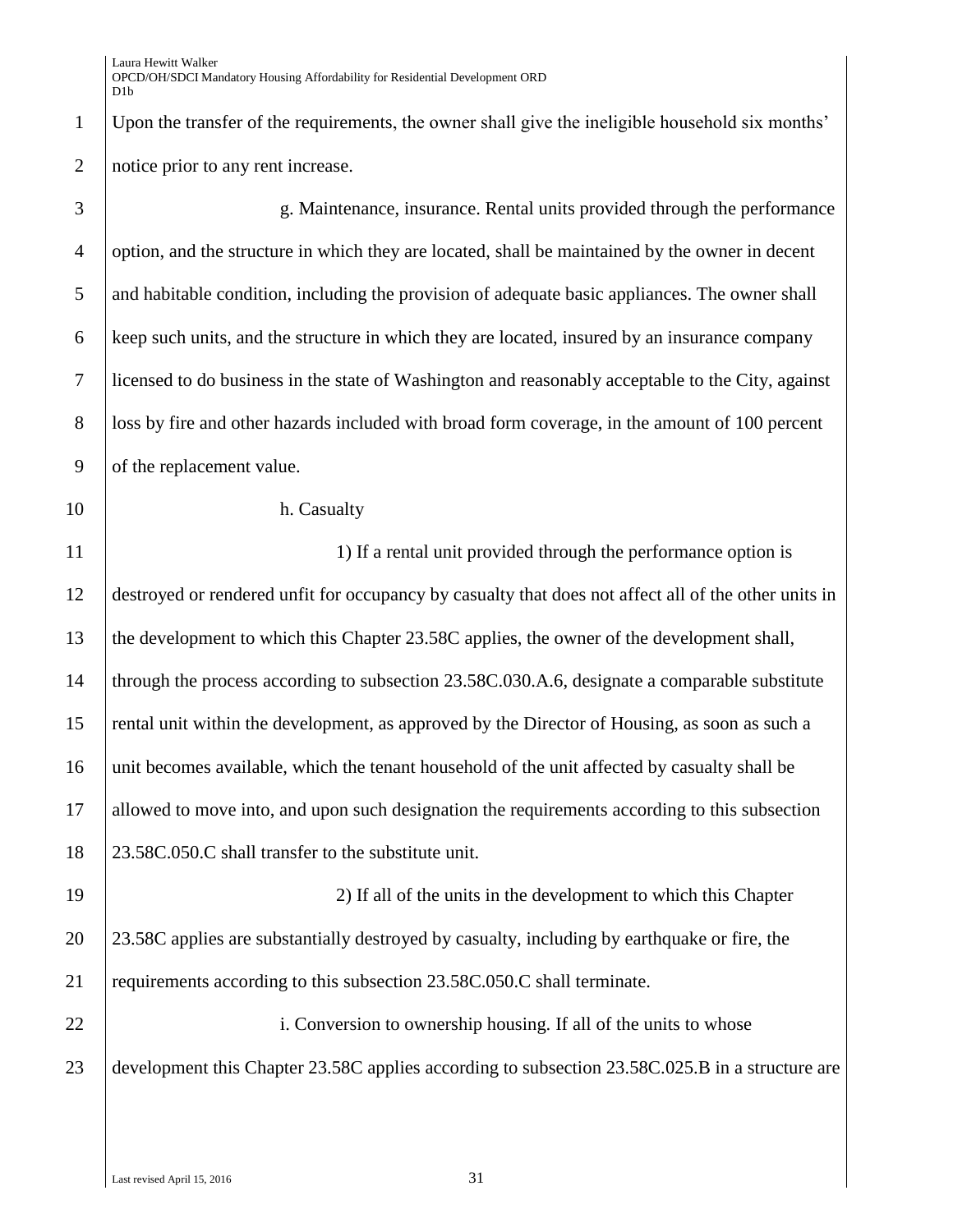| $\mathbf{1}$   | Upon the transfer of the requirements, the owner shall give the ineligible household six months'     |  |
|----------------|------------------------------------------------------------------------------------------------------|--|
| $\overline{2}$ | notice prior to any rent increase.                                                                   |  |
| 3              | g. Maintenance, insurance. Rental units provided through the performance                             |  |
| $\overline{4}$ | option, and the structure in which they are located, shall be maintained by the owner in decent      |  |
| 5              | and habitable condition, including the provision of adequate basic appliances. The owner shall       |  |
| 6              | keep such units, and the structure in which they are located, insured by an insurance company        |  |
| 7              | licensed to do business in the state of Washington and reasonably acceptable to the City, against    |  |
| 8              | loss by fire and other hazards included with broad form coverage, in the amount of 100 percent       |  |
| 9              | of the replacement value.                                                                            |  |
| 10             | h. Casualty                                                                                          |  |
| 11             | 1) If a rental unit provided through the performance option is                                       |  |
| 12             | destroyed or rendered unfit for occupancy by casualty that does not affect all of the other units in |  |
| 13             | the development to which this Chapter 23.58C applies, the owner of the development shall,            |  |
| 14             | through the process according to subsection 23.58C.030.A.6, designate a comparable substitute        |  |
| 15             | rental unit within the development, as approved by the Director of Housing, as soon as such a        |  |
| 16             | unit becomes available, which the tenant household of the unit affected by casualty shall be         |  |
| 17             | allowed to move into, and upon such designation the requirements according to this subsection        |  |
| 18             | 23.58C.050.C shall transfer to the substitute unit.                                                  |  |
| 19             | 2) If all of the units in the development to which this Chapter                                      |  |
| 20             | 23.58C applies are substantially destroyed by casualty, including by earthquake or fire, the         |  |
| 21             | requirements according to this subsection 23.58C.050.C shall terminate.                              |  |
| 22             | i. Conversion to ownership housing. If all of the units to whose                                     |  |
| 23             | development this Chapter 23.58C applies according to subsection 23.58C.025.B in a structure are      |  |
|                |                                                                                                      |  |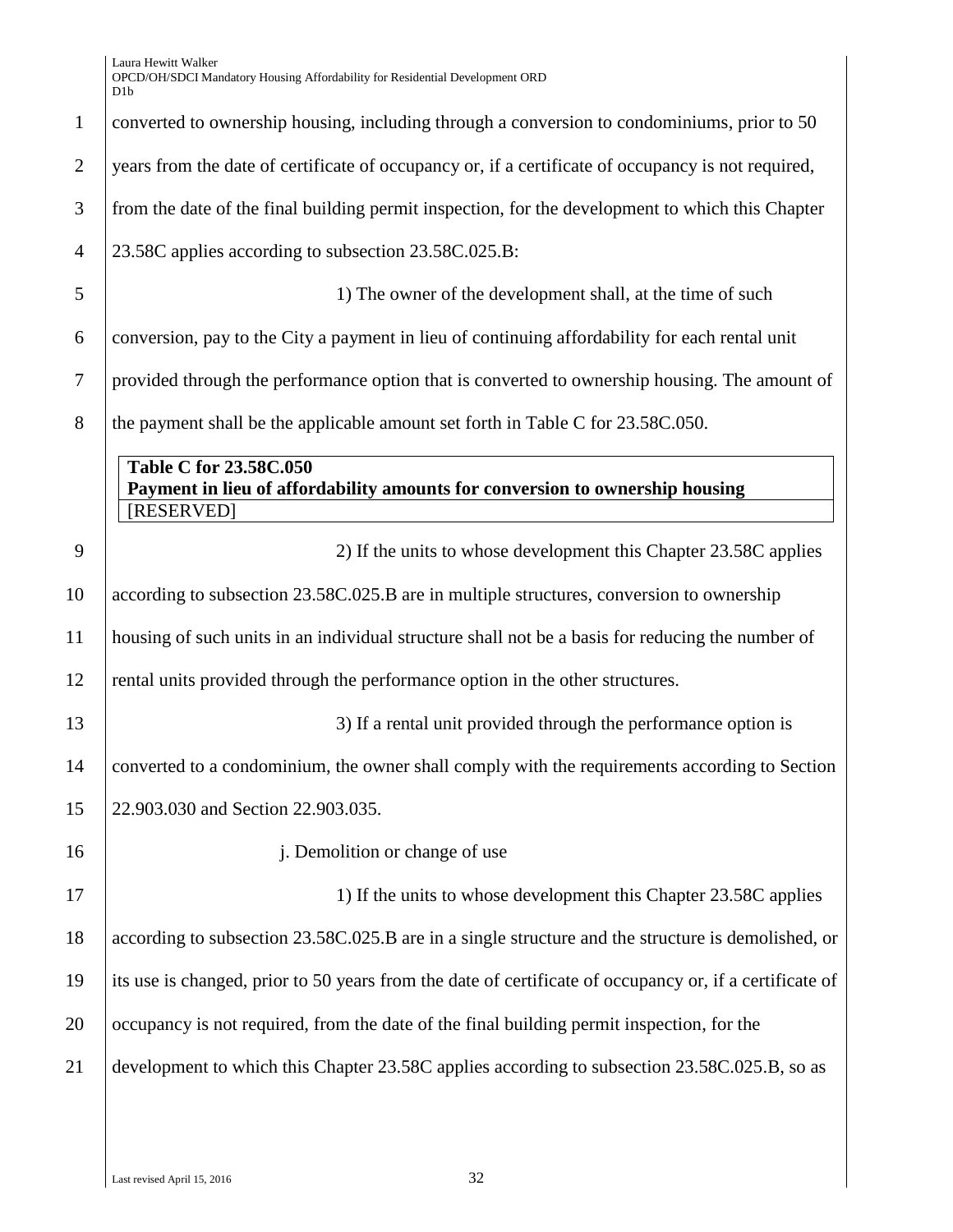| Laura Hewitt Walker                                                          |
|------------------------------------------------------------------------------|
| OPCD/OH/SDCI Mandatory Housing Affordability for Residential Development ORD |
| D1h                                                                          |

|                | D <sub>1</sub> b                                                                                                     |  |
|----------------|----------------------------------------------------------------------------------------------------------------------|--|
| $\mathbf{1}$   | converted to ownership housing, including through a conversion to condominiums, prior to 50                          |  |
| $\overline{2}$ | years from the date of certificate of occupancy or, if a certificate of occupancy is not required,                   |  |
| 3              | from the date of the final building permit inspection, for the development to which this Chapter                     |  |
| $\overline{4}$ | 23.58C applies according to subsection 23.58C.025.B:                                                                 |  |
| 5              | 1) The owner of the development shall, at the time of such                                                           |  |
| 6              | conversion, pay to the City a payment in lieu of continuing affordability for each rental unit                       |  |
| 7              | provided through the performance option that is converted to ownership housing. The amount of                        |  |
| 8              | the payment shall be the applicable amount set forth in Table C for 23.58C.050.                                      |  |
|                | Table C for 23.58C.050<br>Payment in lieu of affordability amounts for conversion to ownership housing<br>[RESERVED] |  |
| 9              | 2) If the units to whose development this Chapter 23.58C applies                                                     |  |
| 10             | according to subsection 23.58C.025.B are in multiple structures, conversion to ownership                             |  |
| 11             | housing of such units in an individual structure shall not be a basis for reducing the number of                     |  |
| 12             | rental units provided through the performance option in the other structures.                                        |  |
| 13             | 3) If a rental unit provided through the performance option is                                                       |  |
| 14             | converted to a condominium, the owner shall comply with the requirements according to Section                        |  |
| 15             | 22.903.030 and Section 22.903.035.                                                                                   |  |
| 16             | j. Demolition or change of use                                                                                       |  |
| 17             | 1) If the units to whose development this Chapter 23.58C applies                                                     |  |
| 18             | according to subsection 23.58C.025.B are in a single structure and the structure is demolished, or                   |  |
| 19             | its use is changed, prior to 50 years from the date of certificate of occupancy or, if a certificate of              |  |
| 20             | occupancy is not required, from the date of the final building permit inspection, for the                            |  |
| 21             | development to which this Chapter 23.58C applies according to subsection 23.58C.025.B, so as                         |  |
|                |                                                                                                                      |  |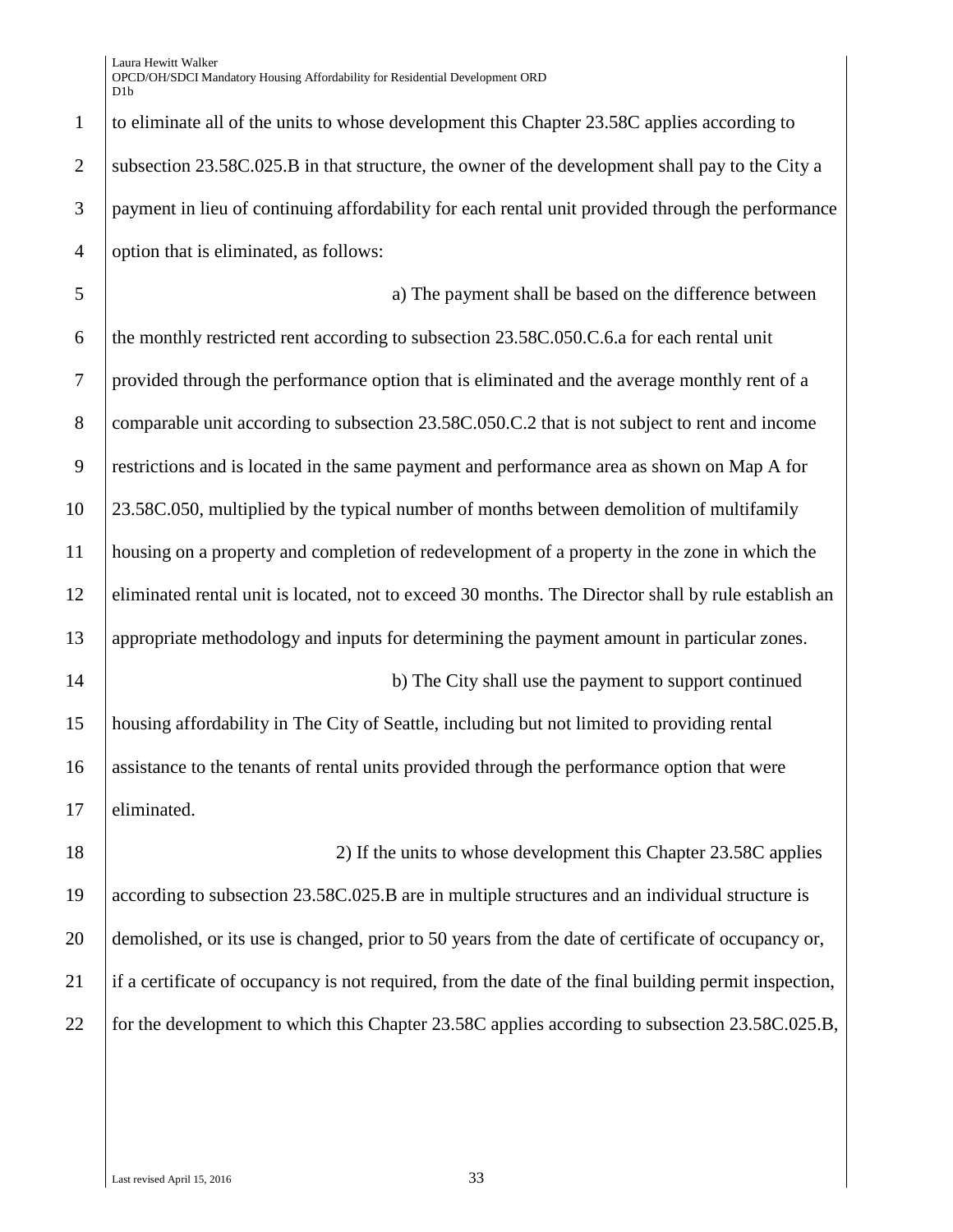Laura Hewitt Walker OPCD/OH/SDCI Mandatory Housing Affordability for Residential Development ORD D<sub>1</sub>h

 to eliminate all of the units to whose development this Chapter 23.58C applies according to 2 subsection 23.58C.025.B in that structure, the owner of the development shall pay to the City a payment in lieu of continuing affordability for each rental unit provided through the performance option that is eliminated, as follows:

 a) The payment shall be based on the difference between 6 the monthly restricted rent according to subsection  $23.58C.050C.6$  a for each rental unit provided through the performance option that is eliminated and the average monthly rent of a 8 comparable unit according to subsection 23.58C.050.C.2 that is not subject to rent and income restrictions and is located in the same payment and performance area as shown on Map A for 23.58C.050, multiplied by the typical number of months between demolition of multifamily housing on a property and completion of redevelopment of a property in the zone in which the eliminated rental unit is located, not to exceed 30 months. The Director shall by rule establish an appropriate methodology and inputs for determining the payment amount in particular zones. 14 b) The City shall use the payment to support continued housing affordability in The City of Seattle, including but not limited to providing rental assistance to the tenants of rental units provided through the performance option that were

17 eliminated.

18 18 2) If the units to whose development this Chapter 23.58C applies 19 according to subsection 23.58C.025.B are in multiple structures and an individual structure is 20 demolished, or its use is changed, prior to 50 years from the date of certificate of occupancy or, 21 if a certificate of occupancy is not required, from the date of the final building permit inspection, 22 for the development to which this Chapter 23.58C applies according to subsection 23.58C.025.B,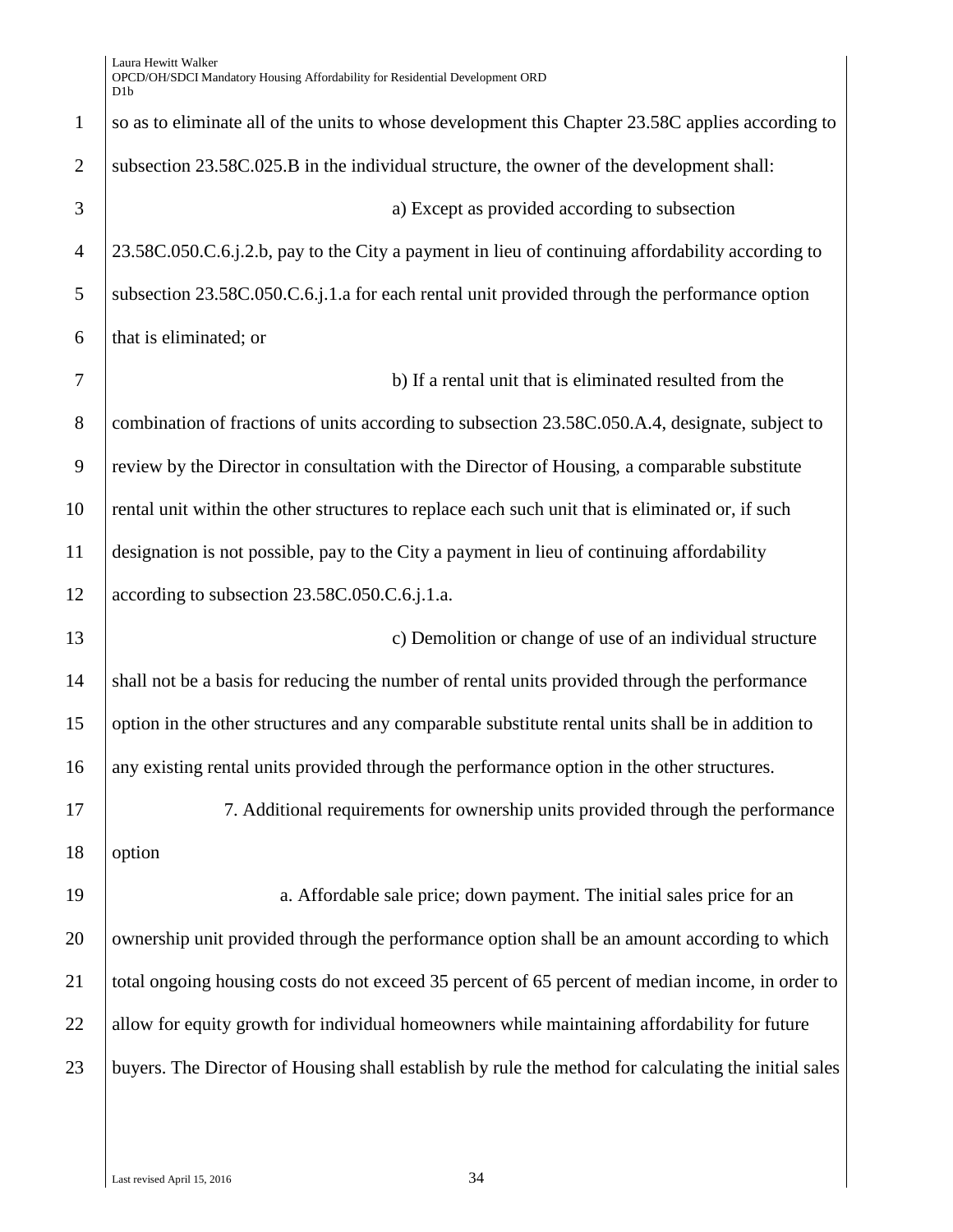1 so as to eliminate all of the units to whose development this Chapter 23.58C applies according to 2 subsection 23.58C.025.B in the individual structure, the owner of the development shall: 3 a) Except as provided according to subsection 4 23.58C.050.C.6.j.2.b, pay to the City a payment in lieu of continuing affordability according to 5 Subsection 23.58C.050.C.6.j.1.a for each rental unit provided through the performance option 6 that is eliminated; or 7 b) If a rental unit that is eliminated resulted from the 8 combination of fractions of units according to subsection 23.58C.050.A.4, designate, subject to 9 review by the Director in consultation with the Director of Housing, a comparable substitute 10 rental unit within the other structures to replace each such unit that is eliminated or, if such 11 designation is not possible, pay to the City a payment in lieu of continuing affordability 12 according to subsection 23.58C.050.C.6.j.1.a. 13 **c**) Demolition or change of use of an individual structure 14 shall not be a basis for reducing the number of rental units provided through the performance 15 option in the other structures and any comparable substitute rental units shall be in addition to 16 any existing rental units provided through the performance option in the other structures. 17 7. Additional requirements for ownership units provided through the performance 18 option 19 a. Affordable sale price; down payment. The initial sales price for an 20 ownership unit provided through the performance option shall be an amount according to which 21 total ongoing housing costs do not exceed 35 percent of 65 percent of median income, in order to 22 allow for equity growth for individual homeowners while maintaining affordability for future 23 buyers. The Director of Housing shall establish by rule the method for calculating the initial sales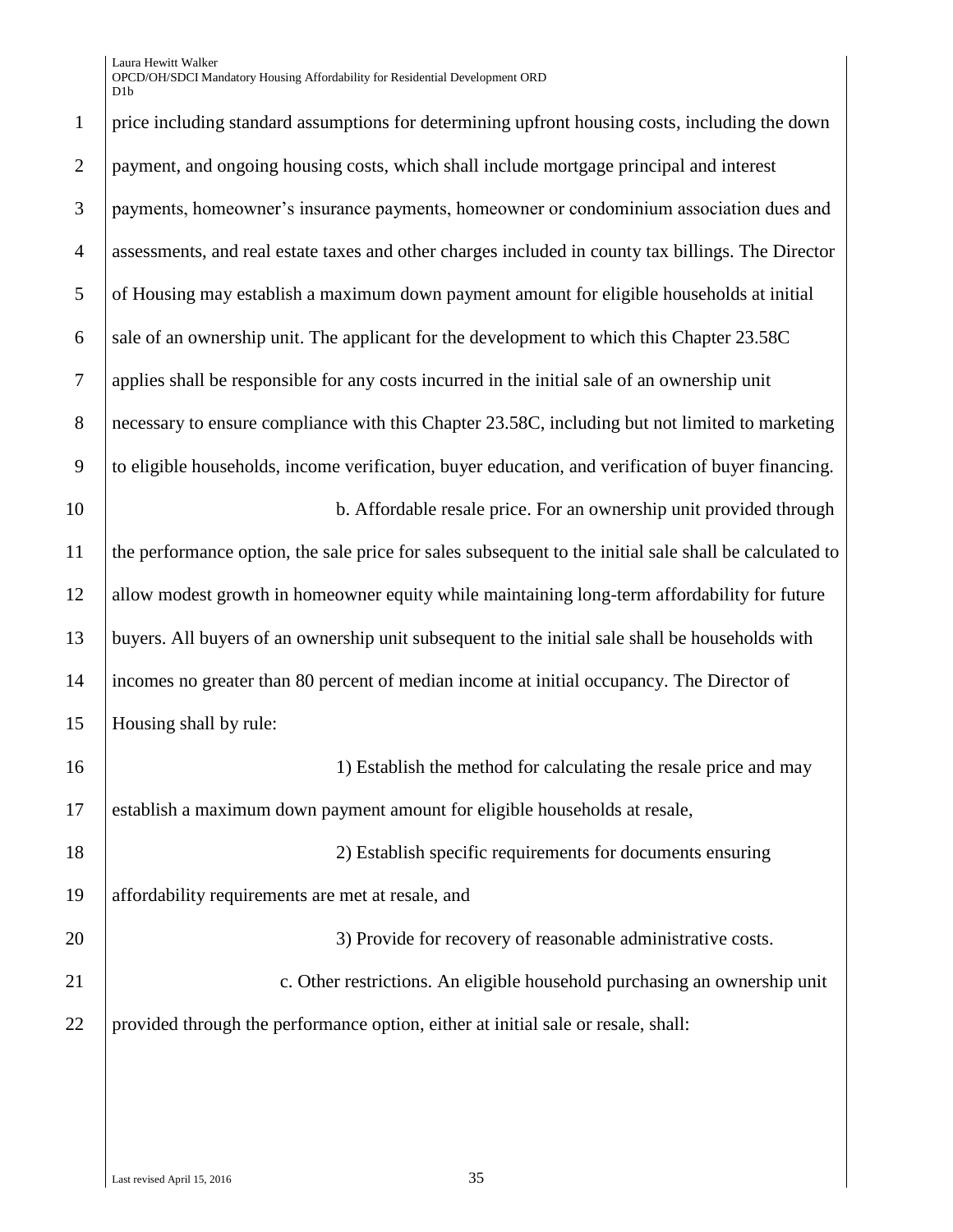Laura Hewitt Walker OPCD/OH/SDCI Mandatory Housing Affordability for Residential Development ORD D<sub>1</sub>h

 price including standard assumptions for determining upfront housing costs, including the down payment, and ongoing housing costs, which shall include mortgage principal and interest payments, homeowner's insurance payments, homeowner or condominium association dues and assessments, and real estate taxes and other charges included in county tax billings. The Director of Housing may establish a maximum down payment amount for eligible households at initial 6 sale of an ownership unit. The applicant for the development to which this Chapter  $23.58C$  applies shall be responsible for any costs incurred in the initial sale of an ownership unit 8 necessary to ensure compliance with this Chapter 23.58C, including but not limited to marketing to eligible households, income verification, buyer education, and verification of buyer financing. 10 b. Affordable resale price. For an ownership unit provided through the performance option, the sale price for sales subsequent to the initial sale shall be calculated to allow modest growth in homeowner equity while maintaining long-term affordability for future buyers. All buyers of an ownership unit subsequent to the initial sale shall be households with incomes no greater than 80 percent of median income at initial occupancy. The Director of Housing shall by rule: 16 16 10 1) Establish the method for calculating the resale price and may establish a maximum down payment amount for eligible households at resale, 2) Establish specific requirements for documents ensuring affordability requirements are met at resale, and 20 3) Provide for recovery of reasonable administrative costs. **c.** Other restrictions. An eligible household purchasing an ownership unit provided through the performance option, either at initial sale or resale, shall: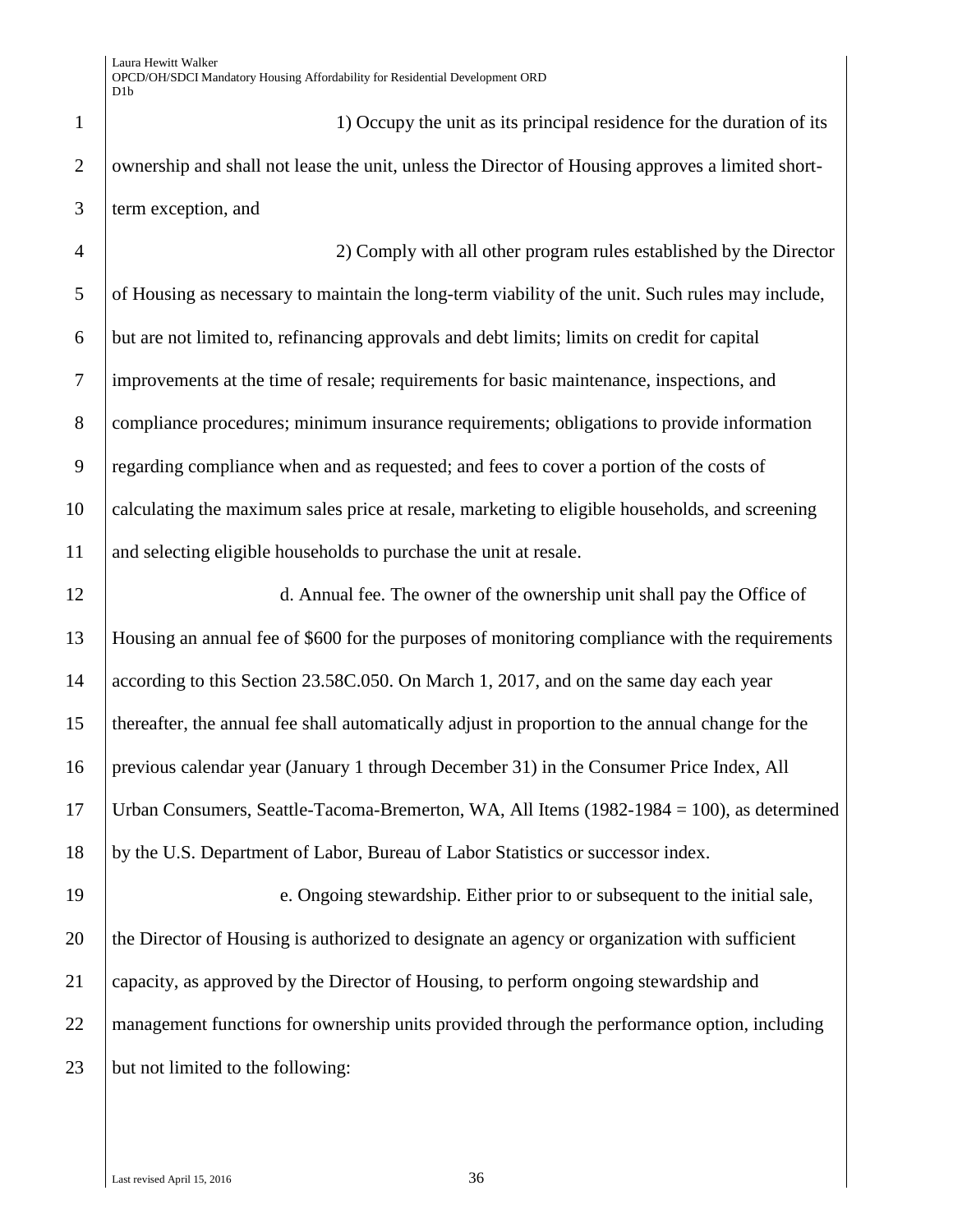1 1 1) Occupy the unit as its principal residence for the duration of its 2 ownership and shall not lease the unit, unless the Director of Housing approves a limited short-term exception, and

 2) Comply with all other program rules established by the Director of Housing as necessary to maintain the long-term viability of the unit. Such rules may include, but are not limited to, refinancing approvals and debt limits; limits on credit for capital improvements at the time of resale; requirements for basic maintenance, inspections, and compliance procedures; minimum insurance requirements; obligations to provide information regarding compliance when and as requested; and fees to cover a portion of the costs of calculating the maximum sales price at resale, marketing to eligible households, and screening and selecting eligible households to purchase the unit at resale.

 d. Annual fee. The owner of the ownership unit shall pay the Office of Housing an annual fee of \$600 for the purposes of monitoring compliance with the requirements 14 according to this Section 23.58C.050. On March 1, 2017, and on the same day each year thereafter, the annual fee shall automatically adjust in proportion to the annual change for the previous calendar year (January 1 through December 31) in the Consumer Price Index, All Urban Consumers, Seattle-Tacoma-Bremerton, WA, All Items (1982-1984 = 100), as determined by the U.S. Department of Labor, Bureau of Labor Statistics or successor index.

 e. Ongoing stewardship. Either prior to or subsequent to the initial sale, 20 the Director of Housing is authorized to designate an agency or organization with sufficient capacity, as approved by the Director of Housing, to perform ongoing stewardship and management functions for ownership units provided through the performance option, including but not limited to the following: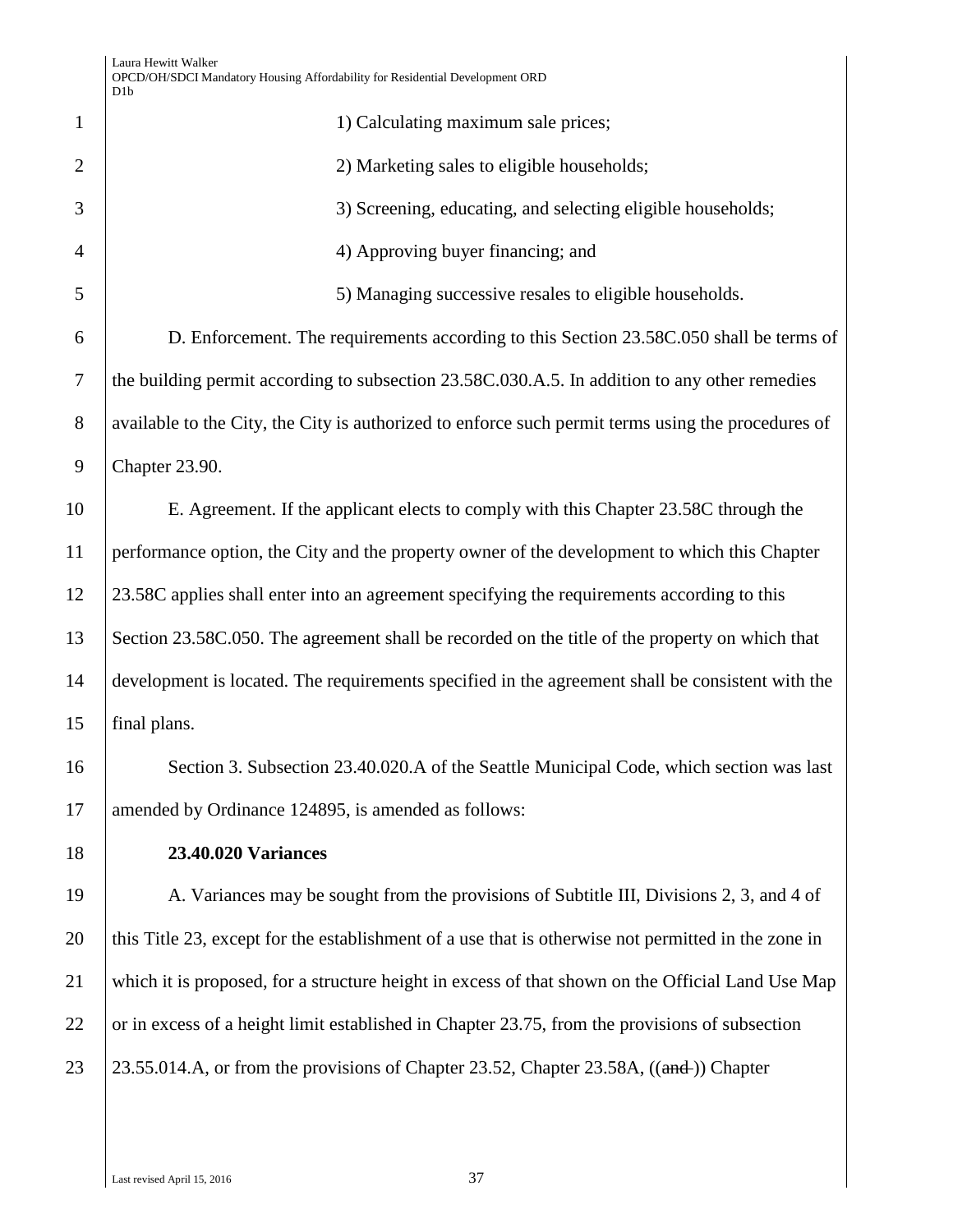| $\mathbf{1}$   | 1) Calculating maximum sale prices;                                                                 |  |
|----------------|-----------------------------------------------------------------------------------------------------|--|
| $\overline{2}$ | 2) Marketing sales to eligible households;                                                          |  |
| 3              | 3) Screening, educating, and selecting eligible households;                                         |  |
| $\overline{4}$ | 4) Approving buyer financing; and                                                                   |  |
| 5              | 5) Managing successive resales to eligible households.                                              |  |
| 6              | D. Enforcement. The requirements according to this Section 23.58C.050 shall be terms of             |  |
| $\tau$         | the building permit according to subsection 23.58C.030.A.5. In addition to any other remedies       |  |
| 8              | available to the City, the City is authorized to enforce such permit terms using the procedures of  |  |
| 9              | Chapter 23.90.                                                                                      |  |
| 10             | E. Agreement. If the applicant elects to comply with this Chapter 23.58C through the                |  |
| 11             | performance option, the City and the property owner of the development to which this Chapter        |  |
| 12             | 23.58C applies shall enter into an agreement specifying the requirements according to this          |  |
| 13             | Section 23.58C.050. The agreement shall be recorded on the title of the property on which that      |  |
| 14             | development is located. The requirements specified in the agreement shall be consistent with the    |  |
| 15             | final plans.                                                                                        |  |
| 16             | Section 3. Subsection 23.40.020.A of the Seattle Municipal Code, which section was last             |  |
| 17             | amended by Ordinance 124895, is amended as follows:                                                 |  |
| 18             | <b>23.40.020 Variances</b>                                                                          |  |
| 19             | A. Variances may be sought from the provisions of Subtitle III, Divisions 2, 3, and 4 of            |  |
| 20             | this Title 23, except for the establishment of a use that is otherwise not permitted in the zone in |  |
| 21             | which it is proposed, for a structure height in excess of that shown on the Official Land Use Map   |  |
| 22             | or in excess of a height limit established in Chapter 23.75, from the provisions of subsection      |  |
| 23             | 23.55.014.A, or from the provisions of Chapter 23.52, Chapter 23.58A, ((and-)) Chapter              |  |
|                |                                                                                                     |  |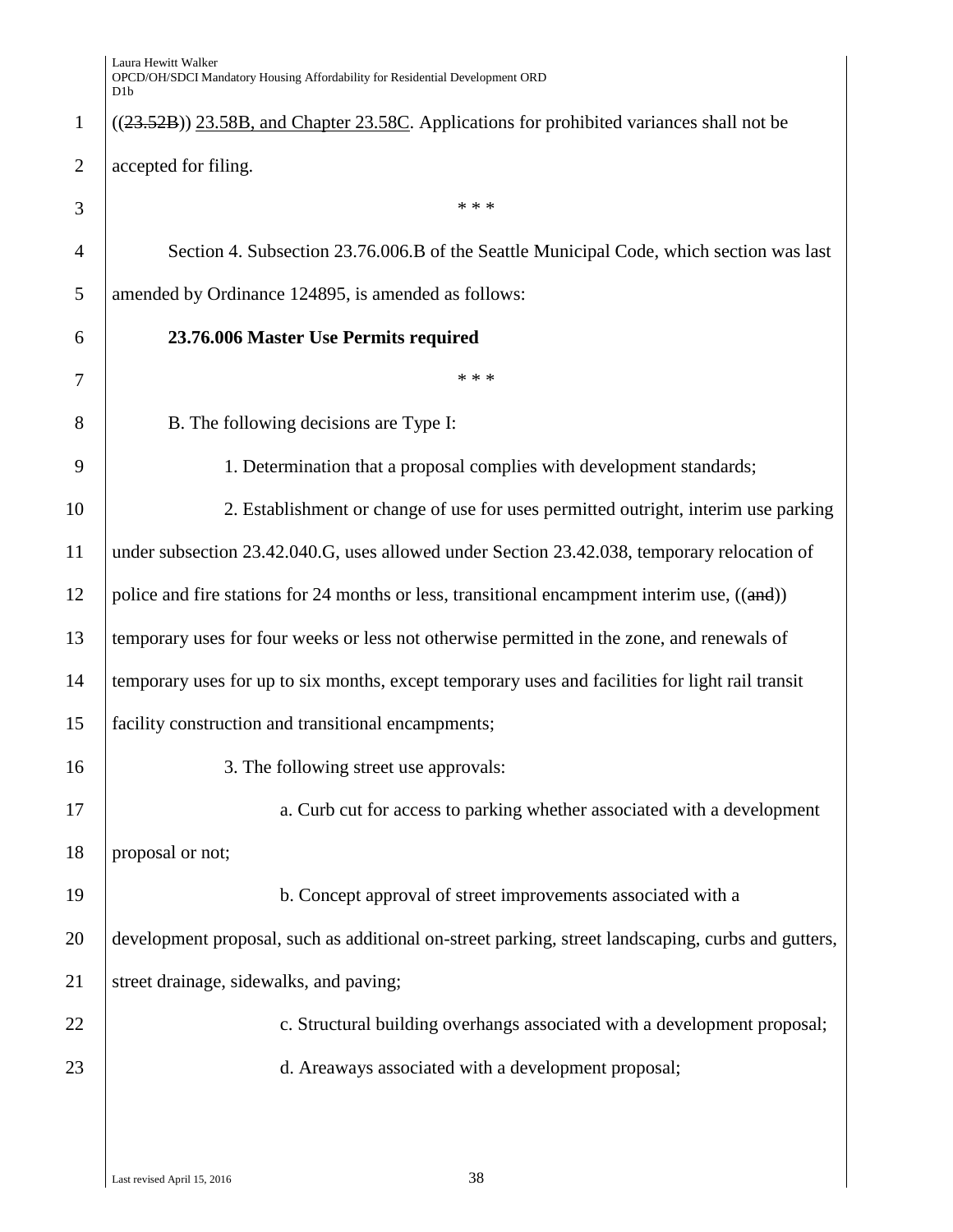|                | D <sub>1</sub> b                                                                                   |  |
|----------------|----------------------------------------------------------------------------------------------------|--|
| $\mathbf{1}$   | $((23.52B))$ 23.58B, and Chapter 23.58C. Applications for prohibited variances shall not be        |  |
| 2              | accepted for filing.                                                                               |  |
| 3              | * * *                                                                                              |  |
| $\overline{4}$ | Section 4. Subsection 23.76.006.B of the Seattle Municipal Code, which section was last            |  |
| 5              | amended by Ordinance 124895, is amended as follows:                                                |  |
| 6              | 23.76.006 Master Use Permits required                                                              |  |
| 7              | * * *                                                                                              |  |
| 8              | B. The following decisions are Type I:                                                             |  |
| 9              | 1. Determination that a proposal complies with development standards;                              |  |
| 10             | 2. Establishment or change of use for uses permitted outright, interim use parking                 |  |
| 11             | under subsection 23.42.040.G, uses allowed under Section 23.42.038, temporary relocation of        |  |
| 12             | police and fire stations for 24 months or less, transitional encampment interim use, $((and))$     |  |
| 13             | temporary uses for four weeks or less not otherwise permitted in the zone, and renewals of         |  |
| 14             | temporary uses for up to six months, except temporary uses and facilities for light rail transit   |  |
| 15             | facility construction and transitional encampments;                                                |  |
| 16             | 3. The following street use approvals:                                                             |  |
| 17             | a. Curb cut for access to parking whether associated with a development                            |  |
| 18             | proposal or not;                                                                                   |  |
| 19             | b. Concept approval of street improvements associated with a                                       |  |
| 20             | development proposal, such as additional on-street parking, street landscaping, curbs and gutters, |  |
| 21             | street drainage, sidewalks, and paving;                                                            |  |
| 22             | c. Structural building overhangs associated with a development proposal;                           |  |
| 23             | d. Areaways associated with a development proposal;                                                |  |
|                |                                                                                                    |  |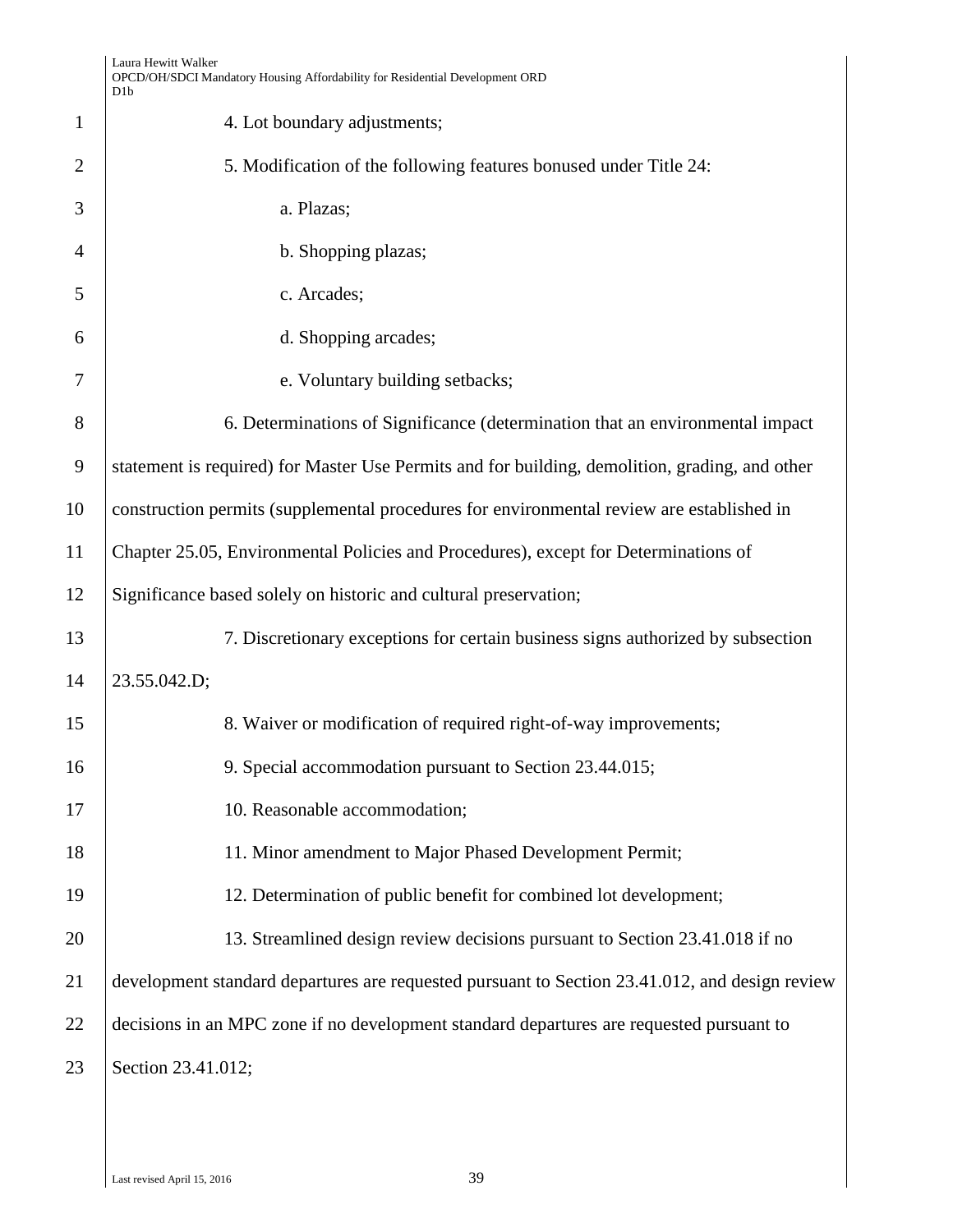|                | Laura Hewitt Walker<br>OPCD/OH/SDCI Mandatory Housing Affordability for Residential Development ORD<br>D1b |  |
|----------------|------------------------------------------------------------------------------------------------------------|--|
| $\mathbf{1}$   | 4. Lot boundary adjustments;                                                                               |  |
| $\overline{2}$ | 5. Modification of the following features bonused under Title 24:                                          |  |
| 3              | a. Plazas;                                                                                                 |  |
| $\overline{4}$ | b. Shopping plazas;                                                                                        |  |
| 5              | c. Arcades;                                                                                                |  |
| 6              | d. Shopping arcades;                                                                                       |  |
| 7              | e. Voluntary building setbacks;                                                                            |  |
| 8              | 6. Determinations of Significance (determination that an environmental impact                              |  |
| 9              | statement is required) for Master Use Permits and for building, demolition, grading, and other             |  |
| 10             | construction permits (supplemental procedures for environmental review are established in                  |  |
| 11             | Chapter 25.05, Environmental Policies and Procedures), except for Determinations of                        |  |
| 12             | Significance based solely on historic and cultural preservation;                                           |  |
| 13             | 7. Discretionary exceptions for certain business signs authorized by subsection                            |  |
| 14             | 23.55.042.D;                                                                                               |  |
| 15             | 8. Waiver or modification of required right-of-way improvements;                                           |  |
| 16             | 9. Special accommodation pursuant to Section 23.44.015;                                                    |  |
| 17             | 10. Reasonable accommodation;                                                                              |  |
| 18             | 11. Minor amendment to Major Phased Development Permit;                                                    |  |
| 19             | 12. Determination of public benefit for combined lot development;                                          |  |
| 20             | 13. Streamlined design review decisions pursuant to Section 23.41.018 if no                                |  |
| 21             | development standard departures are requested pursuant to Section 23.41.012, and design review             |  |
| 22             | decisions in an MPC zone if no development standard departures are requested pursuant to                   |  |
| 23             | Section 23.41.012;                                                                                         |  |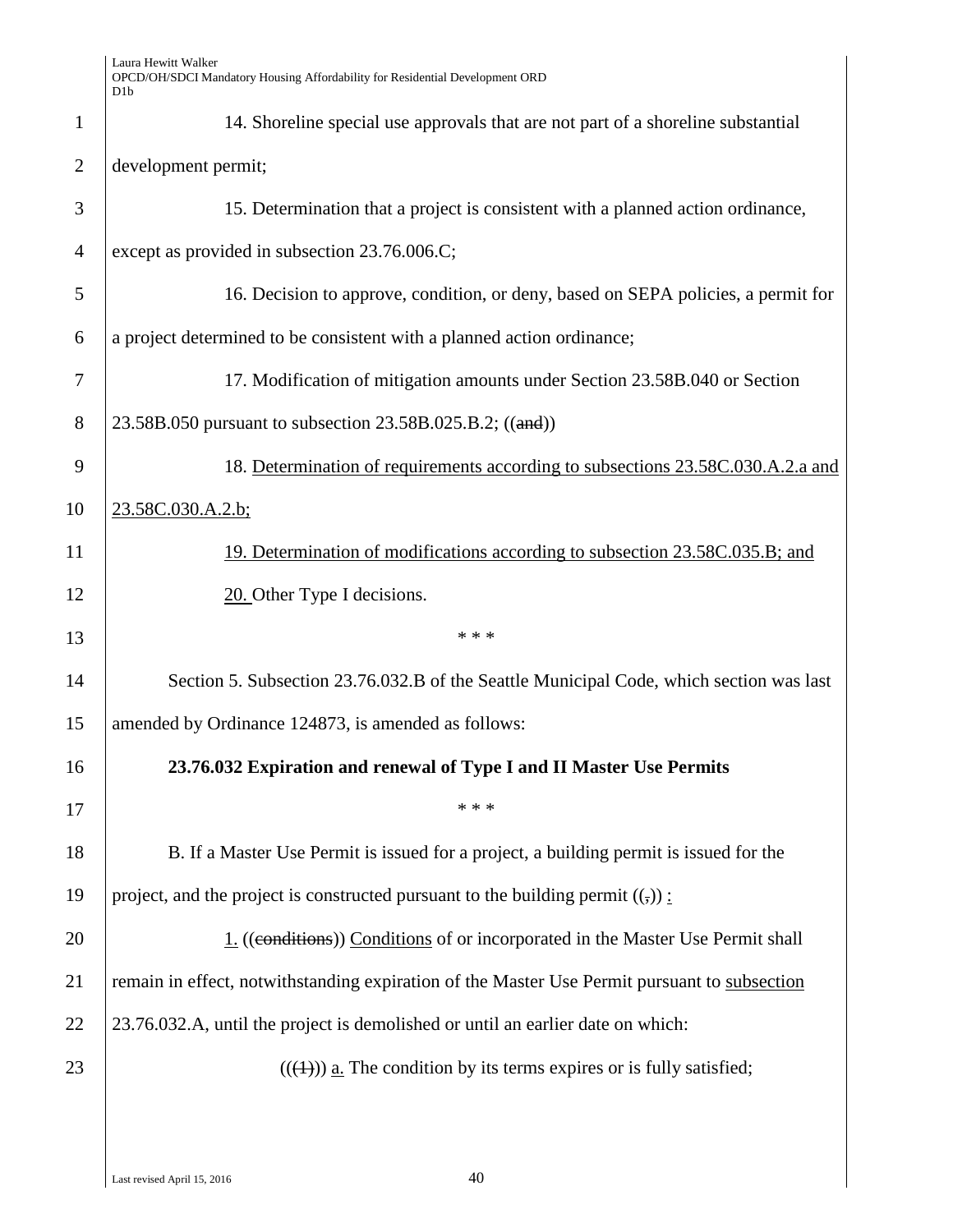| $\mathbf{1}$         | 14. Shoreline special use approvals that are not part of a shoreline substantial             |  |
|----------------------|----------------------------------------------------------------------------------------------|--|
| $\overline{2}$       | development permit;                                                                          |  |
| 3                    | 15. Determination that a project is consistent with a planned action ordinance,              |  |
| $\overline{4}$       | except as provided in subsection 23.76.006.C;                                                |  |
| 5                    | 16. Decision to approve, condition, or deny, based on SEPA policies, a permit for            |  |
| 6                    | a project determined to be consistent with a planned action ordinance;                       |  |
| 7                    | 17. Modification of mitigation amounts under Section 23.58B.040 or Section                   |  |
| 8                    | 23.58B.050 pursuant to subsection 23.58B.025.B.2; ((and))                                    |  |
| 9                    | 18. Determination of requirements according to subsections 23.58C.030.A.2.a and              |  |
| 10                   | 23.58C.030.A.2.b;                                                                            |  |
| 11                   | 19. Determination of modifications according to subsection 23.58C.035.B; and                 |  |
| 12                   | 20. Other Type I decisions.                                                                  |  |
|                      |                                                                                              |  |
| 13                   | * * *                                                                                        |  |
| 14                   | Section 5. Subsection 23.76.032.B of the Seattle Municipal Code, which section was last      |  |
| 15                   | amended by Ordinance 124873, is amended as follows:                                          |  |
| 16                   | 23.76.032 Expiration and renewal of Type I and II Master Use Permits                         |  |
| 17                   | * * *                                                                                        |  |
| 18                   | B. If a Master Use Permit is issued for a project, a building permit is issued for the       |  |
|                      | project, and the project is constructed pursuant to the building permit $((\cdot))$ :        |  |
|                      | 1. ((conditions)) Conditions of or incorporated in the Master Use Permit shall               |  |
|                      | remain in effect, notwithstanding expiration of the Master Use Permit pursuant to subsection |  |
| 19<br>20<br>21<br>22 | 23.76.032.A, until the project is demolished or until an earlier date on which:              |  |
| 23                   | $((\langle 1 \rangle))$ a. The condition by its terms expires or is fully satisfied;         |  |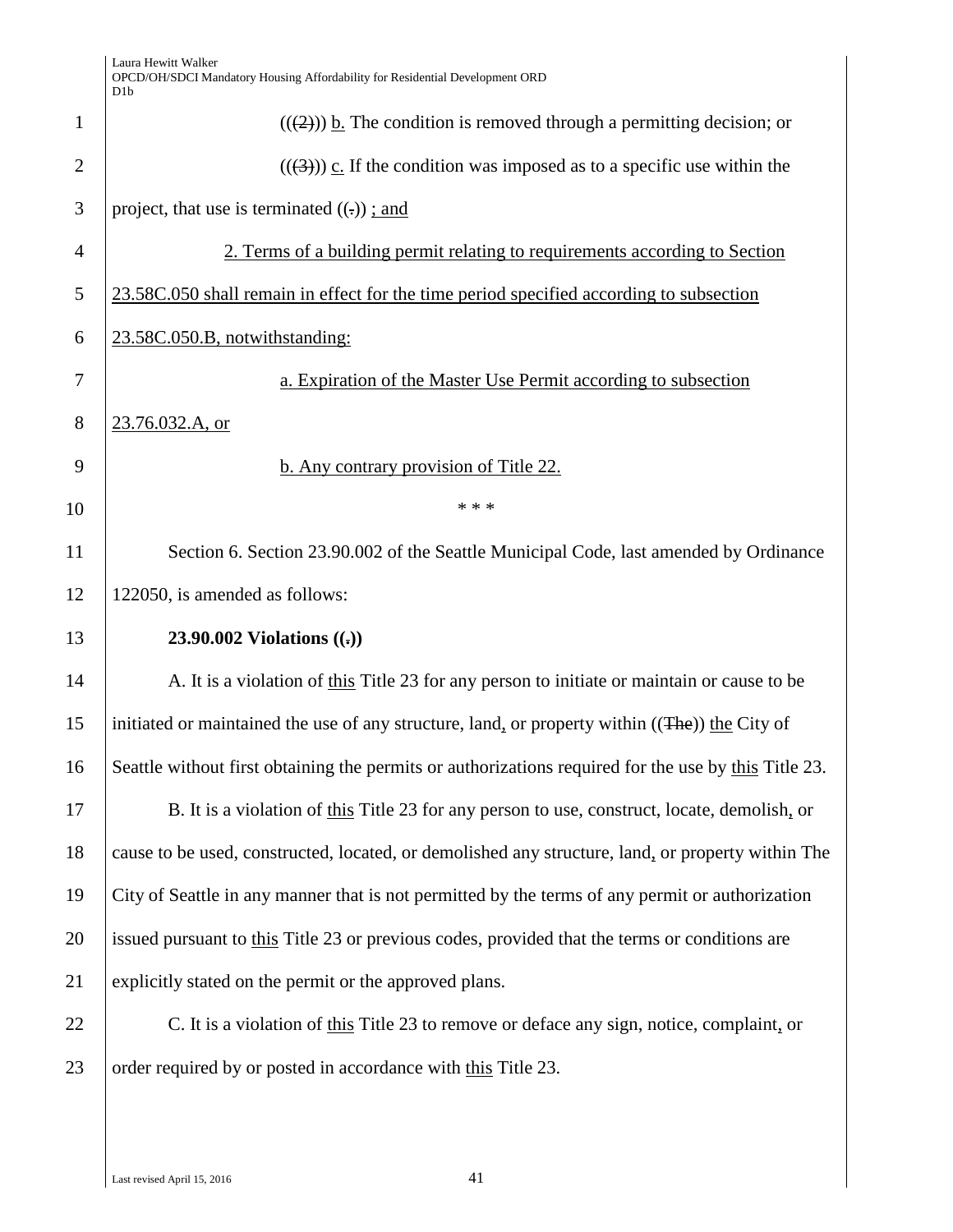| Laura Hewitt Walker                                                          |
|------------------------------------------------------------------------------|
| OPCD/OH/SDCI Mandatory Housing Affordability for Residential Development ORD |
| D1h                                                                          |

|                | D <sub>1</sub> b                                                                                     |  |
|----------------|------------------------------------------------------------------------------------------------------|--|
| 1              | $((2))$ ) b. The condition is removed through a permitting decision; or                              |  |
| $\overline{2}$ | $((3))$ c. If the condition was imposed as to a specific use within the                              |  |
| 3              | project, that use is terminated $((.) )$ ; and                                                       |  |
| $\overline{4}$ | 2. Terms of a building permit relating to requirements according to Section                          |  |
| 5              | 23.58C.050 shall remain in effect for the time period specified according to subsection              |  |
| 6              | 23.58C.050.B, notwithstanding:                                                                       |  |
| 7              | a. Expiration of the Master Use Permit according to subsection                                       |  |
| 8              | 23.76.032.A, or                                                                                      |  |
| 9              | b. Any contrary provision of Title 22.                                                               |  |
| 10             | * * *                                                                                                |  |
| 11             | Section 6. Section 23.90.002 of the Seattle Municipal Code, last amended by Ordinance                |  |
| 12             | 122050, is amended as follows:                                                                       |  |
| 13             | 23.90.002 Violations $((.)$                                                                          |  |
| 14             | A. It is a violation of this Title 23 for any person to initiate or maintain or cause to be          |  |
| 15             | initiated or maintained the use of any structure, land, or property within ((The)) the City of       |  |
| 16             | Seattle without first obtaining the permits or authorizations required for the use by this Title 23. |  |
| 17             | B. It is a violation of this Title 23 for any person to use, construct, locate, demolish, or         |  |
| 18             | cause to be used, constructed, located, or demolished any structure, land, or property within The    |  |
| 19             | City of Seattle in any manner that is not permitted by the terms of any permit or authorization      |  |
| 20             | issued pursuant to this Title 23 or previous codes, provided that the terms or conditions are        |  |
| 21             | explicitly stated on the permit or the approved plans.                                               |  |
| 22             | C. It is a violation of this Title 23 to remove or deface any sign, notice, complaint, or            |  |
| 23             | order required by or posted in accordance with this Title 23.                                        |  |
|                |                                                                                                      |  |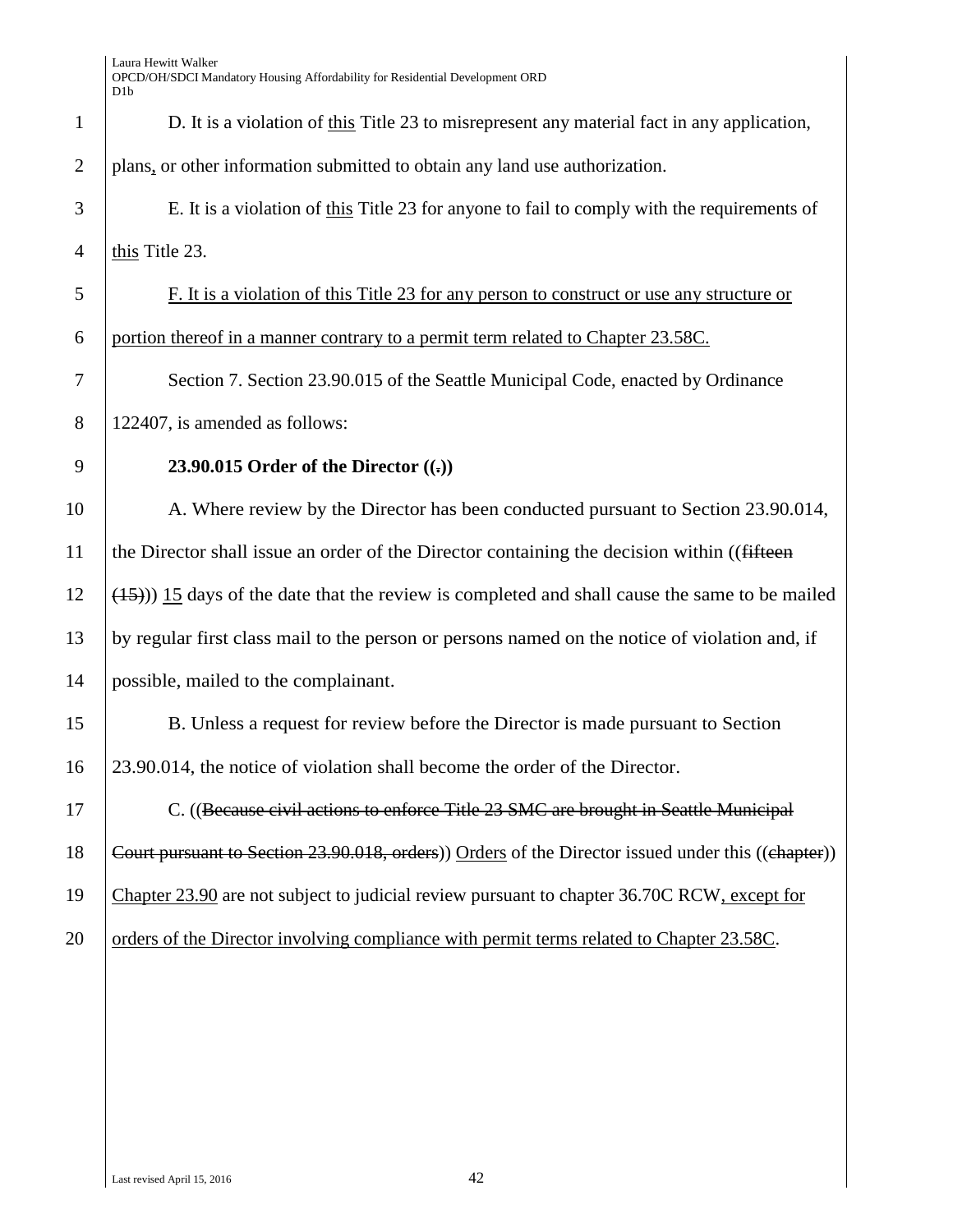| $\mathbf{1}$ | D. It is a violation of this Title 23 to misrepresent any material fact in any application,        |  |
|--------------|----------------------------------------------------------------------------------------------------|--|
| $\mathbf{2}$ | plans, or other information submitted to obtain any land use authorization.                        |  |
| 3            | E. It is a violation of this Title 23 for anyone to fail to comply with the requirements of        |  |
| 4            | this Title 23.                                                                                     |  |
| 5            | F. It is a violation of this Title 23 for any person to construct or use any structure or          |  |
| 6            | portion thereof in a manner contrary to a permit term related to Chapter 23.58C.                   |  |
| 7            | Section 7. Section 23.90.015 of the Seattle Municipal Code, enacted by Ordinance                   |  |
| 8            | 122407, is amended as follows:                                                                     |  |
| 9            | 23.90.015 Order of the Director $((.)$                                                             |  |
| 10           | A. Where review by the Director has been conducted pursuant to Section 23.90.014,                  |  |
| 11           | the Director shall issue an order of the Director containing the decision within ((fifteen         |  |
| 12           | $(15)$ )) 15 days of the date that the review is completed and shall cause the same to be mailed   |  |
| 13           | by regular first class mail to the person or persons named on the notice of violation and, if      |  |
| 14           | possible, mailed to the complainant.                                                               |  |
| 15           | B. Unless a request for review before the Director is made pursuant to Section                     |  |
| 16           | 23.90.014, the notice of violation shall become the order of the Director.                         |  |
| 17           | C. ((Because civil actions to enforce Title 23 SMC are brought in Seattle Municipal                |  |
| 18           | Court pursuant to Section 23.90.018, orders)) Orders of the Director issued under this ((chapter)) |  |
| 19           | Chapter 23.90 are not subject to judicial review pursuant to chapter 36.70C RCW, except for        |  |
| 20           | orders of the Director involving compliance with permit terms related to Chapter 23.58C.           |  |
|              |                                                                                                    |  |
|              |                                                                                                    |  |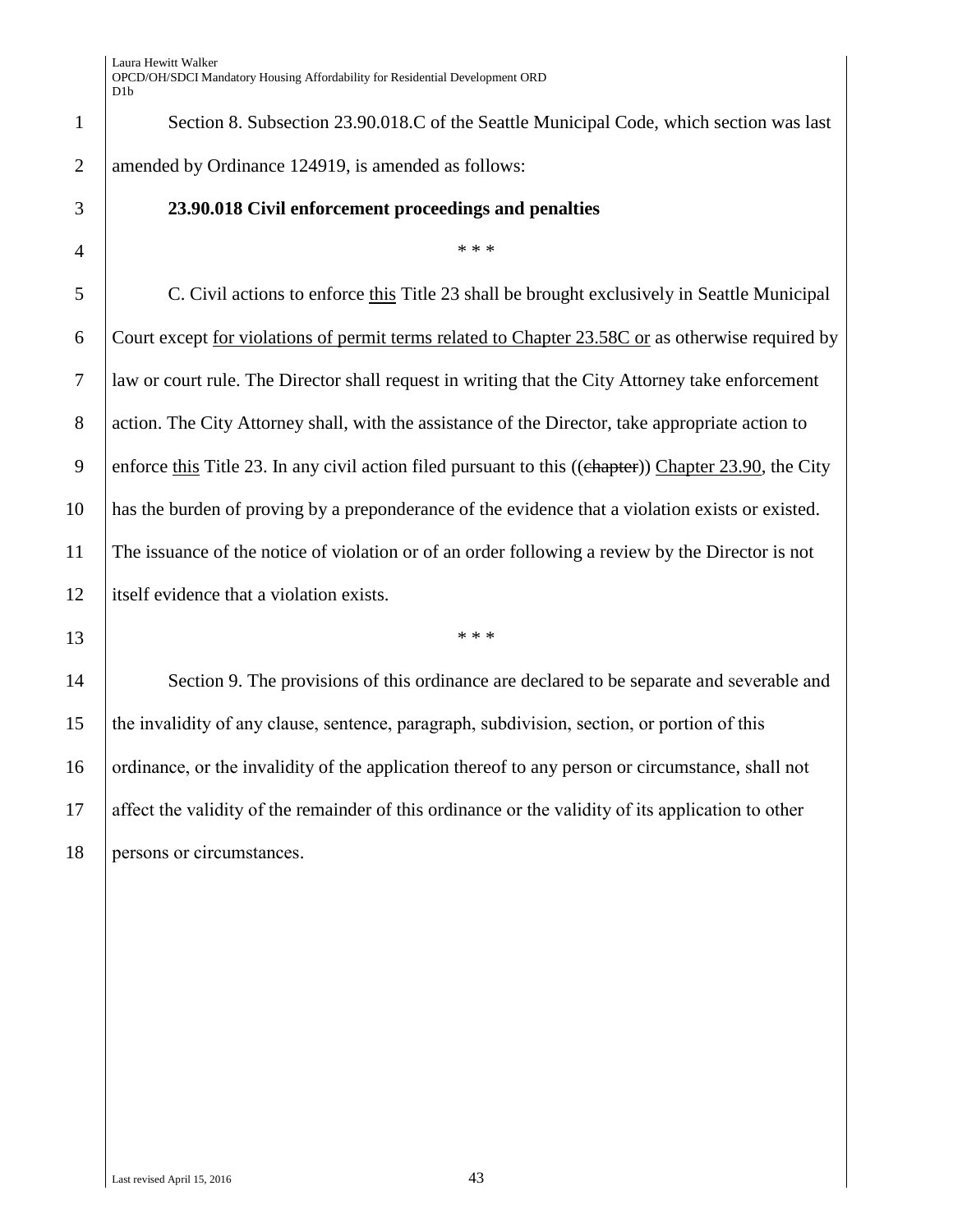1 Section 8. Subsection 23.90.018.C of the Seattle Municipal Code, which section was last 2 amended by Ordinance 124919, is amended as follows:

#### 3 **23.90.018 Civil enforcement proceedings and penalties**

# $4$   $*$  \*\*\*

 C. Civil actions to enforce this Title 23 shall be brought exclusively in Seattle Municipal Court except for violations of permit terms related to Chapter 23.58C or as otherwise required by law or court rule. The Director shall request in writing that the City Attorney take enforcement 8 action. The City Attorney shall, with the assistance of the Director, take appropriate action to 9 enforce this Title 23. In any civil action filed pursuant to this ((chapter)) Chapter 23.90, the City has the burden of proving by a preponderance of the evidence that a violation exists or existed. The issuance of the notice of violation or of an order following a review by the Director is not itself evidence that a violation exists.

 $13$  \*\*\*

14 Section 9. The provisions of this ordinance are declared to be separate and severable and 15 the invalidity of any clause, sentence, paragraph, subdivision, section, or portion of this 16 ordinance, or the invalidity of the application thereof to any person or circumstance, shall not 17 affect the validity of the remainder of this ordinance or the validity of its application to other 18 persons or circumstances.